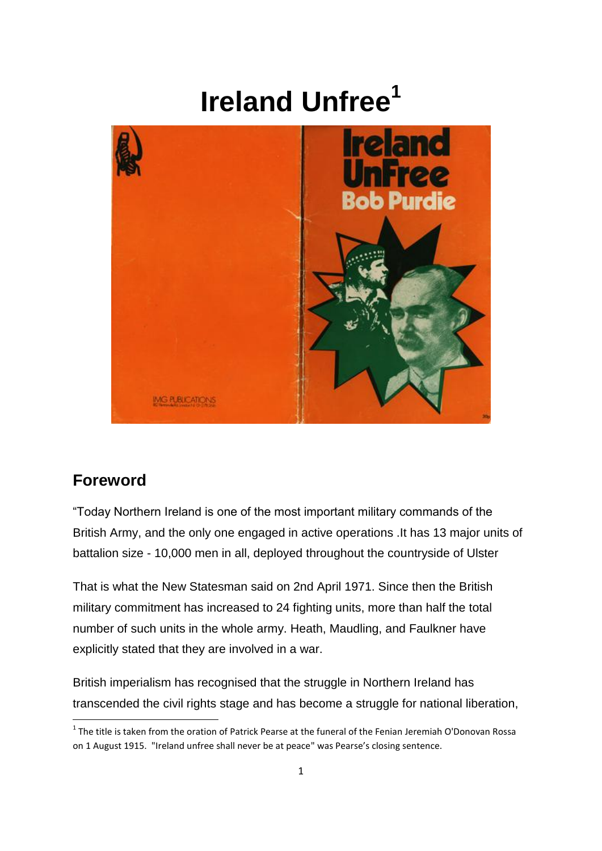# **Ireland Unfree<sup>1</sup>**



# **Foreword**

**.** 

"Today Northern Ireland is one of the most important military commands of the British Army, and the only one engaged in active operations .It has 13 major units of battalion size - 10,000 men in all, deployed throughout the countryside of Ulster

That is what the New Statesman said on 2nd April 1971. Since then the British military commitment has increased to 24 fighting units, more than half the total number of such units in the whole army. Heath, Maudling, and Faulkner have explicitly stated that they are involved in a war.

British imperialism has recognised that the struggle in Northern Ireland has transcended the civil rights stage and has become a struggle for national liberation,

 $<sup>1</sup>$  The title is taken from the oration of Patrick Pearse at the funeral of the Fenian Jeremiah O'Donovan Rossa</sup> on 1 August 1915. "Ireland unfree shall never be at peace" was Pearse's closing sentence.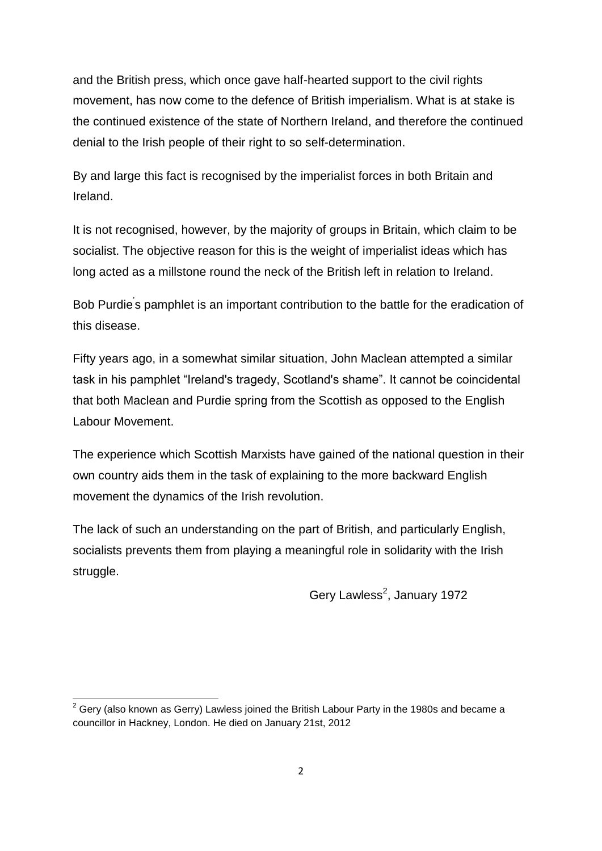and the British press, which once gave half-hearted support to the civil rights movement, has now come to the defence of British imperialism. What is at stake is the continued existence of the state of Northern Ireland, and therefore the continued denial to the Irish people of their right to so self-determination.

By and large this fact is recognised by the imperialist forces in both Britain and Ireland.

It is not recognised, however, by the majority of groups in Britain, which claim to be socialist. The objective reason for this is the weight of imperialist ideas which has long acted as a millstone round the neck of the British left in relation to Ireland.

Bob Purdie's pamphlet is an important contribution to the battle for the eradication of this disease.

Fifty years ago, in a somewhat similar situation, John Maclean attempted a similar task in his pamphlet "Ireland's tragedy, Scotland's shame". It cannot be coincidental that both Maclean and Purdie spring from the Scottish as opposed to the English Labour Movement.

The experience which Scottish Marxists have gained of the national question in their own country aids them in the task of explaining to the more backward English movement the dynamics of the Irish revolution.

The lack of such an understanding on the part of British, and particularly English, socialists prevents them from playing a meaningful role in solidarity with the Irish struggle.

Gery Lawless<sup>2</sup>, January 1972

<sup>1</sup>  $2$  Gery (also known as Gerry) Lawless joined the British Labour Party in the 1980s and became a councillor in Hackney, London. He died on January 21st, 2012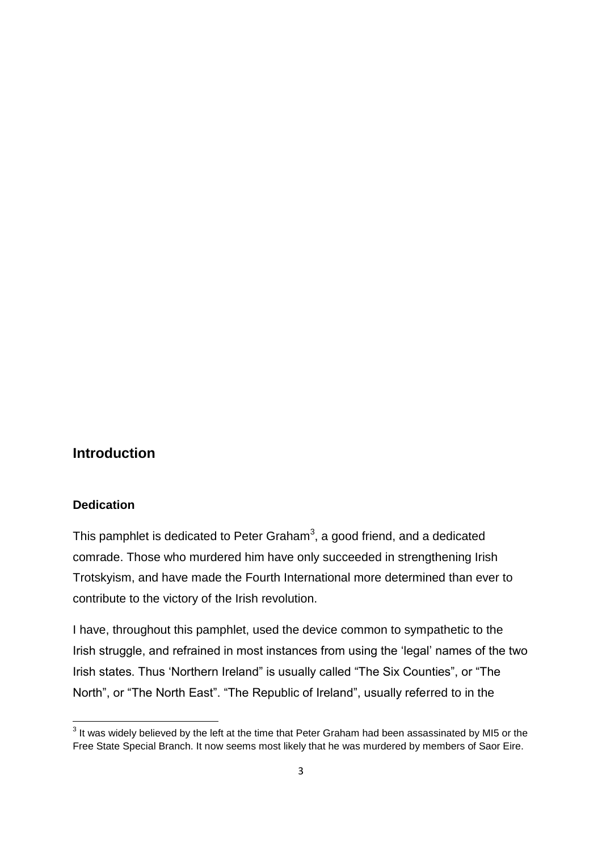### **Introduction**

#### **Dedication**

This pamphlet is dedicated to Peter Graham<sup>3</sup>, a good friend, and a dedicated comrade. Those who murdered him have only succeeded in strengthening Irish Trotskyism, and have made the Fourth International more determined than ever to contribute to the victory of the Irish revolution.

I have, throughout this pamphlet, used the device common to sympathetic to the Irish struggle, and refrained in most instances from using the 'legal' names of the two Irish states. Thus "Northern Ireland" is usually called "The Six Counties", or "The North", or "The North East". "The Republic of Ireland", usually referred to in the

 3 It was widely believed by the left at the time that Peter Graham had been assassinated by MI5 or the Free State Special Branch. It now seems most likely that he was murdered by members of Saor Eire.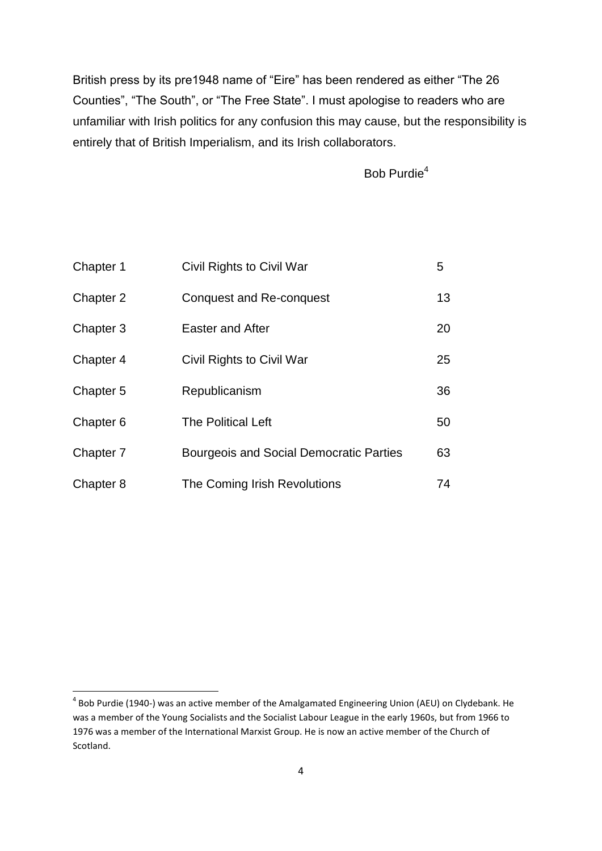British press by its pre1948 name of "Eire" has been rendered as either "The 26 Counties", "The South", or "The Free State". I must apologise to readers who are unfamiliar with Irish politics for any confusion this may cause, but the responsibility is entirely that of British Imperialism, and its Irish collaborators.

Bob Purdie<sup>4</sup>

| Chapter 1 | Civil Rights to Civil War                      | 5  |
|-----------|------------------------------------------------|----|
| Chapter 2 | <b>Conquest and Re-conquest</b>                | 13 |
| Chapter 3 | <b>Easter and After</b>                        | 20 |
| Chapter 4 | Civil Rights to Civil War                      | 25 |
| Chapter 5 | Republicanism                                  | 36 |
| Chapter 6 | <b>The Political Left</b>                      | 50 |
| Chapter 7 | <b>Bourgeois and Social Democratic Parties</b> | 63 |
| Chapter 8 | The Coming Irish Revolutions                   | 74 |

**.** 

<sup>&</sup>lt;sup>4</sup> Bob Purdie (1940-) was an active member of the Amalgamated Engineering Union (AEU) on Clydebank. He was a member of the Young Socialists and the Socialist Labour League in the early 1960s, but from 1966 to 1976 was a member of the International Marxist Group. He is now an active member of the Church of Scotland.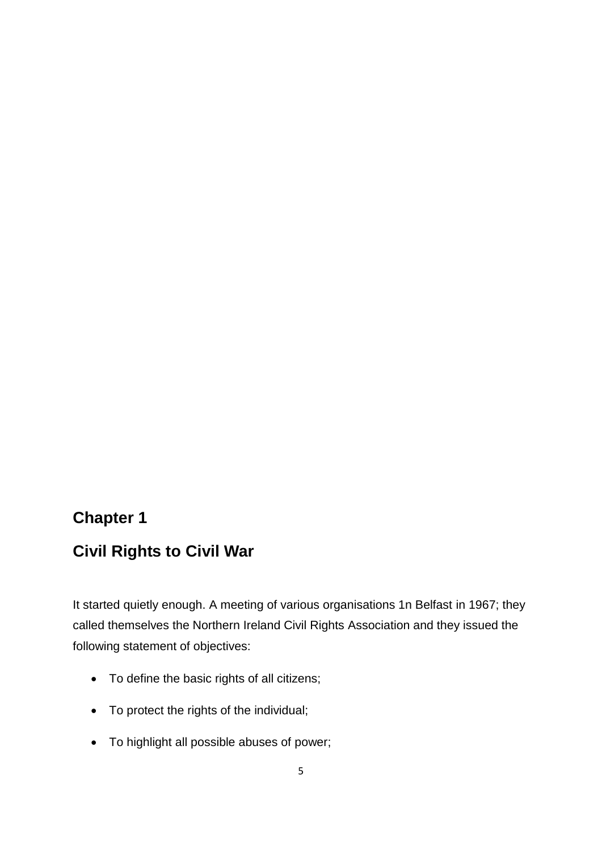# **Chapter 1**

# **Civil Rights to Civil War**

It started quietly enough. A meeting of various organisations 1n Belfast in 1967; they called themselves the Northern Ireland Civil Rights Association and they issued the following statement of objectives:

- To define the basic rights of all citizens;
- To protect the rights of the individual;
- To highlight all possible abuses of power;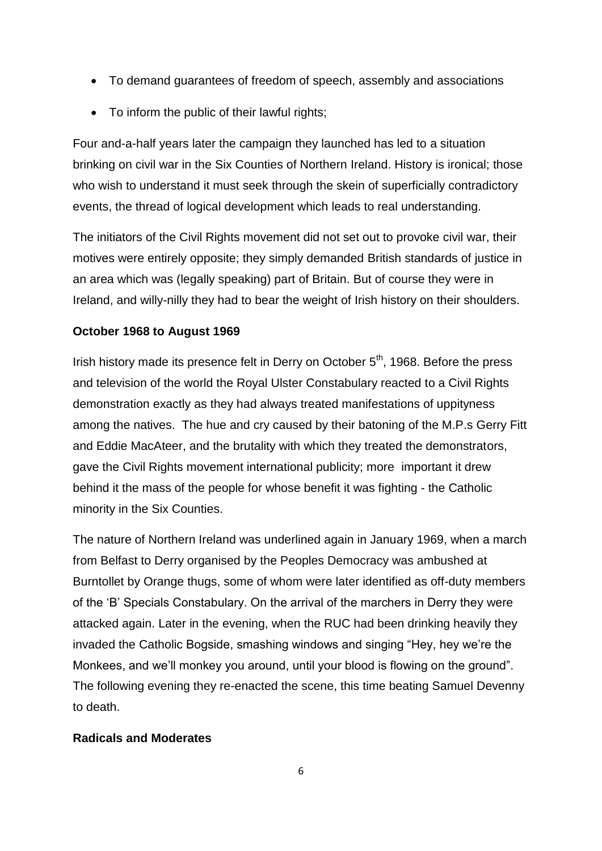- To demand guarantees of freedom of speech, assembly and associations
- To inform the public of their lawful rights;

Four and-a-half years later the campaign they launched has led to a situation brinking on civil war in the Six Counties of Northern Ireland. History is ironical; those who wish to understand it must seek through the skein of superficially contradictory events, the thread of logical development which leads to real understanding.

The initiators of the Civil Rights movement did not set out to provoke civil war, their motives were entirely opposite; they simply demanded British standards of justice in an area which was (legally speaking) part of Britain. But of course they were in Ireland, and willy-nilly they had to bear the weight of Irish history on their shoulders.

#### **October 1968 to August 1969**

Irish history made its presence felt in Derry on October  $5<sup>th</sup>$ , 1968. Before the press and television of the world the Royal Ulster Constabulary reacted to a Civil Rights demonstration exactly as they had always treated manifestations of uppityness among the natives. The hue and cry caused by their batoning of the M.P.s Gerry Fitt and Eddie MacAteer, and the brutality with which they treated the demonstrators, gave the Civil Rights movement international publicity; more important it drew behind it the mass of the people for whose benefit it was fighting - the Catholic minority in the Six Counties.

The nature of Northern Ireland was underlined again in January 1969, when a march from Belfast to Derry organised by the Peoples Democracy was ambushed at Burntollet by Orange thugs, some of whom were later identified as off-duty members of the "B" Specials Constabulary. On the arrival of the marchers in Derry they were attacked again. Later in the evening, when the RUC had been drinking heavily they invaded the Catholic Bogside, smashing windows and singing "Hey, hey we"re the Monkees, and we"ll monkey you around, until your blood is flowing on the ground". The following evening they re-enacted the scene, this time beating Samuel Devenny to death.

#### **Radicals and Moderates**

6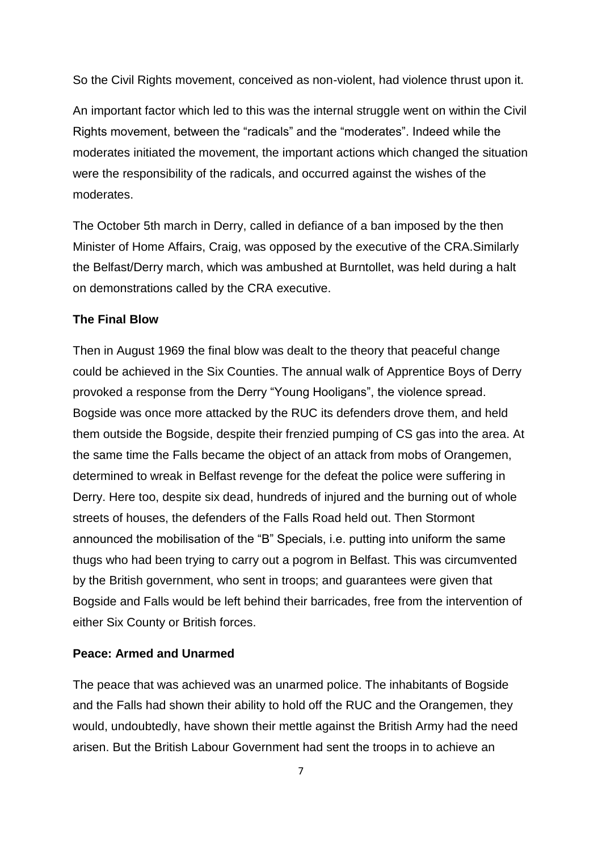So the Civil Rights movement, conceived as non-violent, had violence thrust upon it.

An important factor which led to this was the internal struggle went on within the Civil Rights movement, between the "radicals" and the "moderates". Indeed while the moderates initiated the movement, the important actions which changed the situation were the responsibility of the radicals, and occurred against the wishes of the moderates.

The October 5th march in Derry, called in defiance of a ban imposed by the then Minister of Home Affairs, Craig, was opposed by the executive of the CRA.Similarly the Belfast/Derry march, which was ambushed at Burntollet, was held during a halt on demonstrations called by the CRA executive.

#### **The Final Blow**

Then in August 1969 the final blow was dealt to the theory that peaceful change could be achieved in the Six Counties. The annual walk of Apprentice Boys of Derry provoked a response from the Derry "Young Hooligans", the violence spread. Bogside was once more attacked by the RUC its defenders drove them, and held them outside the Bogside, despite their frenzied pumping of CS gas into the area. At the same time the Falls became the object of an attack from mobs of Orangemen, determined to wreak in Belfast revenge for the defeat the police were suffering in Derry. Here too, despite six dead, hundreds of injured and the burning out of whole streets of houses, the defenders of the Falls Road held out. Then Stormont announced the mobilisation of the "B" Specials, i.e. putting into uniform the same thugs who had been trying to carry out a pogrom in Belfast. This was circumvented by the British government, who sent in troops; and guarantees were given that Bogside and Falls would be left behind their barricades, free from the intervention of either Six County or British forces.

#### **Peace: Armed and Unarmed**

The peace that was achieved was an unarmed police. The inhabitants of Bogside and the Falls had shown their ability to hold off the RUC and the Orangemen, they would, undoubtedly, have shown their mettle against the British Army had the need arisen. But the British Labour Government had sent the troops in to achieve an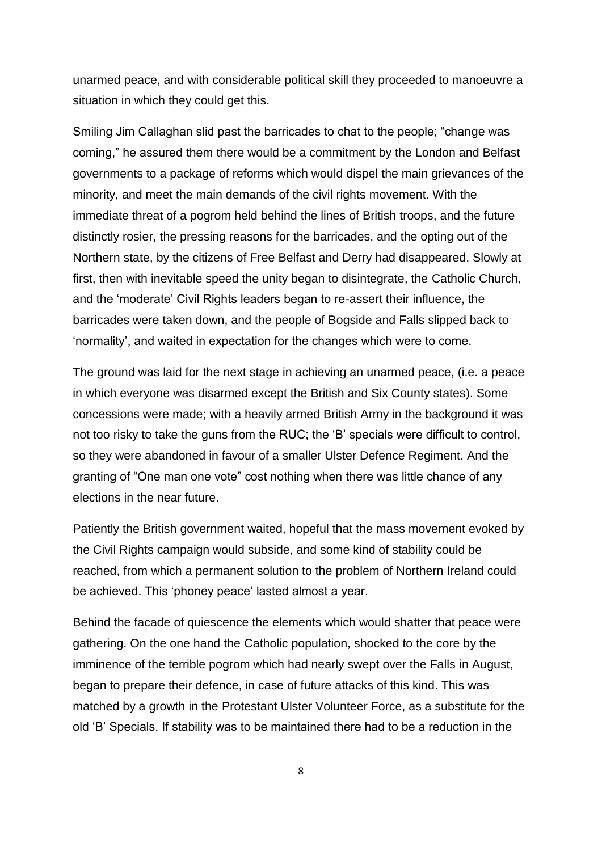unarmed peace, and with considerable political skill they proceeded to manoeuvre a situation in which they could get this.

Smiling Jim Callaghan slid past the barricades to chat to the people; "change was coming," he assured them there would be a commitment by the London and Belfast governments to a package of reforms which would dispel the main grievances of the minority, and meet the main demands of the civil rights movement. With the immediate threat of a pogrom held behind the lines of British troops, and the future distinctly rosier, the pressing reasons for the barricades, and the opting out of the Northern state, by the citizens of Free Belfast and Derry had disappeared. Slowly at first, then with inevitable speed the unity began to disintegrate, the Catholic Church, and the "moderate" Civil Rights leaders began to re-assert their influence, the barricades were taken down, and the people of Bogside and Falls slipped back to 'normality', and waited in expectation for the changes which were to come.

The ground was laid for the next stage in achieving an unarmed peace, (i.e. a peace in which everyone was disarmed except the British and Six County states). Some concessions were made; with a heavily armed British Army in the background it was not too risky to take the guns from the RUC; the "B" specials were difficult to control, so they were abandoned in favour of a smaller Ulster Defence Regiment. And the granting of "One man one vote" cost nothing when there was little chance of any elections in the near future.

Patiently the British government waited, hopeful that the mass movement evoked by the Civil Rights campaign would subside, and some kind of stability could be reached, from which a permanent solution to the problem of Northern Ireland could be achieved. This "phoney peace" lasted almost a year.

Behind the facade of quiescence the elements which would shatter that peace were gathering. On the one hand the Catholic population, shocked to the core by the imminence of the terrible pogrom which had nearly swept over the Falls in August, began to prepare their defence, in case of future attacks of this kind. This was matched by a growth in the Protestant Ulster Volunteer Force, as a substitute for the old "B" Specials. If stability was to be maintained there had to be a reduction in the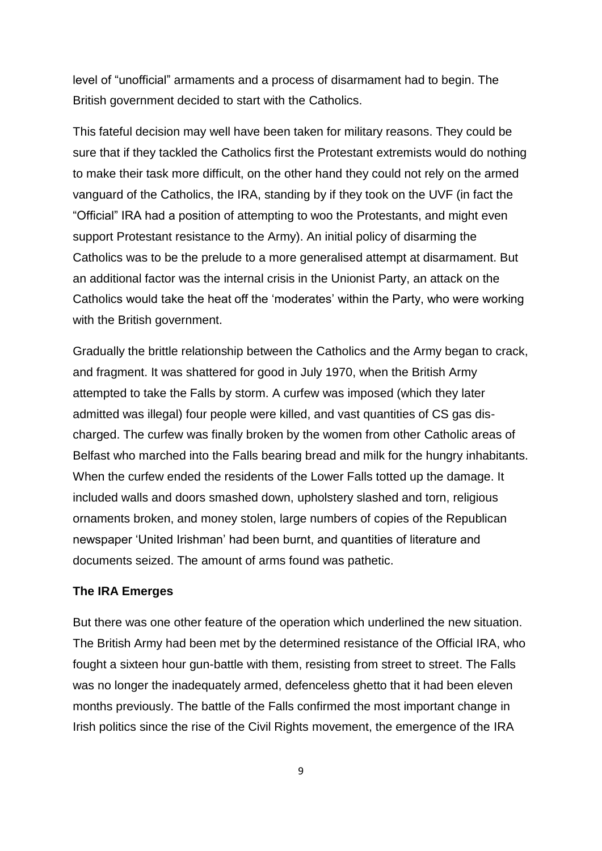level of "unofficial" armaments and a process of disarmament had to begin. The British government decided to start with the Catholics.

This fateful decision may well have been taken for military reasons. They could be sure that if they tackled the Catholics first the Protestant extremists would do nothing to make their task more difficult, on the other hand they could not rely on the armed vanguard of the Catholics, the IRA, standing by if they took on the UVF (in fact the "Official" IRA had a position of attempting to woo the Protestants, and might even support Protestant resistance to the Army). An initial policy of disarming the Catholics was to be the prelude to a more generalised attempt at disarmament. But an additional factor was the internal crisis in the Unionist Party, an attack on the Catholics would take the heat off the "moderates" within the Party, who were working with the British government.

Gradually the brittle relationship between the Catholics and the Army began to crack, and fragment. It was shattered for good in July 1970, when the British Army attempted to take the Falls by storm. A curfew was imposed (which they later admitted was illegal) four people were killed, and vast quantities of CS gas discharged. The curfew was finally broken by the women from other Catholic areas of Belfast who marched into the Falls bearing bread and milk for the hungry inhabitants. When the curfew ended the residents of the Lower Falls totted up the damage. It included walls and doors smashed down, upholstery slashed and torn, religious ornaments broken, and money stolen, large numbers of copies of the Republican newspaper "United Irishman" had been burnt, and quantities of literature and documents seized. The amount of arms found was pathetic.

#### **The IRA Emerges**

But there was one other feature of the operation which underlined the new situation. The British Army had been met by the determined resistance of the Official IRA, who fought a sixteen hour gun-battle with them, resisting from street to street. The Falls was no longer the inadequately armed, defenceless ghetto that it had been eleven months previously. The battle of the Falls confirmed the most important change in Irish politics since the rise of the Civil Rights movement, the emergence of the IRA

9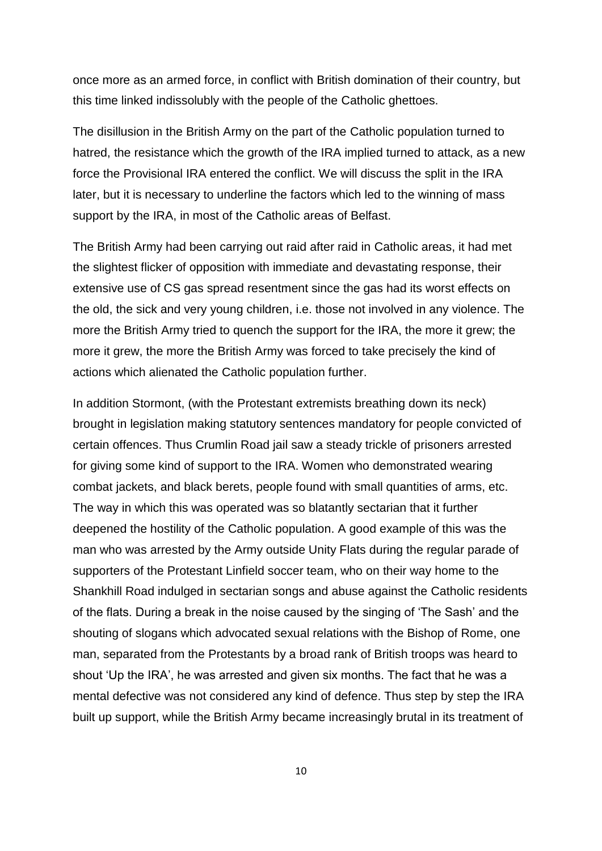once more as an armed force, in conflict with British domination of their country, but this time linked indissolubly with the people of the Catholic ghettoes.

The disillusion in the British Army on the part of the Catholic population turned to hatred, the resistance which the growth of the IRA implied turned to attack, as a new force the Provisional IRA entered the conflict. We will discuss the split in the IRA later, but it is necessary to underline the factors which led to the winning of mass support by the IRA, in most of the Catholic areas of Belfast.

The British Army had been carrying out raid after raid in Catholic areas, it had met the slightest flicker of opposition with immediate and devastating response, their extensive use of CS gas spread resentment since the gas had its worst effects on the old, the sick and very young children, i.e. those not involved in any violence. The more the British Army tried to quench the support for the IRA, the more it grew; the more it grew, the more the British Army was forced to take precisely the kind of actions which alienated the Catholic population further.

In addition Stormont, (with the Protestant extremists breathing down its neck) brought in legislation making statutory sentences mandatory for people convicted of certain offences. Thus Crumlin Road jail saw a steady trickle of prisoners arrested for giving some kind of support to the IRA. Women who demonstrated wearing combat jackets, and black berets, people found with small quantities of arms, etc. The way in which this was operated was so blatantly sectarian that it further deepened the hostility of the Catholic population. A good example of this was the man who was arrested by the Army outside Unity Flats during the regular parade of supporters of the Protestant Linfield soccer team, who on their way home to the Shankhill Road indulged in sectarian songs and abuse against the Catholic residents of the flats. During a break in the noise caused by the singing of "The Sash" and the shouting of slogans which advocated sexual relations with the Bishop of Rome, one man, separated from the Protestants by a broad rank of British troops was heard to shout "Up the IRA", he was arrested and given six months. The fact that he was a mental defective was not considered any kind of defence. Thus step by step the IRA built up support, while the British Army became increasingly brutal in its treatment of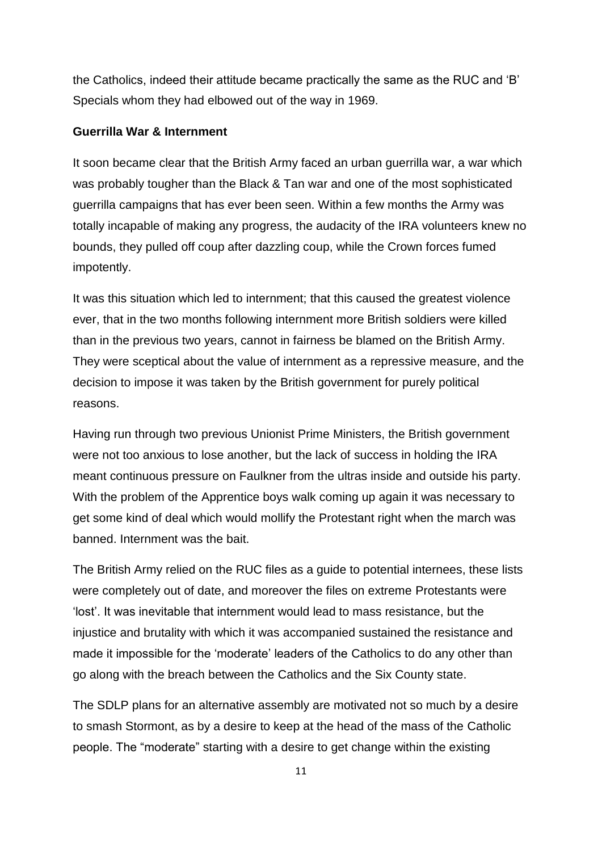the Catholics, indeed their attitude became practically the same as the RUC and "B" Specials whom they had elbowed out of the way in 1969.

#### **Guerrilla War & Internment**

It soon became clear that the British Army faced an urban guerrilla war, a war which was probably tougher than the Black & Tan war and one of the most sophisticated guerrilla campaigns that has ever been seen. Within a few months the Army was totally incapable of making any progress, the audacity of the IRA volunteers knew no bounds, they pulled off coup after dazzling coup, while the Crown forces fumed impotently.

It was this situation which led to internment; that this caused the greatest violence ever, that in the two months following internment more British soldiers were killed than in the previous two years, cannot in fairness be blamed on the British Army. They were sceptical about the value of internment as a repressive measure, and the decision to impose it was taken by the British government for purely political reasons.

Having run through two previous Unionist Prime Ministers, the British government were not too anxious to lose another, but the lack of success in holding the IRA meant continuous pressure on Faulkner from the ultras inside and outside his party. With the problem of the Apprentice boys walk coming up again it was necessary to get some kind of deal which would mollify the Protestant right when the march was banned. Internment was the bait.

The British Army relied on the RUC files as a guide to potential internees, these lists were completely out of date, and moreover the files on extreme Protestants were "lost". It was inevitable that internment would lead to mass resistance, but the injustice and brutality with which it was accompanied sustained the resistance and made it impossible for the 'moderate' leaders of the Catholics to do any other than go along with the breach between the Catholics and the Six County state.

The SDLP plans for an alternative assembly are motivated not so much by a desire to smash Stormont, as by a desire to keep at the head of the mass of the Catholic people. The "moderate" starting with a desire to get change within the existing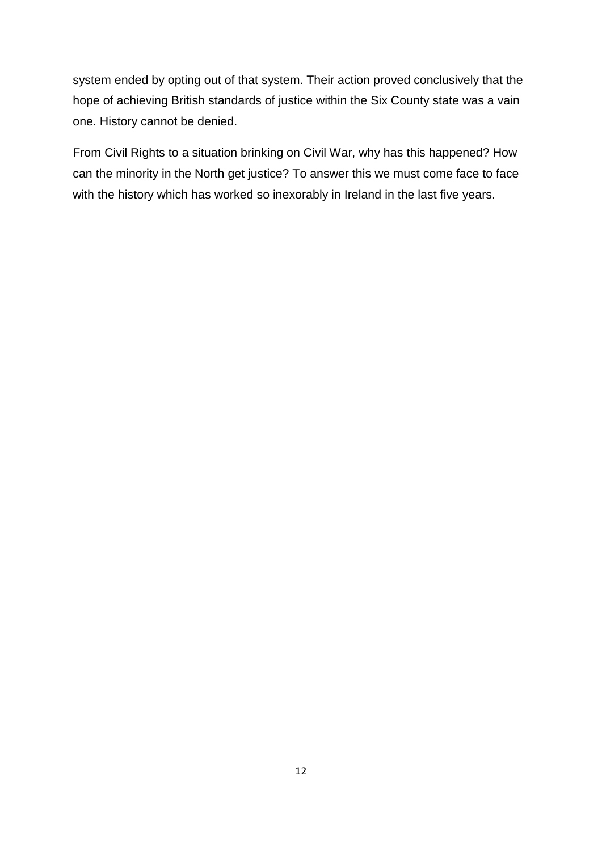system ended by opting out of that system. Their action proved conclusively that the hope of achieving British standards of justice within the Six County state was a vain one. History cannot be denied.

From Civil Rights to a situation brinking on Civil War, why has this happened? How can the minority in the North get justice? To answer this we must come face to face with the history which has worked so inexorably in Ireland in the last five years.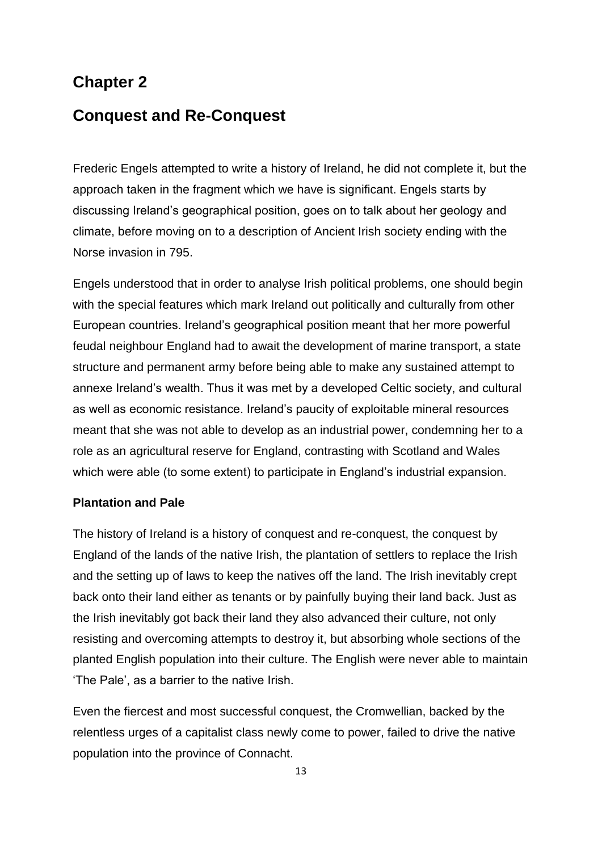## **Chapter 2**

### **Conquest and Re-Conquest**

Frederic Engels attempted to write a history of Ireland, he did not complete it, but the approach taken in the fragment which we have is significant. Engels starts by discussing Ireland"s geographical position, goes on to talk about her geology and climate, before moving on to a description of Ancient Irish society ending with the Norse invasion in 795.

Engels understood that in order to analyse Irish political problems, one should begin with the special features which mark Ireland out politically and culturally from other European countries. Ireland"s geographical position meant that her more powerful feudal neighbour England had to await the development of marine transport, a state structure and permanent army before being able to make any sustained attempt to annexe Ireland"s wealth. Thus it was met by a developed Celtic society, and cultural as well as economic resistance. Ireland"s paucity of exploitable mineral resources meant that she was not able to develop as an industrial power, condemning her to a role as an agricultural reserve for England, contrasting with Scotland and Wales which were able (to some extent) to participate in England's industrial expansion.

#### **Plantation and Pale**

The history of Ireland is a history of conquest and re-conquest, the conquest by England of the lands of the native Irish, the plantation of settlers to replace the Irish and the setting up of laws to keep the natives off the land. The Irish inevitably crept back onto their land either as tenants or by painfully buying their land back. Just as the Irish inevitably got back their land they also advanced their culture, not only resisting and overcoming attempts to destroy it, but absorbing whole sections of the planted English population into their culture. The English were never able to maintain "The Pale", as a barrier to the native Irish.

Even the fiercest and most successful conquest, the Cromwellian, backed by the relentless urges of a capitalist class newly come to power, failed to drive the native population into the province of Connacht.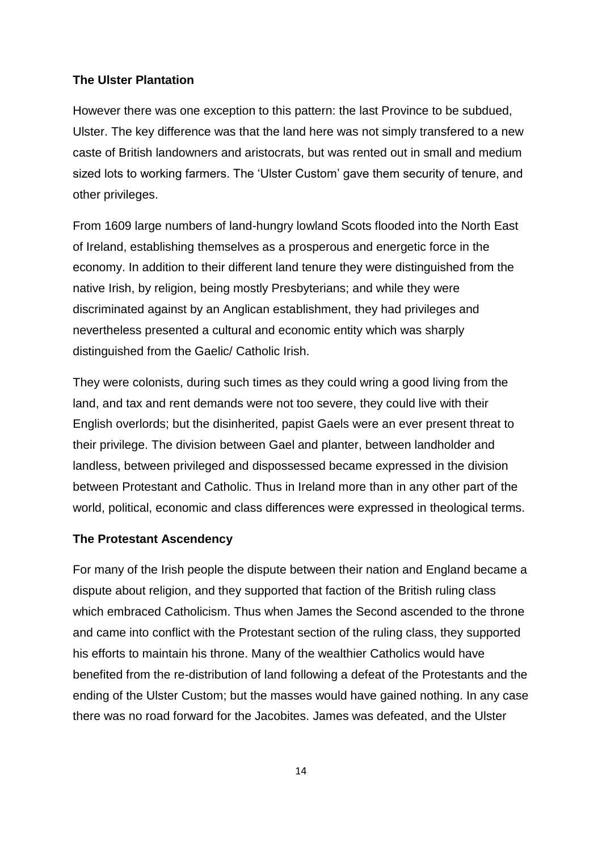#### **The Ulster Plantation**

However there was one exception to this pattern: the last Province to be subdued, Ulster. The key difference was that the land here was not simply transfered to a new caste of British landowners and aristocrats, but was rented out in small and medium sized lots to working farmers. The "Ulster Custom" gave them security of tenure, and other privileges.

From 1609 large numbers of land-hungry lowland Scots flooded into the North East of Ireland, establishing themselves as a prosperous and energetic force in the economy. In addition to their different land tenure they were distinguished from the native Irish, by religion, being mostly Presbyterians; and while they were discriminated against by an Anglican establishment, they had privileges and nevertheless presented a cultural and economic entity which was sharply distinguished from the Gaelic/ Catholic Irish.

They were colonists, during such times as they could wring a good living from the land, and tax and rent demands were not too severe, they could live with their English overlords; but the disinherited, papist Gaels were an ever present threat to their privilege. The division between Gael and planter, between landholder and landless, between privileged and dispossessed became expressed in the division between Protestant and Catholic. Thus in Ireland more than in any other part of the world, political, economic and class differences were expressed in theological terms.

#### **The Protestant Ascendency**

For many of the Irish people the dispute between their nation and England became a dispute about religion, and they supported that faction of the British ruling class which embraced Catholicism. Thus when James the Second ascended to the throne and came into conflict with the Protestant section of the ruling class, they supported his efforts to maintain his throne. Many of the wealthier Catholics would have benefited from the re-distribution of land following a defeat of the Protestants and the ending of the Ulster Custom; but the masses would have gained nothing. In any case there was no road forward for the Jacobites. James was defeated, and the Ulster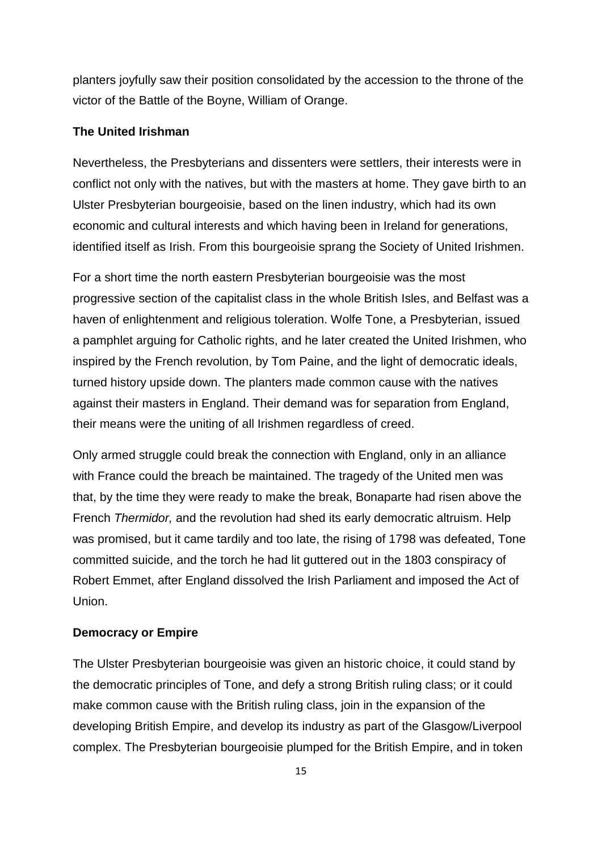planters joyfully saw their position consolidated by the accession to the throne of the victor of the Battle of the Boyne, William of Orange.

#### **The United Irishman**

Nevertheless, the Presbyterians and dissenters were settlers, their interests were in conflict not only with the natives, but with the masters at home. They gave birth to an Ulster Presbyterian bourgeoisie, based on the linen industry, which had its own economic and cultural interests and which having been in Ireland for generations, identified itself as Irish. From this bourgeoisie sprang the Society of United Irishmen.

For a short time the north eastern Presbyterian bourgeoisie was the most progressive section of the capitalist class in the whole British Isles, and Belfast was a haven of enlightenment and religious toleration. Wolfe Tone, a Presbyterian, issued a pamphlet arguing for Catholic rights, and he later created the United Irishmen, who inspired by the French revolution, by Tom Paine, and the light of democratic ideals, turned history upside down. The planters made common cause with the natives against their masters in England. Their demand was for separation from England, their means were the uniting of all Irishmen regardless of creed.

Only armed struggle could break the connection with England, only in an alliance with France could the breach be maintained. The tragedy of the United men was that, by the time they were ready to make the break, Bonaparte had risen above the French *Thermidor,* and the revolution had shed its early democratic altruism. Help was promised, but it came tardily and too late, the rising of 1798 was defeated, Tone committed suicide, and the torch he had lit guttered out in the 1803 conspiracy of Robert Emmet, after England dissolved the Irish Parliament and imposed the Act of Union.

#### **Democracy or Empire**

The Ulster Presbyterian bourgeoisie was given an historic choice, it could stand by the democratic principles of Tone, and defy a strong British ruling class; or it could make common cause with the British ruling class, join in the expansion of the developing British Empire, and develop its industry as part of the Glasgow/Liverpool complex. The Presbyterian bourgeoisie plumped for the British Empire, and in token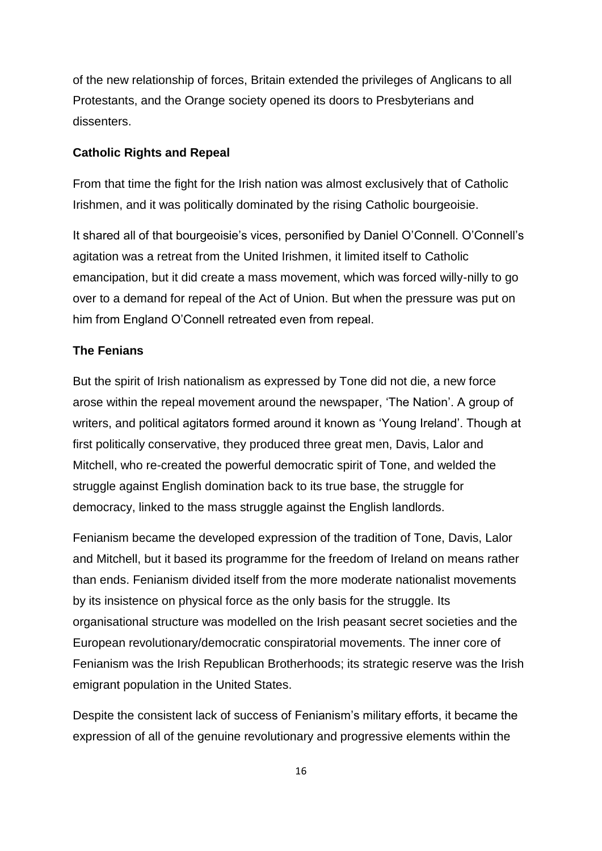of the new relationship of forces, Britain extended the privileges of Anglicans to all Protestants, and the Orange society opened its doors to Presbyterians and dissenters.

#### **Catholic Rights and Repeal**

From that time the fight for the Irish nation was almost exclusively that of Catholic Irishmen, and it was politically dominated by the rising Catholic bourgeoisie.

It shared all of that bourgeoisie's vices, personified by Daniel O'Connell. O'Connell's agitation was a retreat from the United Irishmen, it limited itself to Catholic emancipation, but it did create a mass movement, which was forced willy-nilly to go over to a demand for repeal of the Act of Union. But when the pressure was put on him from England O"Connell retreated even from repeal.

#### **The Fenians**

But the spirit of Irish nationalism as expressed by Tone did not die, a new force arose within the repeal movement around the newspaper, "The Nation". A group of writers, and political agitators formed around it known as "Young Ireland". Though at first politically conservative, they produced three great men, Davis, Lalor and Mitchell, who re-created the powerful democratic spirit of Tone, and welded the struggle against English domination back to its true base, the struggle for democracy, linked to the mass struggle against the English landlords.

Fenianism became the developed expression of the tradition of Tone, Davis, Lalor and Mitchell, but it based its programme for the freedom of Ireland on means rather than ends. Fenianism divided itself from the more moderate nationalist movements by its insistence on physical force as the only basis for the struggle. Its organisational structure was modelled on the Irish peasant secret societies and the European revolutionary/democratic conspiratorial movements. The inner core of Fenianism was the Irish Republican Brotherhoods; its strategic reserve was the Irish emigrant population in the United States.

Despite the consistent lack of success of Fenianism"s military efforts, it became the expression of all of the genuine revolutionary and progressive elements within the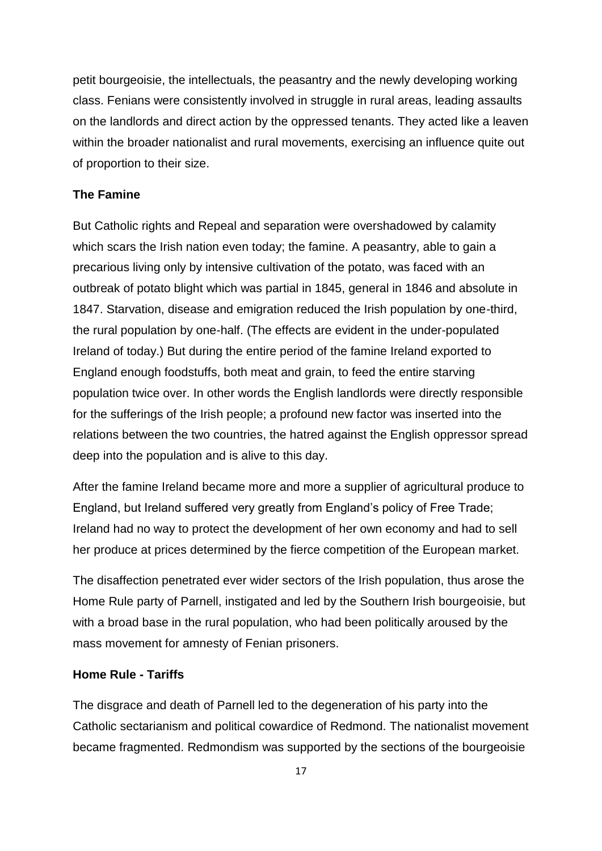petit bourgeoisie, the intellectuals, the peasantry and the newly developing working class. Fenians were consistently involved in struggle in rural areas, leading assaults on the landlords and direct action by the oppressed tenants. They acted like a leaven within the broader nationalist and rural movements, exercising an influence quite out of proportion to their size.

#### **The Famine**

But Catholic rights and Repeal and separation were overshadowed by calamity which scars the Irish nation even today; the famine. A peasantry, able to gain a precarious living only by intensive cultivation of the potato, was faced with an outbreak of potato blight which was partial in 1845, general in 1846 and absolute in 1847. Starvation, disease and emigration reduced the Irish population by one-third, the rural population by one-half. (The effects are evident in the under-populated Ireland of today.) But during the entire period of the famine Ireland exported to England enough foodstuffs, both meat and grain, to feed the entire starving population twice over. In other words the English landlords were directly responsible for the sufferings of the Irish people; a profound new factor was inserted into the relations between the two countries, the hatred against the English oppressor spread deep into the population and is alive to this day.

After the famine Ireland became more and more a supplier of agricultural produce to England, but Ireland suffered very greatly from England"s policy of Free Trade; Ireland had no way to protect the development of her own economy and had to sell her produce at prices determined by the fierce competition of the European market.

The disaffection penetrated ever wider sectors of the Irish population, thus arose the Home Rule party of Parnell, instigated and led by the Southern Irish bourgeoisie, but with a broad base in the rural population, who had been politically aroused by the mass movement for amnesty of Fenian prisoners.

#### **Home Rule - Tariffs**

The disgrace and death of Parnell led to the degeneration of his party into the Catholic sectarianism and political cowardice of Redmond. The nationalist movement became fragmented. Redmondism was supported by the sections of the bourgeoisie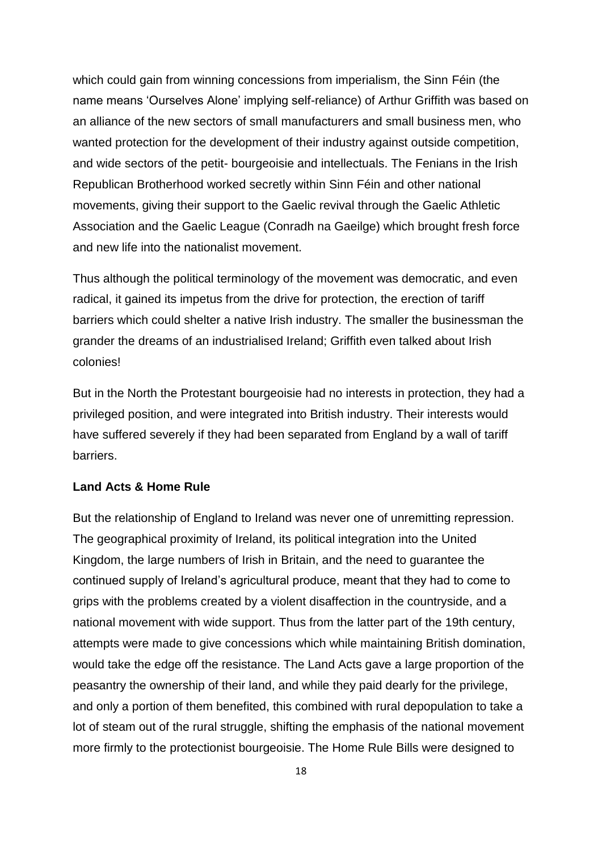which could gain from winning concessions from imperialism, the Sinn Féin (the name means "Ourselves Alone" implying self-reliance) of Arthur Griffith was based on an alliance of the new sectors of small manufacturers and small business men, who wanted protection for the development of their industry against outside competition, and wide sectors of the petit- bourgeoisie and intellectuals. The Fenians in the Irish Republican Brotherhood worked secretly within Sinn Féin and other national movements, giving their support to the Gaelic revival through the Gaelic Athletic Association and the Gaelic League (Conradh na Gaeilge) which brought fresh force and new life into the nationalist movement.

Thus although the political terminology of the movement was democratic, and even radical, it gained its impetus from the drive for protection, the erection of tariff barriers which could shelter a native Irish industry. The smaller the businessman the grander the dreams of an industrialised Ireland; Griffith even talked about Irish colonies!

But in the North the Protestant bourgeoisie had no interests in protection, they had a privileged position, and were integrated into British industry. Their interests would have suffered severely if they had been separated from England by a wall of tariff barriers.

#### **Land Acts & Home Rule**

But the relationship of England to Ireland was never one of unremitting repression. The geographical proximity of Ireland, its political integration into the United Kingdom, the large numbers of Irish in Britain, and the need to guarantee the continued supply of Ireland"s agricultural produce, meant that they had to come to grips with the problems created by a violent disaffection in the countryside, and a national movement with wide support. Thus from the latter part of the 19th century, attempts were made to give concessions which while maintaining British domination, would take the edge off the resistance. The Land Acts gave a large proportion of the peasantry the ownership of their land, and while they paid dearly for the privilege, and only a portion of them benefited, this combined with rural depopulation to take a lot of steam out of the rural struggle, shifting the emphasis of the national movement more firmly to the protectionist bourgeoisie. The Home Rule Bills were designed to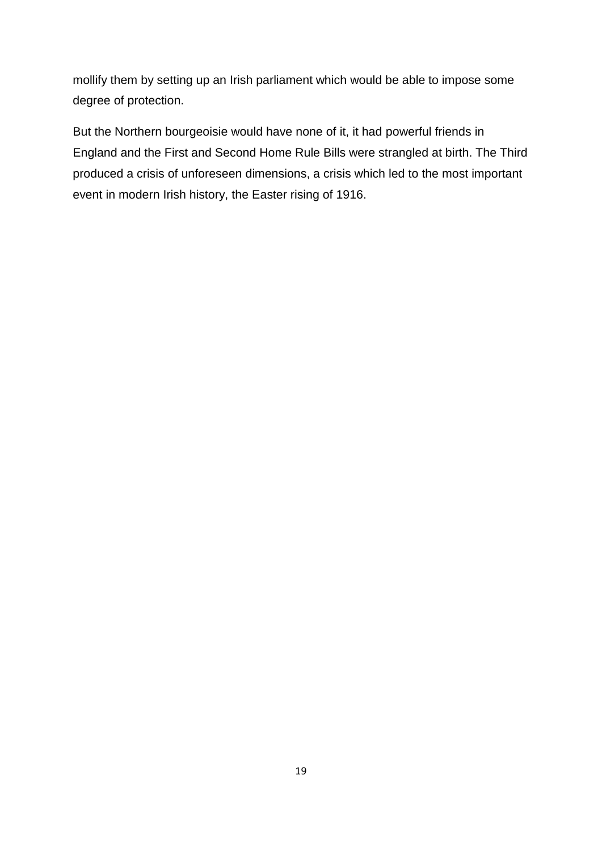mollify them by setting up an Irish parliament which would be able to impose some degree of protection.

But the Northern bourgeoisie would have none of it, it had powerful friends in England and the First and Second Home Rule Bills were strangled at birth. The Third produced a crisis of unforeseen dimensions, a crisis which led to the most important event in modern Irish history, the Easter rising of 1916.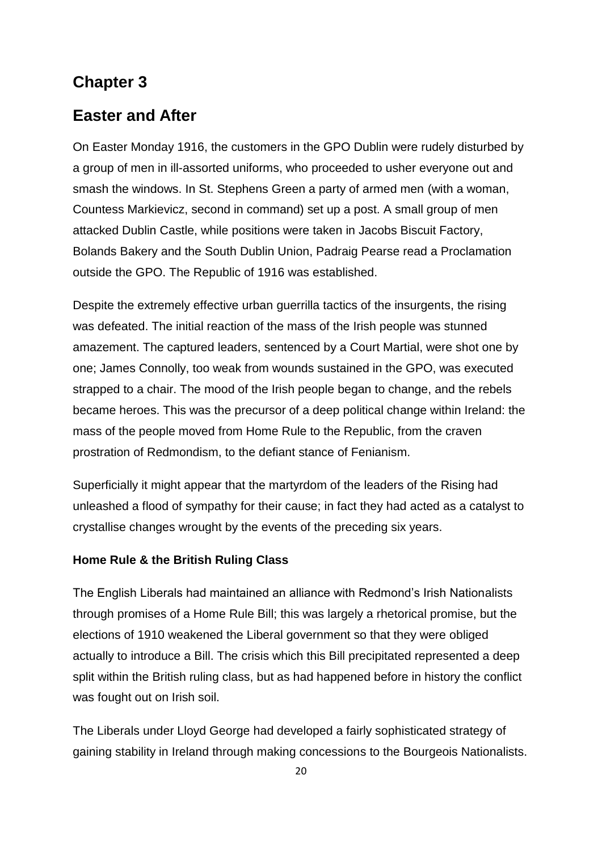### **Chapter 3**

### **Easter and After**

On Easter Monday 1916, the customers in the GPO Dublin were rudely disturbed by a group of men in ill-assorted uniforms, who proceeded to usher everyone out and smash the windows. In St. Stephens Green a party of armed men (with a woman, Countess Markievicz, second in command) set up a post. A small group of men attacked Dublin Castle, while positions were taken in Jacobs Biscuit Factory, Bolands Bakery and the South Dublin Union, Padraig Pearse read a Proclamation outside the GPO. The Republic of 1916 was established.

Despite the extremely effective urban guerrilla tactics of the insurgents, the rising was defeated. The initial reaction of the mass of the Irish people was stunned amazement. The captured leaders, sentenced by a Court Martial, were shot one by one; James Connolly, too weak from wounds sustained in the GPO, was executed strapped to a chair. The mood of the Irish people began to change, and the rebels became heroes. This was the precursor of a deep political change within Ireland: the mass of the people moved from Home Rule to the Republic, from the craven prostration of Redmondism, to the defiant stance of Fenianism.

Superficially it might appear that the martyrdom of the leaders of the Rising had unleashed a flood of sympathy for their cause; in fact they had acted as a catalyst to crystallise changes wrought by the events of the preceding six years.

#### **Home Rule & the British Ruling Class**

The English Liberals had maintained an alliance with Redmond"s Irish Nationalists through promises of a Home Rule Bill; this was largely a rhetorical promise, but the elections of 1910 weakened the Liberal government so that they were obliged actually to introduce a Bill. The crisis which this Bill precipitated represented a deep split within the British ruling class, but as had happened before in history the conflict was fought out on Irish soil.

The Liberals under Lloyd George had developed a fairly sophisticated strategy of gaining stability in Ireland through making concessions to the Bourgeois Nationalists.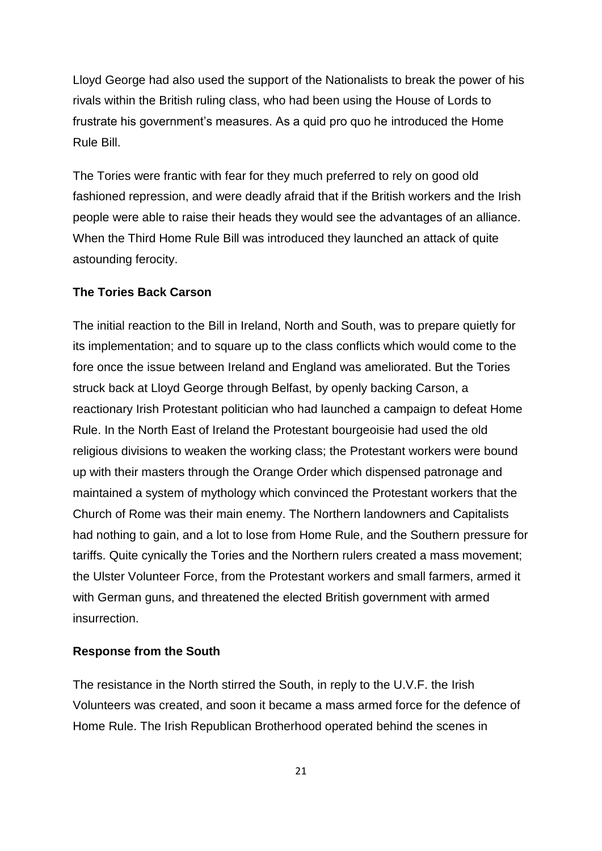Lloyd George had also used the support of the Nationalists to break the power of his rivals within the British ruling class, who had been using the House of Lords to frustrate his government's measures. As a quid pro quo he introduced the Home Rule Bill.

The Tories were frantic with fear for they much preferred to rely on good old fashioned repression, and were deadly afraid that if the British workers and the Irish people were able to raise their heads they would see the advantages of an alliance. When the Third Home Rule Bill was introduced they launched an attack of quite astounding ferocity.

#### **The Tories Back Carson**

The initial reaction to the Bill in Ireland, North and South, was to prepare quietly for its implementation; and to square up to the class conflicts which would come to the fore once the issue between Ireland and England was ameliorated. But the Tories struck back at Lloyd George through Belfast, by openly backing Carson, a reactionary Irish Protestant politician who had launched a campaign to defeat Home Rule. In the North East of Ireland the Protestant bourgeoisie had used the old religious divisions to weaken the working class; the Protestant workers were bound up with their masters through the Orange Order which dispensed patronage and maintained a system of mythology which convinced the Protestant workers that the Church of Rome was their main enemy. The Northern landowners and Capitalists had nothing to gain, and a lot to lose from Home Rule, and the Southern pressure for tariffs. Quite cynically the Tories and the Northern rulers created a mass movement; the Ulster Volunteer Force, from the Protestant workers and small farmers, armed it with German guns, and threatened the elected British government with armed insurrection.

#### **Response from the South**

The resistance in the North stirred the South, in reply to the U.V.F. the Irish Volunteers was created, and soon it became a mass armed force for the defence of Home Rule. The Irish Republican Brotherhood operated behind the scenes in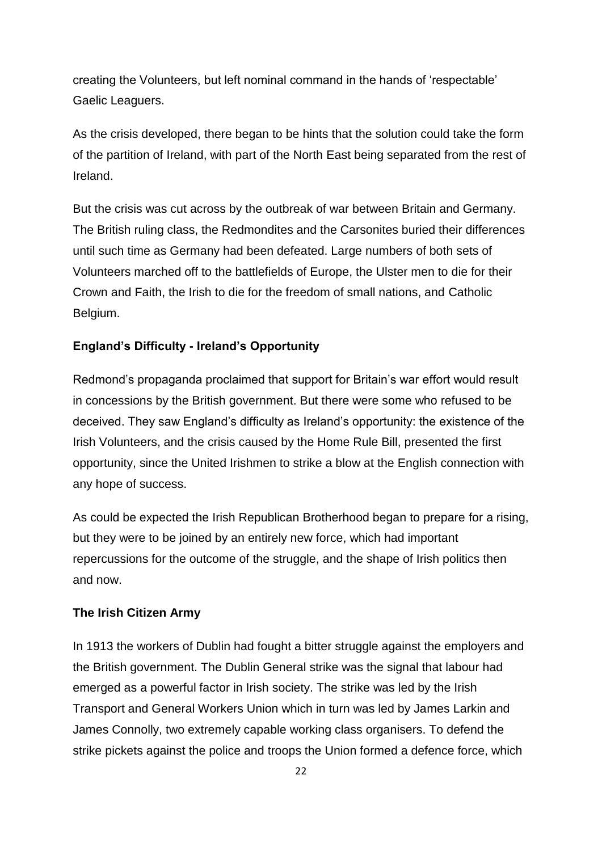creating the Volunteers, but left nominal command in the hands of "respectable" Gaelic Leaguers.

As the crisis developed, there began to be hints that the solution could take the form of the partition of Ireland, with part of the North East being separated from the rest of Ireland.

But the crisis was cut across by the outbreak of war between Britain and Germany. The British ruling class, the Redmondites and the Carsonites buried their differences until such time as Germany had been defeated. Large numbers of both sets of Volunteers marched off to the battlefields of Europe, the Ulster men to die for their Crown and Faith, the Irish to die for the freedom of small nations, and Catholic Belgium.

#### **England"s Difficulty - Ireland"s Opportunity**

Redmond"s propaganda proclaimed that support for Britain"s war effort would result in concessions by the British government. But there were some who refused to be deceived. They saw England"s difficulty as Ireland"s opportunity: the existence of the Irish Volunteers, and the crisis caused by the Home Rule Bill, presented the first opportunity, since the United Irishmen to strike a blow at the English connection with any hope of success.

As could be expected the Irish Republican Brotherhood began to prepare for a rising, but they were to be joined by an entirely new force, which had important repercussions for the outcome of the struggle, and the shape of Irish politics then and now.

#### **The Irish Citizen Army**

In 1913 the workers of Dublin had fought a bitter struggle against the employers and the British government. The Dublin General strike was the signal that labour had emerged as a powerful factor in Irish society. The strike was led by the Irish Transport and General Workers Union which in turn was led by James Larkin and James Connolly, two extremely capable working class organisers. To defend the strike pickets against the police and troops the Union formed a defence force, which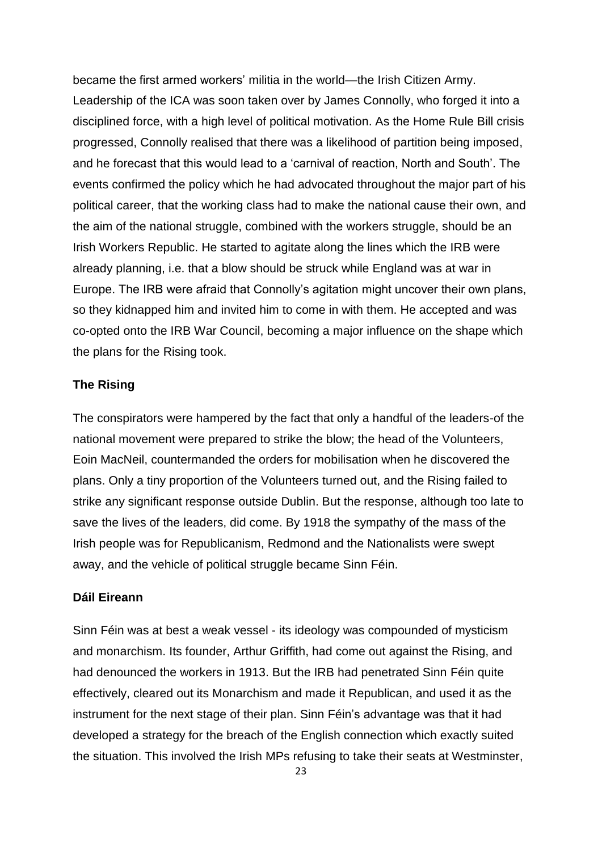became the first armed workers" militia in the world—the Irish Citizen Army. Leadership of the ICA was soon taken over by James Connolly, who forged it into a disciplined force, with a high level of political motivation. As the Home Rule Bill crisis progressed, Connolly realised that there was a likelihood of partition being imposed, and he forecast that this would lead to a "carnival of reaction, North and South". The events confirmed the policy which he had advocated throughout the major part of his political career, that the working class had to make the national cause their own, and the aim of the national struggle, combined with the workers struggle, should be an Irish Workers Republic. He started to agitate along the lines which the IRB were already planning, i.e. that a blow should be struck while England was at war in Europe. The IRB were afraid that Connolly"s agitation might uncover their own plans, so they kidnapped him and invited him to come in with them. He accepted and was co-opted onto the IRB War Council, becoming a major influence on the shape which the plans for the Rising took.

#### **The Rising**

The conspirators were hampered by the fact that only a handful of the leaders-of the national movement were prepared to strike the blow; the head of the Volunteers, Eoin MacNeil, countermanded the orders for mobilisation when he discovered the plans. Only a tiny proportion of the Volunteers turned out, and the Rising failed to strike any significant response outside Dublin. But the response, although too late to save the lives of the leaders, did come. By 1918 the sympathy of the mass of the Irish people was for Republicanism, Redmond and the Nationalists were swept away, and the vehicle of political struggle became Sinn Féin.

#### **Dáil Eireann**

Sinn Féin was at best a weak vessel - its ideology was compounded of mysticism and monarchism. Its founder, Arthur Griffith, had come out against the Rising, and had denounced the workers in 1913. But the IRB had penetrated Sinn Féin quite effectively, cleared out its Monarchism and made it Republican, and used it as the instrument for the next stage of their plan. Sinn Féin"s advantage was that it had developed a strategy for the breach of the English connection which exactly suited the situation. This involved the Irish MPs refusing to take their seats at Westminster,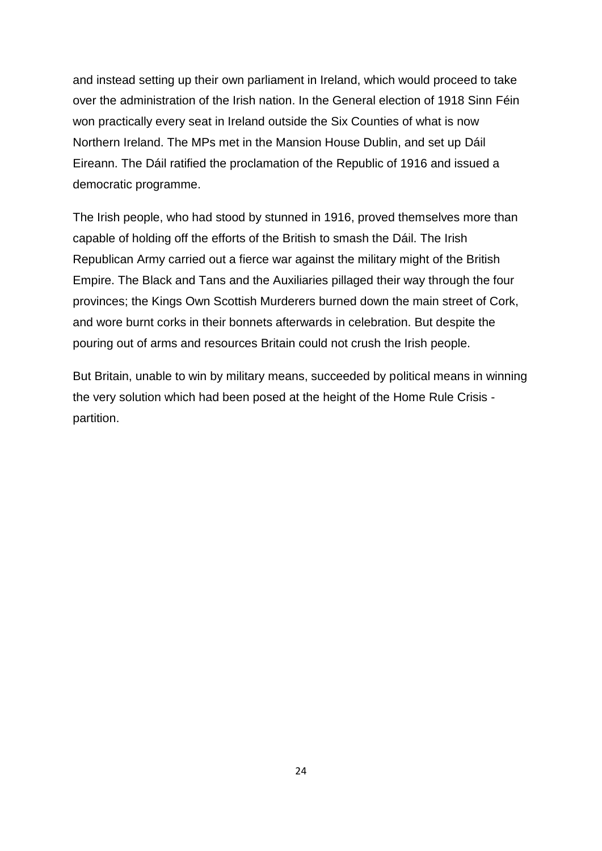and instead setting up their own parliament in Ireland, which would proceed to take over the administration of the Irish nation. In the General election of 1918 Sinn Féin won practically every seat in Ireland outside the Six Counties of what is now Northern Ireland. The MPs met in the Mansion House Dublin, and set up Dáil Eireann. The Dáil ratified the proclamation of the Republic of 1916 and issued a democratic programme.

The Irish people, who had stood by stunned in 1916, proved themselves more than capable of holding off the efforts of the British to smash the Dáil. The Irish Republican Army carried out a fierce war against the military might of the British Empire. The Black and Tans and the Auxiliaries pillaged their way through the four provinces; the Kings Own Scottish Murderers burned down the main street of Cork, and wore burnt corks in their bonnets afterwards in celebration. But despite the pouring out of arms and resources Britain could not crush the Irish people.

But Britain, unable to win by military means, succeeded by political means in winning the very solution which had been posed at the height of the Home Rule Crisis partition.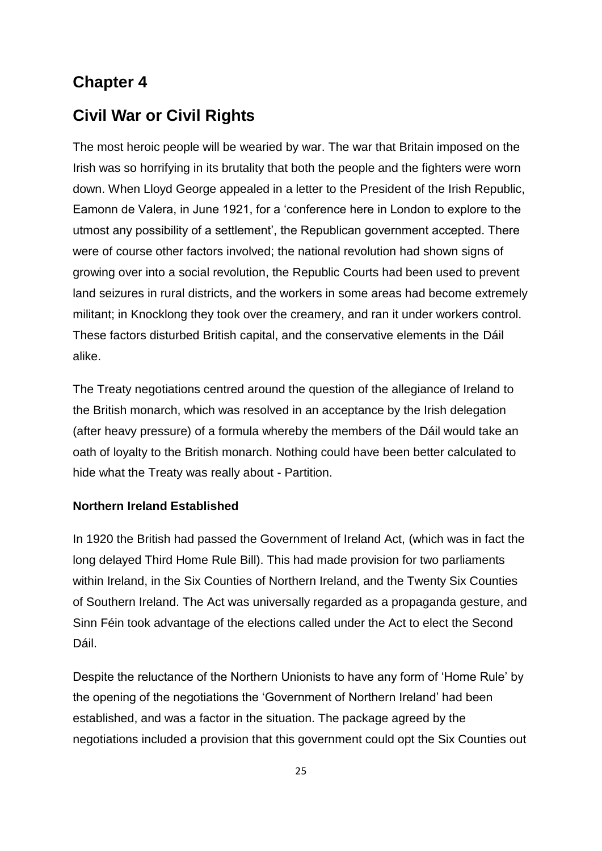# **Chapter 4**

# **Civil War or Civil Rights**

The most heroic people will be wearied by war. The war that Britain imposed on the Irish was so horrifying in its brutality that both the people and the fighters were worn down. When Lloyd George appealed in a letter to the President of the Irish Republic, Eamonn de Valera, in June 1921, for a "conference here in London to explore to the utmost any possibility of a settlement", the Republican government accepted. There were of course other factors involved; the national revolution had shown signs of growing over into a social revolution, the Republic Courts had been used to prevent land seizures in rural districts, and the workers in some areas had become extremely militant; in Knocklong they took over the creamery, and ran it under workers control. These factors disturbed British capital, and the conservative elements in the Dáil alike.

The Treaty negotiations centred around the question of the allegiance of Ireland to the British monarch, which was resolved in an acceptance by the Irish delegation (after heavy pressure) of a formula whereby the members of the Dáil would take an oath of loyalty to the British monarch. Nothing could have been better calculated to hide what the Treaty was really about - Partition.

#### **Northern Ireland Established**

In 1920 the British had passed the Government of Ireland Act, (which was in fact the long delayed Third Home Rule Bill). This had made provision for two parliaments within Ireland, in the Six Counties of Northern Ireland, and the Twenty Six Counties of Southern Ireland. The Act was universally regarded as a propaganda gesture, and Sinn Féin took advantage of the elections called under the Act to elect the Second Dáil.

Despite the reluctance of the Northern Unionists to have any form of "Home Rule" by the opening of the negotiations the "Government of Northern Ireland" had been established, and was a factor in the situation. The package agreed by the negotiations included a provision that this government could opt the Six Counties out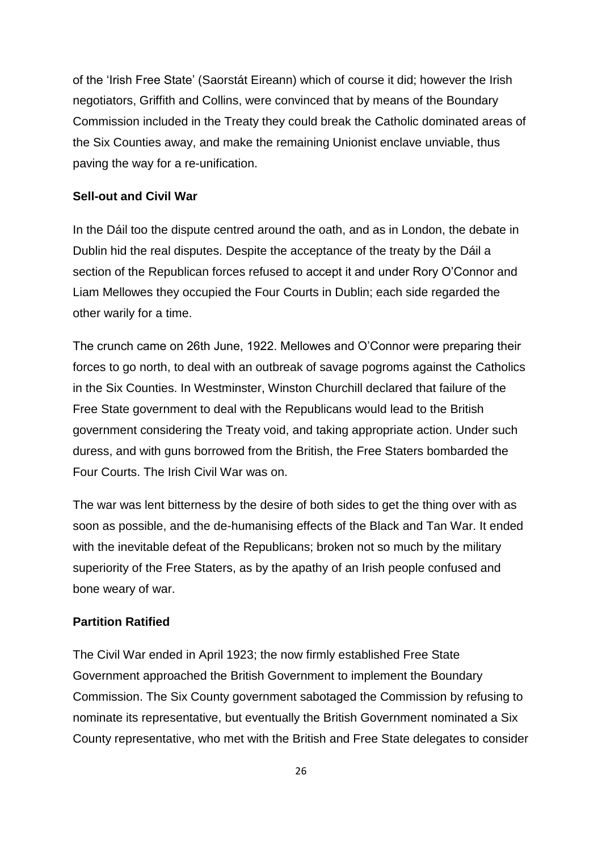of the "Irish Free State" (Saorstát Eireann) which of course it did; however the Irish negotiators, Griffith and Collins, were convinced that by means of the Boundary Commission included in the Treaty they could break the Catholic dominated areas of the Six Counties away, and make the remaining Unionist enclave unviable, thus paving the way for a re-unification.

#### **Sell-out and Civil War**

In the Dáil too the dispute centred around the oath, and as in London, the debate in Dublin hid the real disputes. Despite the acceptance of the treaty by the Dáil a section of the Republican forces refused to accept it and under Rory O"Connor and Liam Mellowes they occupied the Four Courts in Dublin; each side regarded the other warily for a time.

The crunch came on 26th June, 1922. Mellowes and O"Connor were preparing their forces to go north, to deal with an outbreak of savage pogroms against the Catholics in the Six Counties. In Westminster, Winston Churchill declared that failure of the Free State government to deal with the Republicans would lead to the British government considering the Treaty void, and taking appropriate action. Under such duress, and with guns borrowed from the British, the Free Staters bombarded the Four Courts. The Irish Civil War was on.

The war was lent bitterness by the desire of both sides to get the thing over with as soon as possible, and the de-humanising effects of the Black and Tan War. It ended with the inevitable defeat of the Republicans; broken not so much by the military superiority of the Free Staters, as by the apathy of an Irish people confused and bone weary of war.

#### **Partition Ratified**

The Civil War ended in April 1923; the now firmly established Free State Government approached the British Government to implement the Boundary Commission. The Six County government sabotaged the Commission by refusing to nominate its representative, but eventually the British Government nominated a Six County representative, who met with the British and Free State delegates to consider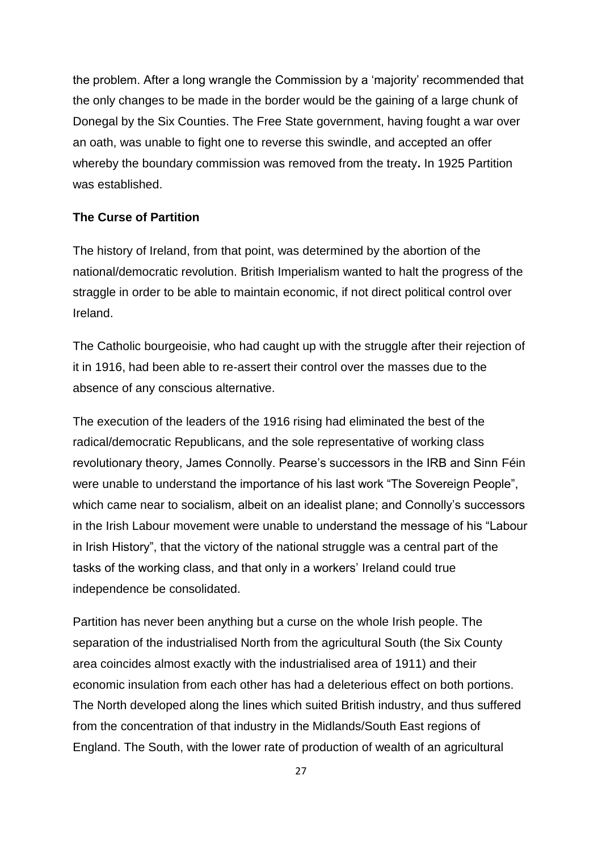the problem. After a long wrangle the Commission by a "majority" recommended that the only changes to be made in the border would be the gaining of a large chunk of Donegal by the Six Counties. The Free State government, having fought a war over an oath, was unable to fight one to reverse this swindle, and accepted an offer whereby the boundary commission was removed from the treaty**.** In 1925 Partition was established.

#### **The Curse of Partition**

The history of Ireland, from that point, was determined by the abortion of the national/democratic revolution. British Imperialism wanted to halt the progress of the straggle in order to be able to maintain economic, if not direct political control over Ireland.

The Catholic bourgeoisie, who had caught up with the struggle after their rejection of it in 1916, had been able to re-assert their control over the masses due to the absence of any conscious alternative.

The execution of the leaders of the 1916 rising had eliminated the best of the radical/democratic Republicans, and the sole representative of working class revolutionary theory, James Connolly. Pearse's successors in the IRB and Sinn Féin were unable to understand the importance of his last work "The Sovereign People", which came near to socialism, albeit on an idealist plane; and Connolly's successors in the Irish Labour movement were unable to understand the message of his "Labour in Irish History", that the victory of the national struggle was a central part of the tasks of the working class, and that only in a workers" Ireland could true independence be consolidated.

Partition has never been anything but a curse on the whole Irish people. The separation of the industrialised North from the agricultural South (the Six County area coincides almost exactly with the industrialised area of 1911) and their economic insulation from each other has had a deleterious effect on both portions. The North developed along the lines which suited British industry, and thus suffered from the concentration of that industry in the Midlands/South East regions of England. The South, with the lower rate of production of wealth of an agricultural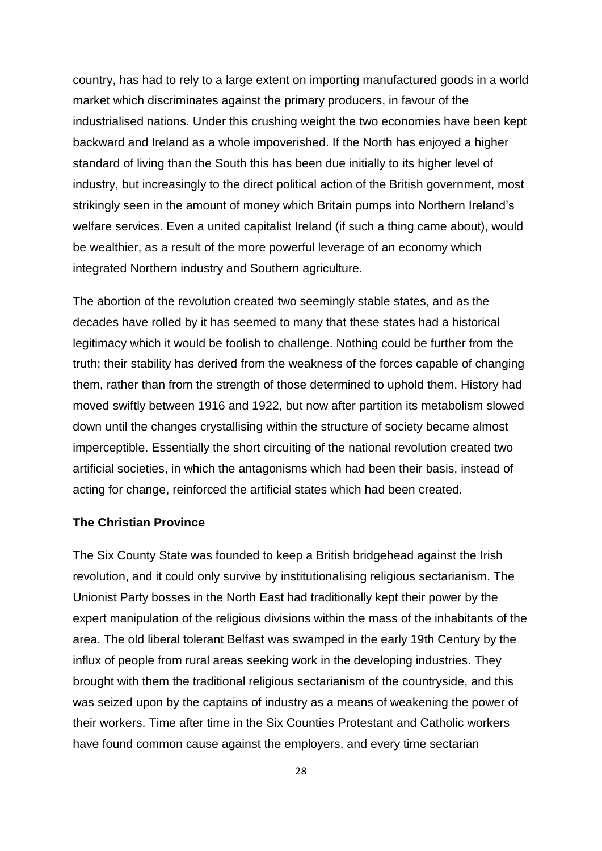country, has had to rely to a large extent on importing manufactured goods in a world market which discriminates against the primary producers, in favour of the industrialised nations. Under this crushing weight the two economies have been kept backward and Ireland as a whole impoverished. If the North has enjoyed a higher standard of living than the South this has been due initially to its higher level of industry, but increasingly to the direct political action of the British government, most strikingly seen in the amount of money which Britain pumps into Northern Ireland"s welfare services. Even a united capitalist Ireland (if such a thing came about), would be wealthier, as a result of the more powerful leverage of an economy which integrated Northern industry and Southern agriculture.

The abortion of the revolution created two seemingly stable states, and as the decades have rolled by it has seemed to many that these states had a historical legitimacy which it would be foolish to challenge. Nothing could be further from the truth; their stability has derived from the weakness of the forces capable of changing them, rather than from the strength of those determined to uphold them. History had moved swiftly between 1916 and 1922, but now after partition its metabolism slowed down until the changes crystallising within the structure of society became almost imperceptible. Essentially the short circuiting of the national revolution created two artificial societies, in which the antagonisms which had been their basis, instead of acting for change, reinforced the artificial states which had been created.

#### **The Christian Province**

The Six County State was founded to keep a British bridgehead against the Irish revolution, and it could only survive by institutionalising religious sectarianism. The Unionist Party bosses in the North East had traditionally kept their power by the expert manipulation of the religious divisions within the mass of the inhabitants of the area. The old liberal tolerant Belfast was swamped in the early 19th Century by the influx of people from rural areas seeking work in the developing industries. They brought with them the traditional religious sectarianism of the countryside, and this was seized upon by the captains of industry as a means of weakening the power of their workers. Time after time in the Six Counties Protestant and Catholic workers have found common cause against the employers, and every time sectarian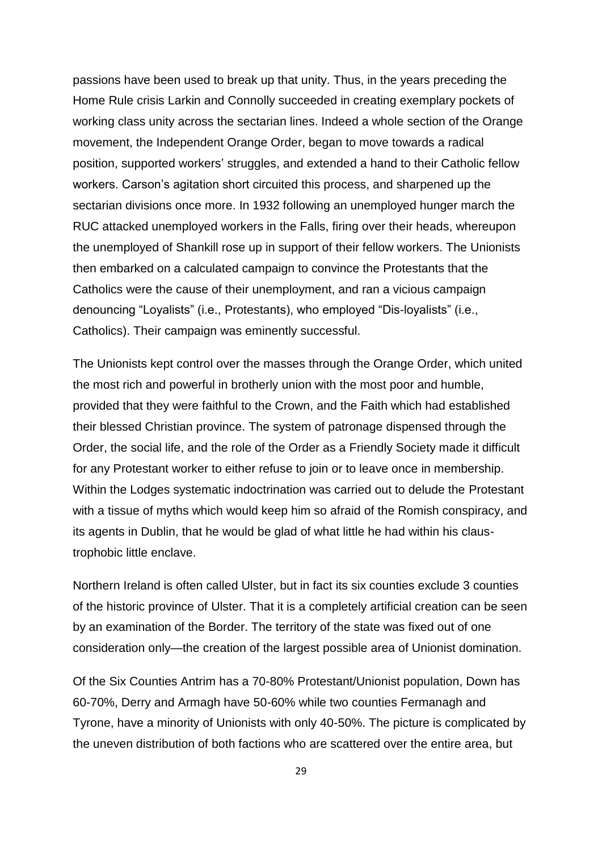passions have been used to break up that unity. Thus, in the years preceding the Home Rule crisis Larkin and Connolly succeeded in creating exemplary pockets of working class unity across the sectarian lines. Indeed a whole section of the Orange movement, the Independent Orange Order, began to move towards a radical position, supported workers" struggles, and extended a hand to their Catholic fellow workers. Carson"s agitation short circuited this process, and sharpened up the sectarian divisions once more. In 1932 following an unemployed hunger march the RUC attacked unemployed workers in the Falls, firing over their heads, whereupon the unemployed of Shankill rose up in support of their fellow workers. The Unionists then embarked on a calculated campaign to convince the Protestants that the Catholics were the cause of their unemployment, and ran a vicious campaign denouncing "Loyalists" (i.e., Protestants), who employed "Dis-loyalists" (i.e., Catholics). Their campaign was eminently successful.

The Unionists kept control over the masses through the Orange Order, which united the most rich and powerful in brotherly union with the most poor and humble, provided that they were faithful to the Crown, and the Faith which had established their blessed Christian province. The system of patronage dispensed through the Order, the social life, and the role of the Order as a Friendly Society made it difficult for any Protestant worker to either refuse to join or to leave once in membership. Within the Lodges systematic indoctrination was carried out to delude the Protestant with a tissue of myths which would keep him so afraid of the Romish conspiracy, and its agents in Dublin, that he would be glad of what little he had within his claustrophobic little enclave.

Northern Ireland is often called Ulster, but in fact its six counties exclude 3 counties of the historic province of Ulster. That it is a completely artificial creation can be seen by an examination of the Border. The territory of the state was fixed out of one consideration only—the creation of the largest possible area of Unionist domination.

Of the Six Counties Antrim has a 70-80% Protestant/Unionist population, Down has 60-70%, Derry and Armagh have 50-60% while two counties Fermanagh and Tyrone, have a minority of Unionists with only 40-50%. The picture is complicated by the uneven distribution of both factions who are scattered over the entire area, but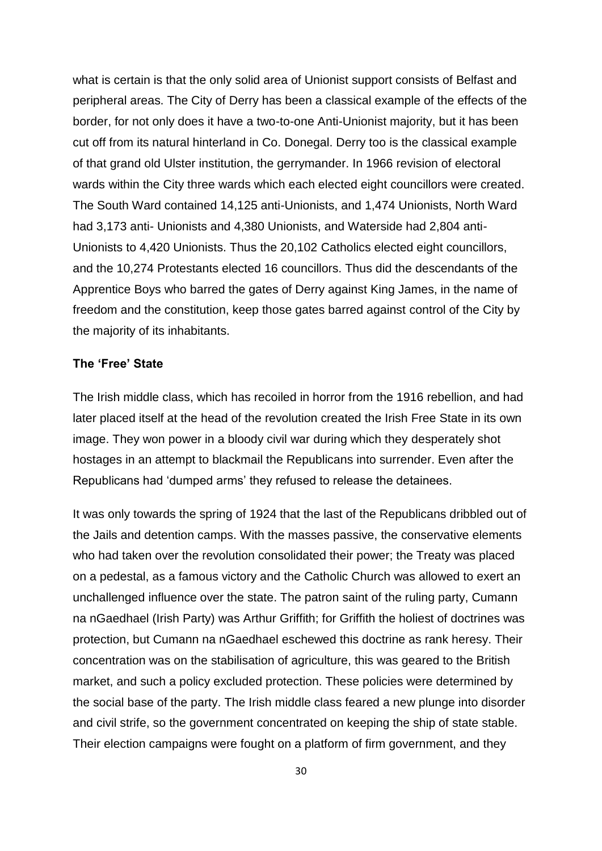what is certain is that the only solid area of Unionist support consists of Belfast and peripheral areas. The City of Derry has been a classical example of the effects of the border, for not only does it have a two-to-one Anti-Unionist majority, but it has been cut off from its natural hinterland in Co. Donegal. Derry too is the classical example of that grand old Ulster institution, the gerrymander. In 1966 revision of electoral wards within the City three wards which each elected eight councillors were created. The South Ward contained 14,125 anti-Unionists, and 1,474 Unionists, North Ward had 3,173 anti- Unionists and 4,380 Unionists, and Waterside had 2,804 anti-Unionists to 4,420 Unionists. Thus the 20,102 Catholics elected eight councillors, and the 10,274 Protestants elected 16 councillors. Thus did the descendants of the Apprentice Boys who barred the gates of Derry against King James, in the name of freedom and the constitution, keep those gates barred against control of the City by the majority of its inhabitants.

#### **The "Free" State**

The Irish middle class, which has recoiled in horror from the 1916 rebellion, and had later placed itself at the head of the revolution created the Irish Free State in its own image. They won power in a bloody civil war during which they desperately shot hostages in an attempt to blackmail the Republicans into surrender. Even after the Republicans had "dumped arms" they refused to release the detainees.

It was only towards the spring of 1924 that the last of the Republicans dribbled out of the Jails and detention camps. With the masses passive, the conservative elements who had taken over the revolution consolidated their power; the Treaty was placed on a pedestal, as a famous victory and the Catholic Church was allowed to exert an unchallenged influence over the state. The patron saint of the ruling party, Cumann na nGaedhael (Irish Party) was Arthur Griffith; for Griffith the holiest of doctrines was protection, but Cumann na nGaedhael eschewed this doctrine as rank heresy. Their concentration was on the stabilisation of agriculture, this was geared to the British market, and such a policy excluded protection. These policies were determined by the social base of the party. The Irish middle class feared a new plunge into disorder and civil strife, so the government concentrated on keeping the ship of state stable. Their election campaigns were fought on a platform of firm government, and they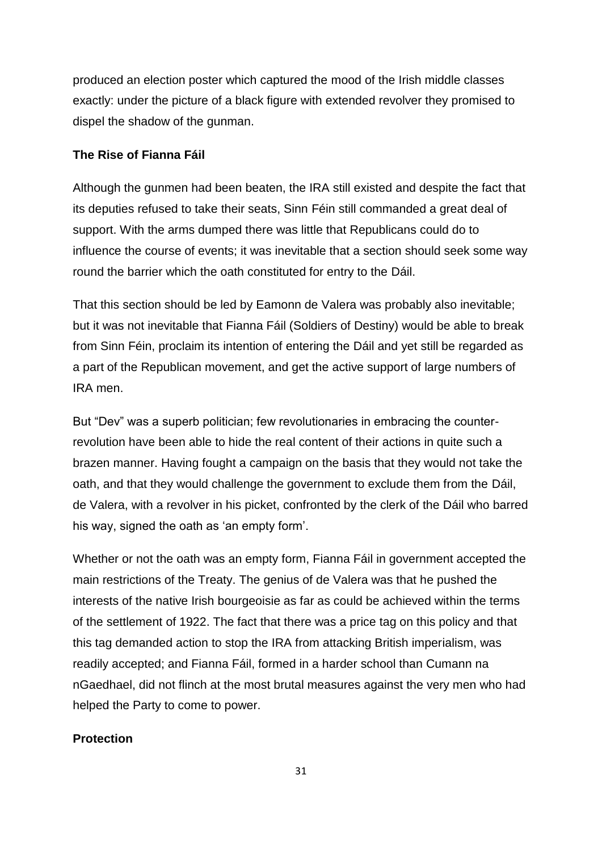produced an election poster which captured the mood of the Irish middle classes exactly: under the picture of a black figure with extended revolver they promised to dispel the shadow of the gunman.

#### **The Rise of Fianna Fáil**

Although the gunmen had been beaten, the IRA still existed and despite the fact that its deputies refused to take their seats, Sinn Féin still commanded a great deal of support. With the arms dumped there was little that Republicans could do to influence the course of events; it was inevitable that a section should seek some way round the barrier which the oath constituted for entry to the Dáil.

That this section should be led by Eamonn de Valera was probably also inevitable; but it was not inevitable that Fianna Fáil (Soldiers of Destiny) would be able to break from Sinn Féin, proclaim its intention of entering the Dáil and yet still be regarded as a part of the Republican movement, and get the active support of large numbers of IRA men.

But "Dev" was a superb politician; few revolutionaries in embracing the counterrevolution have been able to hide the real content of their actions in quite such a brazen manner. Having fought a campaign on the basis that they would not take the oath, and that they would challenge the government to exclude them from the Dáil, de Valera, with a revolver in his picket, confronted by the clerk of the Dáil who barred his way, signed the oath as 'an empty form'.

Whether or not the oath was an empty form, Fianna Fáil in government accepted the main restrictions of the Treaty. The genius of de Valera was that he pushed the interests of the native Irish bourgeoisie as far as could be achieved within the terms of the settlement of 1922. The fact that there was a price tag on this policy and that this tag demanded action to stop the IRA from attacking British imperialism, was readily accepted; and Fianna Fáil, formed in a harder school than Cumann na nGaedhael, did not flinch at the most brutal measures against the very men who had helped the Party to come to power.

#### **Protection**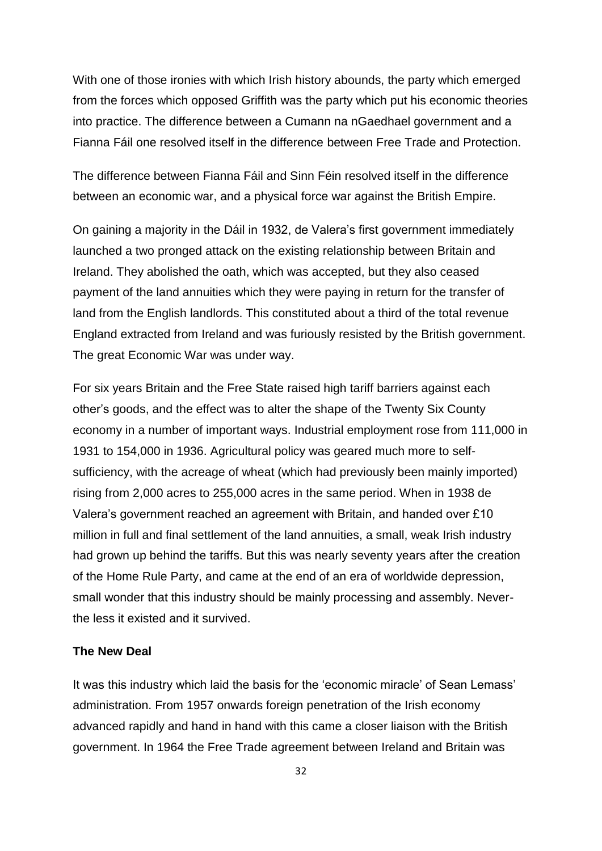With one of those ironies with which Irish history abounds, the party which emerged from the forces which opposed Griffith was the party which put his economic theories into practice. The difference between a Cumann na nGaedhael government and a Fianna Fáil one resolved itself in the difference between Free Trade and Protection.

The difference between Fianna Fáil and Sinn Féin resolved itself in the difference between an economic war, and a physical force war against the British Empire.

On gaining a majority in the Dáil in 1932, de Valera"s first government immediately launched a two pronged attack on the existing relationship between Britain and Ireland. They abolished the oath, which was accepted, but they also ceased payment of the land annuities which they were paying in return for the transfer of land from the English landlords. This constituted about a third of the total revenue England extracted from Ireland and was furiously resisted by the British government. The great Economic War was under way.

For six years Britain and the Free State raised high tariff barriers against each other"s goods, and the effect was to alter the shape of the Twenty Six County economy in a number of important ways. Industrial employment rose from 111,000 in 1931 to 154,000 in 1936. Agricultural policy was geared much more to selfsufficiency, with the acreage of wheat (which had previously been mainly imported) rising from 2,000 acres to 255,000 acres in the same period. When in 1938 de Valera"s government reached an agreement with Britain, and handed over £10 million in full and final settlement of the land annuities, a small, weak Irish industry had grown up behind the tariffs. But this was nearly seventy years after the creation of the Home Rule Party, and came at the end of an era of worldwide depression, small wonder that this industry should be mainly processing and assembly. Neverthe less it existed and it survived.

#### **The New Deal**

It was this industry which laid the basis for the 'economic miracle' of Sean Lemass' administration. From 1957 onwards foreign penetration of the Irish economy advanced rapidly and hand in hand with this came a closer liaison with the British government. In 1964 the Free Trade agreement between Ireland and Britain was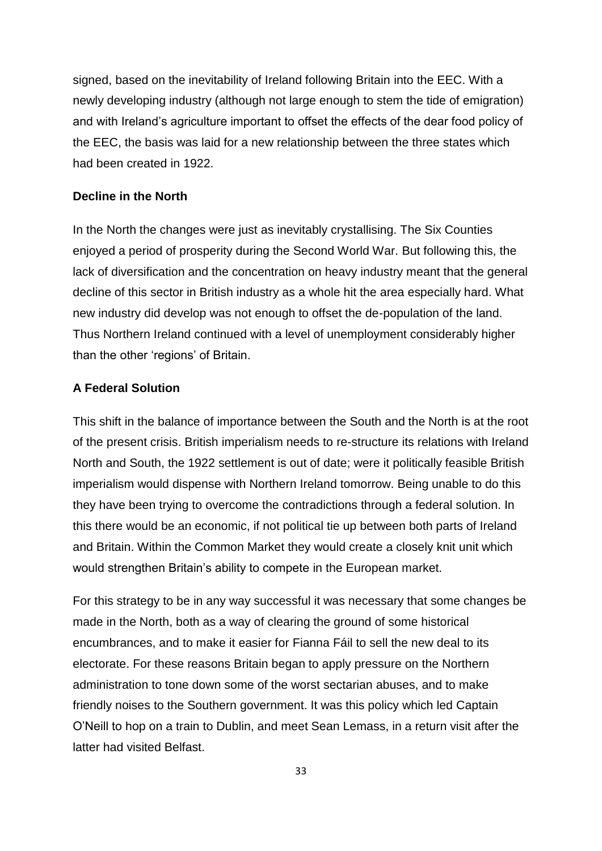signed, based on the inevitability of Ireland following Britain into the EEC. With a newly developing industry (although not large enough to stem the tide of emigration) and with Ireland"s agriculture important to offset the effects of the dear food policy of the EEC, the basis was laid for a new relationship between the three states which had been created in 1922.

#### **Decline in the North**

In the North the changes were just as inevitably crystallising. The Six Counties enjoyed a period of prosperity during the Second World War. But following this, the lack of diversification and the concentration on heavy industry meant that the general decline of this sector in British industry as a whole hit the area especially hard. What new industry did develop was not enough to offset the de-population of the land. Thus Northern Ireland continued with a level of unemployment considerably higher than the other "regions" of Britain.

#### **A Federal Solution**

This shift in the balance of importance between the South and the North is at the root of the present crisis. British imperialism needs to re-structure its relations with Ireland North and South, the 1922 settlement is out of date; were it politically feasible British imperialism would dispense with Northern Ireland tomorrow. Being unable to do this they have been trying to overcome the contradictions through a federal solution. In this there would be an economic, if not political tie up between both parts of Ireland and Britain. Within the Common Market they would create a closely knit unit which would strengthen Britain"s ability to compete in the European market.

For this strategy to be in any way successful it was necessary that some changes be made in the North, both as a way of clearing the ground of some historical encumbrances, and to make it easier for Fianna Fáil to sell the new deal to its electorate. For these reasons Britain began to apply pressure on the Northern administration to tone down some of the worst sectarian abuses, and to make friendly noises to the Southern government. It was this policy which led Captain O"Neill to hop on a train to Dublin, and meet Sean Lemass, in a return visit after the latter had visited Belfast.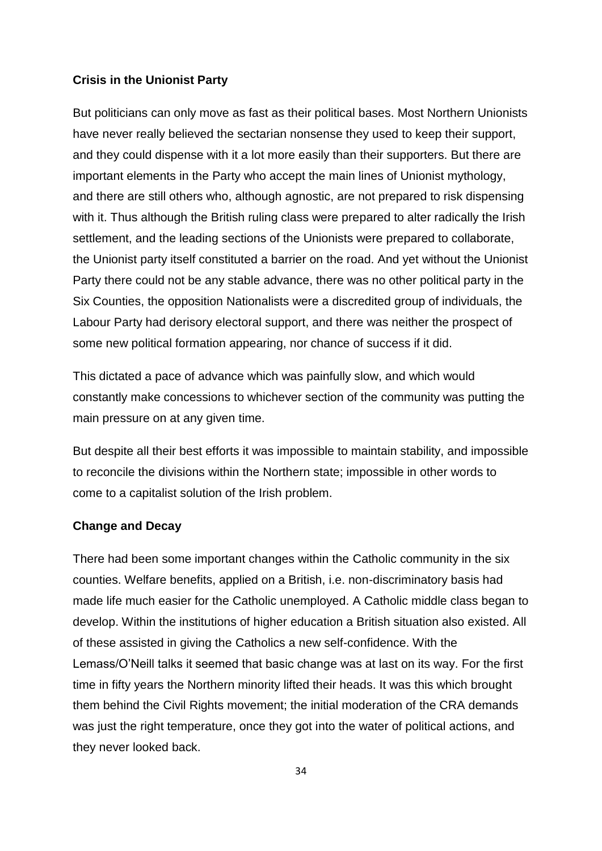#### **Crisis in the Unionist Party**

But politicians can only move as fast as their political bases. Most Northern Unionists have never really believed the sectarian nonsense they used to keep their support, and they could dispense with it a lot more easily than their supporters. But there are important elements in the Party who accept the main lines of Unionist mythology, and there are still others who, although agnostic, are not prepared to risk dispensing with it. Thus although the British ruling class were prepared to alter radically the Irish settlement, and the leading sections of the Unionists were prepared to collaborate, the Unionist party itself constituted a barrier on the road. And yet without the Unionist Party there could not be any stable advance, there was no other political party in the Six Counties, the opposition Nationalists were a discredited group of individuals, the Labour Party had derisory electoral support, and there was neither the prospect of some new political formation appearing, nor chance of success if it did.

This dictated a pace of advance which was painfully slow, and which would constantly make concessions to whichever section of the community was putting the main pressure on at any given time.

But despite all their best efforts it was impossible to maintain stability, and impossible to reconcile the divisions within the Northern state; impossible in other words to come to a capitalist solution of the Irish problem.

#### **Change and Decay**

There had been some important changes within the Catholic community in the six counties. Welfare benefits, applied on a British, i.e. non-discriminatory basis had made life much easier for the Catholic unemployed. A Catholic middle class began to develop. Within the institutions of higher education a British situation also existed. All of these assisted in giving the Catholics a new self-confidence. With the Lemass/O"Neill talks it seemed that basic change was at last on its way. For the first time in fifty years the Northern minority lifted their heads. It was this which brought them behind the Civil Rights movement; the initial moderation of the CRA demands was just the right temperature, once they got into the water of political actions, and they never looked back.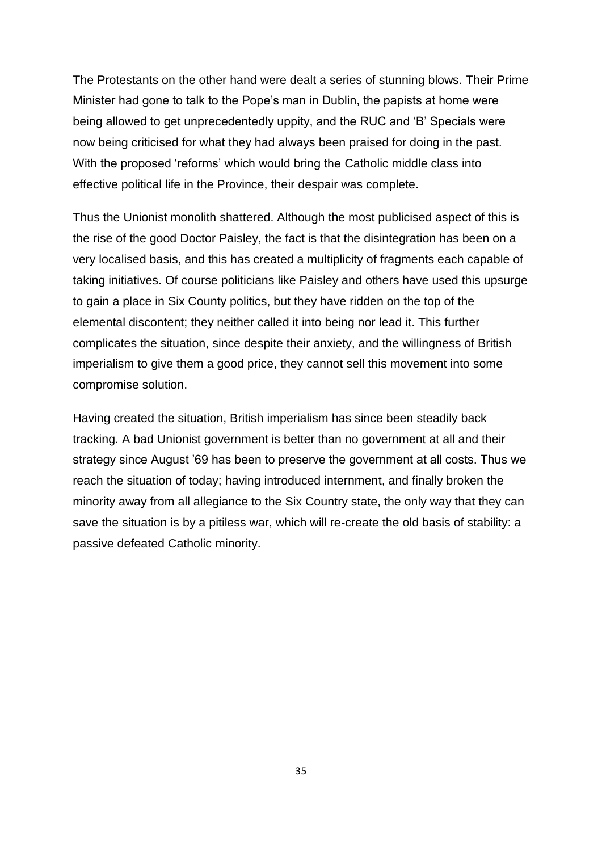The Protestants on the other hand were dealt a series of stunning blows. Their Prime Minister had gone to talk to the Pope"s man in Dublin, the papists at home were being allowed to get unprecedentedly uppity, and the RUC and "B" Specials were now being criticised for what they had always been praised for doing in the past. With the proposed 'reforms' which would bring the Catholic middle class into effective political life in the Province, their despair was complete.

Thus the Unionist monolith shattered. Although the most publicised aspect of this is the rise of the good Doctor Paisley, the fact is that the disintegration has been on a very localised basis, and this has created a multiplicity of fragments each capable of taking initiatives. Of course politicians like Paisley and others have used this upsurge to gain a place in Six County politics, but they have ridden on the top of the elemental discontent; they neither called it into being nor lead it. This further complicates the situation, since despite their anxiety, and the willingness of British imperialism to give them a good price, they cannot sell this movement into some compromise solution.

Having created the situation, British imperialism has since been steadily back tracking. A bad Unionist government is better than no government at all and their strategy since August "69 has been to preserve the government at all costs. Thus we reach the situation of today; having introduced internment, and finally broken the minority away from all allegiance to the Six Country state, the only way that they can save the situation is by a pitiless war, which will re-create the old basis of stability: a passive defeated Catholic minority.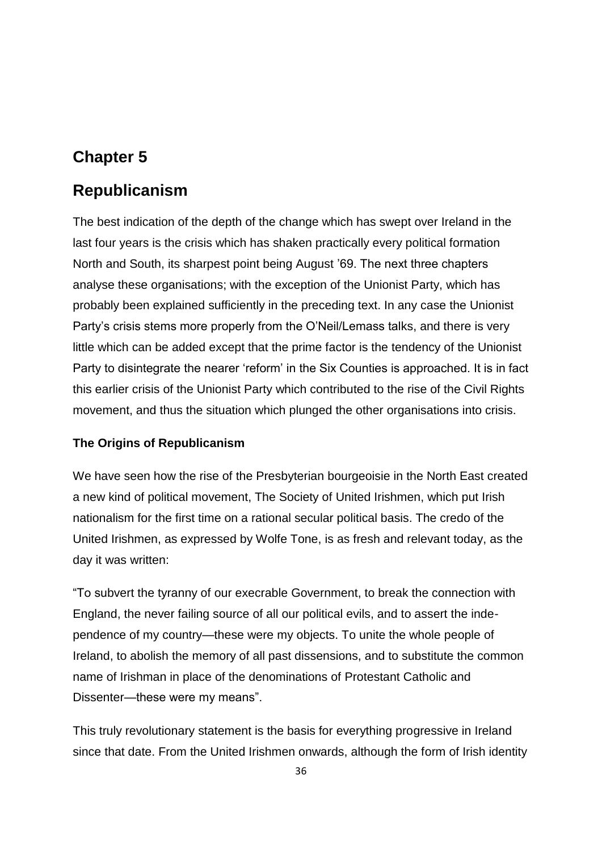# **Chapter 5**

# **Republicanism**

The best indication of the depth of the change which has swept over Ireland in the last four years is the crisis which has shaken practically every political formation North and South, its sharpest point being August "69. The next three chapters analyse these organisations; with the exception of the Unionist Party, which has probably been explained sufficiently in the preceding text. In any case the Unionist Party"s crisis stems more properly from the O"Neil/Lemass talks, and there is very little which can be added except that the prime factor is the tendency of the Unionist Party to disintegrate the nearer "reform" in the Six Counties is approached. It is in fact this earlier crisis of the Unionist Party which contributed to the rise of the Civil Rights movement, and thus the situation which plunged the other organisations into crisis.

### **The Origins of Republicanism**

We have seen how the rise of the Presbyterian bourgeoisie in the North East created a new kind of political movement, The Society of United Irishmen, which put Irish nationalism for the first time on a rational secular political basis. The credo of the United Irishmen, as expressed by Wolfe Tone, is as fresh and relevant today, as the day it was written:

"To subvert the tyranny of our execrable Government, to break the connection with England, the never failing source of all our political evils, and to assert the independence of my country—these were my objects. To unite the whole people of Ireland, to abolish the memory of all past dissensions, and to substitute the common name of Irishman in place of the denominations of Protestant Catholic and Dissenter—these were my means".

This truly revolutionary statement is the basis for everything progressive in Ireland since that date. From the United Irishmen onwards, although the form of Irish identity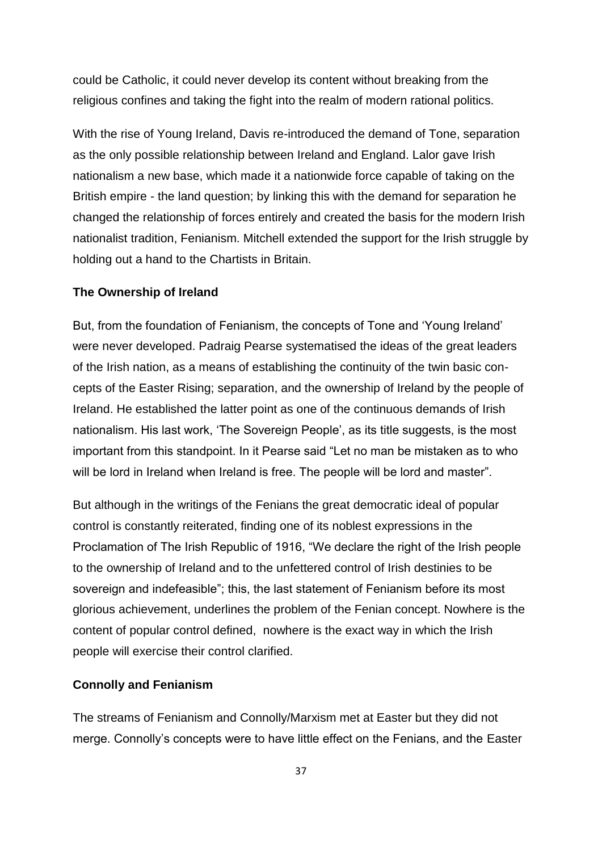could be Catholic, it could never develop its content without breaking from the religious confines and taking the fight into the realm of modern rational politics.

With the rise of Young Ireland, Davis re-introduced the demand of Tone, separation as the only possible relationship between Ireland and England. Lalor gave Irish nationalism a new base, which made it a nationwide force capable of taking on the British empire - the land question; by linking this with the demand for separation he changed the relationship of forces entirely and created the basis for the modern Irish nationalist tradition, Fenianism. Mitchell extended the support for the Irish struggle by holding out a hand to the Chartists in Britain.

#### **The Ownership of Ireland**

But, from the foundation of Fenianism, the concepts of Tone and "Young Ireland" were never developed. Padraig Pearse systematised the ideas of the great leaders of the Irish nation, as a means of establishing the continuity of the twin basic concepts of the Easter Rising; separation, and the ownership of Ireland by the people of Ireland. He established the latter point as one of the continuous demands of Irish nationalism. His last work, 'The Sovereign People', as its title suggests, is the most important from this standpoint. In it Pearse said "Let no man be mistaken as to who will be lord in Ireland when Ireland is free. The people will be lord and master".

But although in the writings of the Fenians the great democratic ideal of popular control is constantly reiterated, finding one of its noblest expressions in the Proclamation of The Irish Republic of 1916, "We declare the right of the Irish people to the ownership of Ireland and to the unfettered control of Irish destinies to be sovereign and indefeasible"; this, the last statement of Fenianism before its most glorious achievement, underlines the problem of the Fenian concept. Nowhere is the content of popular control defined, nowhere is the exact way in which the Irish people will exercise their control clarified.

#### **Connolly and Fenianism**

The streams of Fenianism and Connolly/Marxism met at Easter but they did not merge. Connolly"s concepts were to have little effect on the Fenians, and the Easter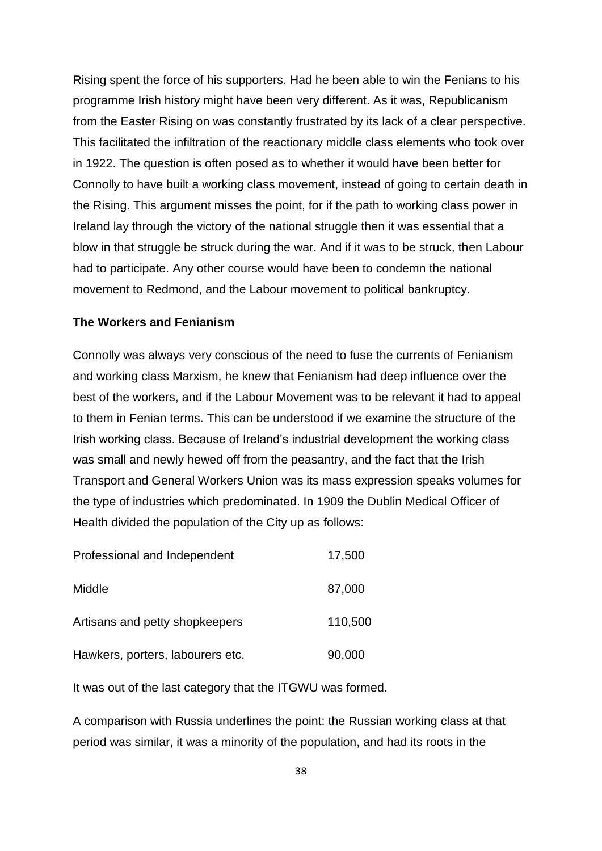Rising spent the force of his supporters. Had he been able to win the Fenians to his programme Irish history might have been very different. As it was, Republicanism from the Easter Rising on was constantly frustrated by its lack of a clear perspective. This facilitated the infiltration of the reactionary middle class elements who took over in 1922. The question is often posed as to whether it would have been better for Connolly to have built a working class movement, instead of going to certain death in the Rising. This argument misses the point, for if the path to working class power in Ireland lay through the victory of the national struggle then it was essential that a blow in that struggle be struck during the war. And if it was to be struck, then Labour had to participate. Any other course would have been to condemn the national movement to Redmond, and the Labour movement to political bankruptcy.

## **The Workers and Fenianism**

Connolly was always very conscious of the need to fuse the currents of Fenianism and working class Marxism, he knew that Fenianism had deep influence over the best of the workers, and if the Labour Movement was to be relevant it had to appeal to them in Fenian terms. This can be understood if we examine the structure of the Irish working class. Because of Ireland"s industrial development the working class was small and newly hewed off from the peasantry, and the fact that the Irish Transport and General Workers Union was its mass expression speaks volumes for the type of industries which predominated. In 1909 the Dublin Medical Officer of Health divided the population of the City up as follows:

| Professional and Independent     | 17,500  |
|----------------------------------|---------|
| Middle                           | 87,000  |
| Artisans and petty shopkeepers   | 110,500 |
| Hawkers, porters, labourers etc. | 90,000  |

It was out of the last category that the ITGWU was formed.

A comparison with Russia underlines the point: the Russian working class at that period was similar, it was a minority of the population, and had its roots in the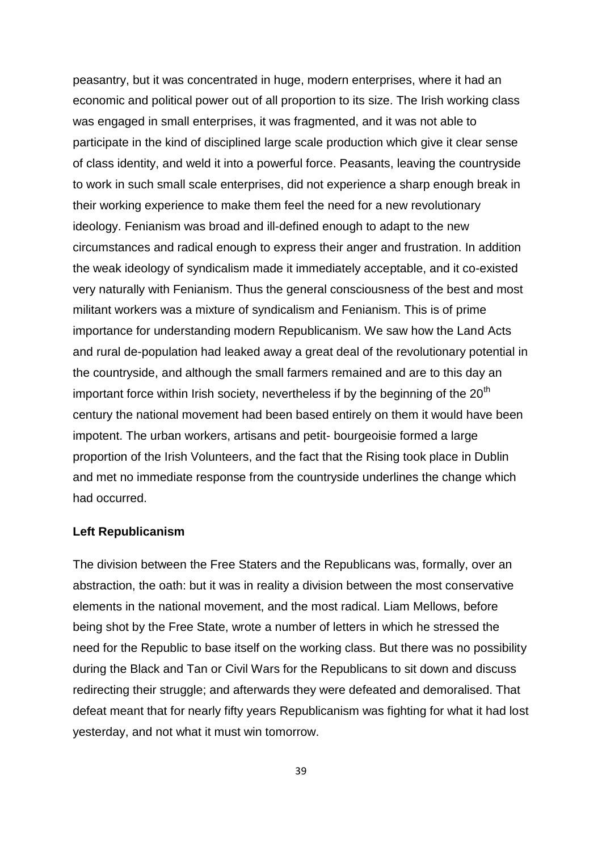peasantry, but it was concentrated in huge, modern enterprises, where it had an economic and political power out of all proportion to its size. The Irish working class was engaged in small enterprises, it was fragmented, and it was not able to participate in the kind of disciplined large scale production which give it clear sense of class identity, and weld it into a powerful force. Peasants, leaving the countryside to work in such small scale enterprises, did not experience a sharp enough break in their working experience to make them feel the need for a new revolutionary ideology. Fenianism was broad and ill-defined enough to adapt to the new circumstances and radical enough to express their anger and frustration. In addition the weak ideology of syndicalism made it immediately acceptable, and it co-existed very naturally with Fenianism. Thus the general consciousness of the best and most militant workers was a mixture of syndicalism and Fenianism. This is of prime importance for understanding modern Republicanism. We saw how the Land Acts and rural de-population had leaked away a great deal of the revolutionary potential in the countryside, and although the small farmers remained and are to this day an important force within Irish society, nevertheless if by the beginning of the  $20<sup>th</sup>$ century the national movement had been based entirely on them it would have been impotent. The urban workers, artisans and petit- bourgeoisie formed a large proportion of the Irish Volunteers, and the fact that the Rising took place in Dublin and met no immediate response from the countryside underlines the change which had occurred.

#### **Left Republicanism**

The division between the Free Staters and the Republicans was, formally, over an abstraction, the oath: but it was in reality a division between the most conservative elements in the national movement, and the most radical. Liam Mellows, before being shot by the Free State, wrote a number of letters in which he stressed the need for the Republic to base itself on the working class. But there was no possibility during the Black and Tan or Civil Wars for the Republicans to sit down and discuss redirecting their struggle; and afterwards they were defeated and demoralised. That defeat meant that for nearly fifty years Republicanism was fighting for what it had lost yesterday, and not what it must win tomorrow.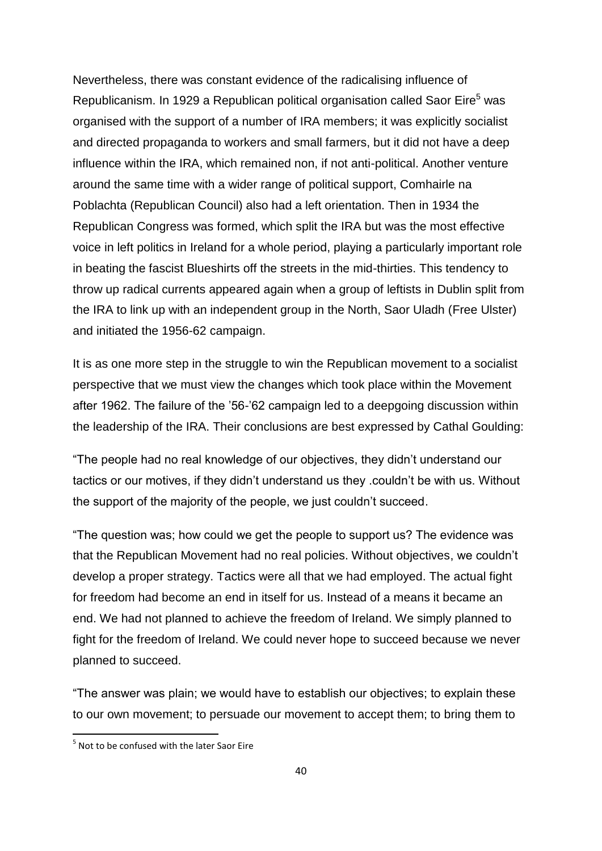Nevertheless, there was constant evidence of the radicalising influence of Republicanism. In 1929 a Republican political organisation called Saor Eire<sup>5</sup> was organised with the support of a number of IRA members; it was explicitly socialist and directed propaganda to workers and small farmers, but it did not have a deep influence within the IRA, which remained non, if not anti-political. Another venture around the same time with a wider range of political support, Comhairle na Poblachta (Republican Council) also had a left orientation. Then in 1934 the Republican Congress was formed, which split the IRA but was the most effective voice in left politics in Ireland for a whole period, playing a particularly important role in beating the fascist Blueshirts off the streets in the mid-thirties. This tendency to throw up radical currents appeared again when a group of leftists in Dublin split from the IRA to link up with an independent group in the North, Saor Uladh (Free Ulster) and initiated the 1956-62 campaign.

It is as one more step in the struggle to win the Republican movement to a socialist perspective that we must view the changes which took place within the Movement after 1962. The failure of the "56-"62 campaign led to a deepgoing discussion within the leadership of the IRA. Their conclusions are best expressed by Cathal Goulding:

"The people had no real knowledge of our objectives, they didn"t understand our tactics or our motives, if they didn"t understand us they .couldn"t be with us. Without the support of the majority of the people, we just couldn"t succeed.

"The question was; how could we get the people to support us? The evidence was that the Republican Movement had no real policies. Without objectives, we couldn"t develop a proper strategy. Tactics were all that we had employed. The actual fight for freedom had become an end in itself for us. Instead of a means it became an end. We had not planned to achieve the freedom of Ireland. We simply planned to fight for the freedom of Ireland. We could never hope to succeed because we never planned to succeed.

"The answer was plain; we would have to establish our objectives; to explain these to our own movement; to persuade our movement to accept them; to bring them to

1

<sup>&</sup>lt;sup>5</sup> Not to be confused with the later Saor Eire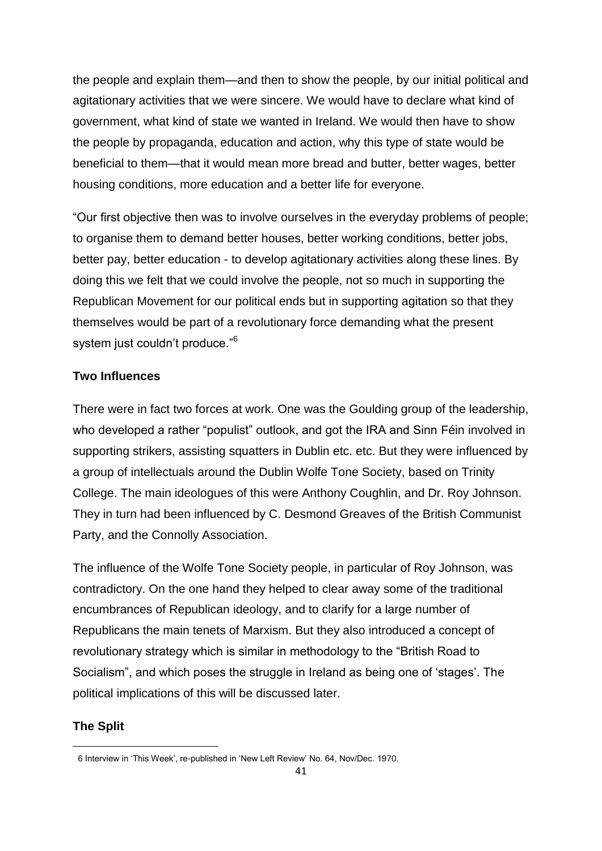the people and explain them—and then to show the people, by our initial political and agitationary activities that we were sincere. We would have to declare what kind of government, what kind of state we wanted in Ireland. We would then have to show the people by propaganda, education and action, why this type of state would be beneficial to them—that it would mean more bread and butter, better wages, better housing conditions, more education and a better life for everyone.

"Our first objective then was to involve ourselves in the everyday problems of people; to organise them to demand better houses, better working conditions, better jobs, better pay, better education - to develop agitationary activities along these lines. By doing this we felt that we could involve the people, not so much in supporting the Republican Movement for our political ends but in supporting agitation so that they themselves would be part of a revolutionary force demanding what the present system just couldn't produce."<sup>6</sup>

## **Two Influences**

There were in fact two forces at work. One was the Goulding group of the leadership, who developed a rather "populist" outlook, and got the IRA and Sinn Féin involved in supporting strikers, assisting squatters in Dublin etc. etc. But they were influenced by a group of intellectuals around the Dublin Wolfe Tone Society, based on Trinity College. The main ideologues of this were Anthony Coughlin, and Dr. Roy Johnson. They in turn had been influenced by C. Desmond Greaves of the British Communist Party, and the Connolly Association.

The influence of the Wolfe Tone Society people, in particular of Roy Johnson, was contradictory. On the one hand they helped to clear away some of the traditional encumbrances of Republican ideology, and to clarify for a large number of Republicans the main tenets of Marxism. But they also introduced a concept of revolutionary strategy which is similar in methodology to the "British Road to Socialism", and which poses the struggle in Ireland as being one of "stages". The political implications of this will be discussed later.

# **The Split**

**.** 

<sup>6</sup> Interview in "This Week", re-published in "New Left Review" No. 64, Nov/Dec. 1970.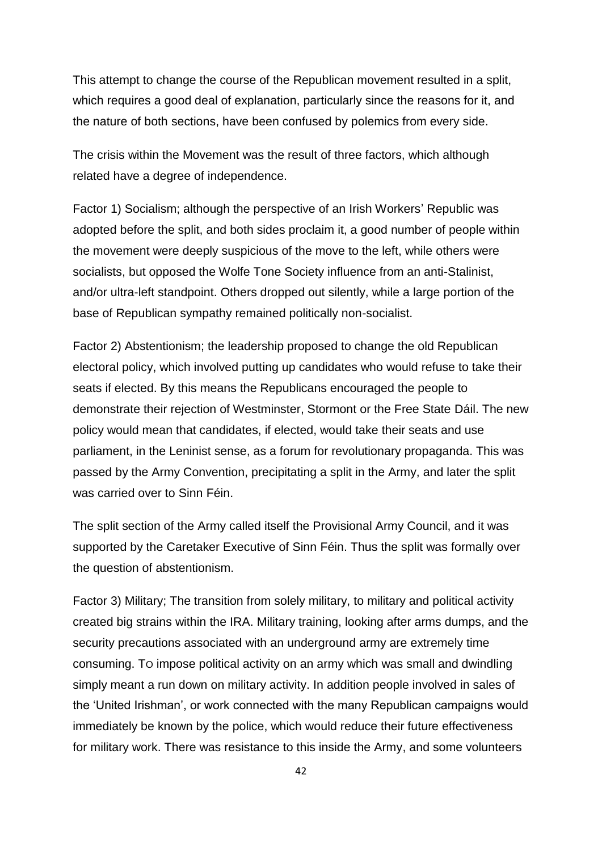This attempt to change the course of the Republican movement resulted in a split, which requires a good deal of explanation, particularly since the reasons for it, and the nature of both sections, have been confused by polemics from every side.

The crisis within the Movement was the result of three factors, which although related have a degree of independence.

Factor 1) Socialism; although the perspective of an Irish Workers" Republic was adopted before the split, and both sides proclaim it, a good number of people within the movement were deeply suspicious of the move to the left, while others were socialists, but opposed the Wolfe Tone Society influence from an anti-Stalinist, and/or ultra-left standpoint. Others dropped out silently, while a large portion of the base of Republican sympathy remained politically non-socialist.

Factor 2) Abstentionism; the leadership proposed to change the old Republican electoral policy, which involved putting up candidates who would refuse to take their seats if elected. By this means the Republicans encouraged the people to demonstrate their rejection of Westminster, Stormont or the Free State Dáil. The new policy would mean that candidates, if elected, would take their seats and use parliament, in the Leninist sense, as a forum for revolutionary propaganda. This was passed by the Army Convention, precipitating a split in the Army, and later the split was carried over to Sinn Féin.

The split section of the Army called itself the Provisional Army Council, and it was supported by the Caretaker Executive of Sinn Féin. Thus the split was formally over the question of abstentionism.

Factor 3) Military; The transition from solely military, to military and political activity created big strains within the IRA. Military training, looking after arms dumps, and the security precautions associated with an underground army are extremely time consuming. TO impose political activity on an army which was small and dwindling simply meant a run down on military activity. In addition people involved in sales of the "United Irishman", or work connected with the many Republican campaigns would immediately be known by the police, which would reduce their future effectiveness for military work. There was resistance to this inside the Army, and some volunteers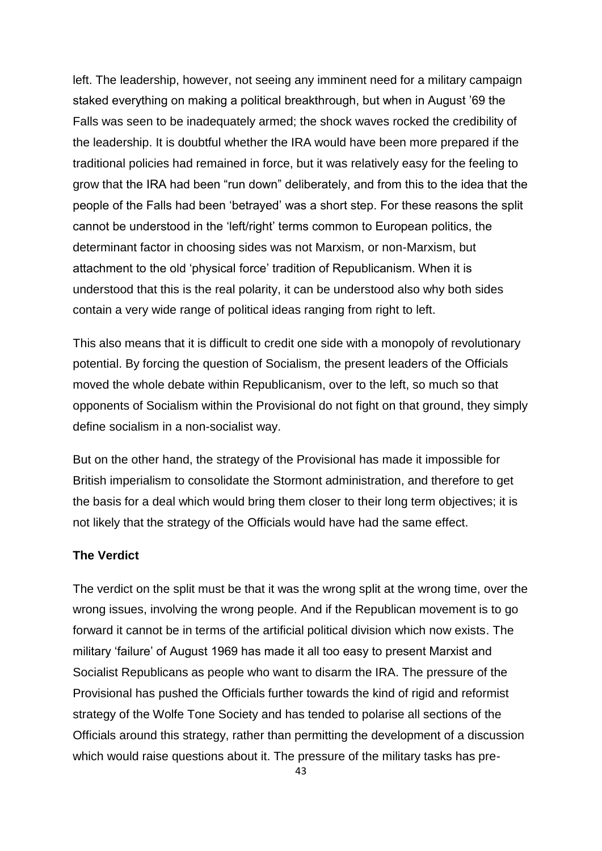left. The leadership, however, not seeing any imminent need for a military campaign staked everything on making a political breakthrough, but when in August "69 the Falls was seen to be inadequately armed; the shock waves rocked the credibility of the leadership. It is doubtful whether the IRA would have been more prepared if the traditional policies had remained in force, but it was relatively easy for the feeling to grow that the IRA had been "run down" deliberately, and from this to the idea that the people of the Falls had been "betrayed" was a short step. For these reasons the split cannot be understood in the "left/right" terms common to European politics, the determinant factor in choosing sides was not Marxism, or non-Marxism, but attachment to the old "physical force" tradition of Republicanism. When it is understood that this is the real polarity, it can be understood also why both sides contain a very wide range of political ideas ranging from right to left.

This also means that it is difficult to credit one side with a monopoly of revolutionary potential. By forcing the question of Socialism, the present leaders of the Officials moved the whole debate within Republicanism, over to the left, so much so that opponents of Socialism within the Provisional do not fight on that ground, they simply define socialism in a non-socialist way.

But on the other hand, the strategy of the Provisional has made it impossible for British imperialism to consolidate the Stormont administration, and therefore to get the basis for a deal which would bring them closer to their long term objectives; it is not likely that the strategy of the Officials would have had the same effect.

## **The Verdict**

The verdict on the split must be that it was the wrong split at the wrong time, over the wrong issues, involving the wrong people. And if the Republican movement is to go forward it cannot be in terms of the artificial political division which now exists. The military "failure" of August 1969 has made it all too easy to present Marxist and Socialist Republicans as people who want to disarm the IRA. The pressure of the Provisional has pushed the Officials further towards the kind of rigid and reformist strategy of the Wolfe Tone Society and has tended to polarise all sections of the Officials around this strategy, rather than permitting the development of a discussion which would raise questions about it. The pressure of the military tasks has pre-

43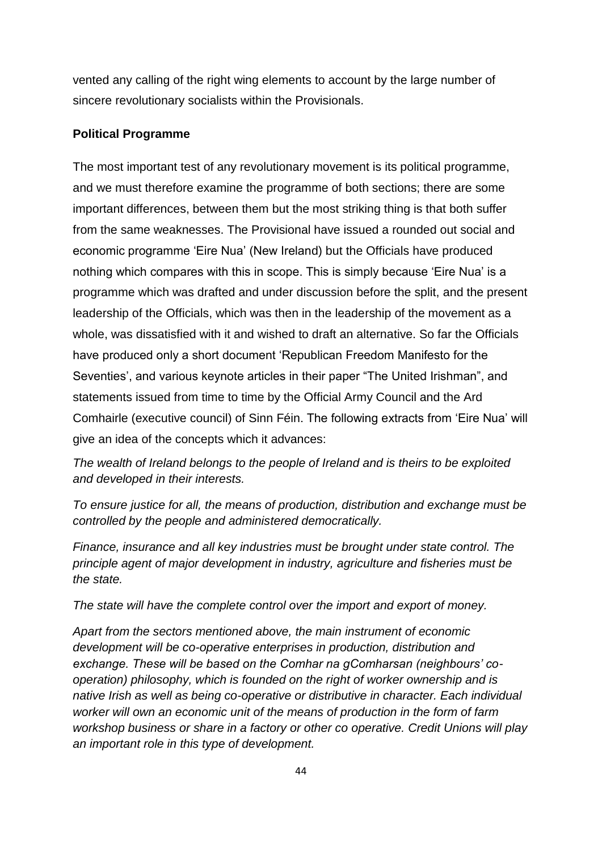vented any calling of the right wing elements to account by the large number of sincere revolutionary socialists within the Provisionals.

## **Political Programme**

The most important test of any revolutionary movement is its political programme, and we must therefore examine the programme of both sections; there are some important differences, between them but the most striking thing is that both suffer from the same weaknesses. The Provisional have issued a rounded out social and economic programme "Eire Nua" (New Ireland) but the Officials have produced nothing which compares with this in scope. This is simply because "Eire Nua" is a programme which was drafted and under discussion before the split, and the present leadership of the Officials, which was then in the leadership of the movement as a whole, was dissatisfied with it and wished to draft an alternative. So far the Officials have produced only a short document "Republican Freedom Manifesto for the Seventies', and various keynote articles in their paper "The United Irishman", and statements issued from time to time by the Official Army Council and the Ard Comhairle (executive council) of Sinn Féin. The following extracts from "Eire Nua" will give an idea of the concepts which it advances:

*The wealth of Ireland belongs to the people of Ireland and is theirs to be exploited and developed in their interests.*

*To ensure justice for all, the means of production, distribution and exchange must be controlled by the people and administered democratically.*

*Finance, insurance and all key industries must be brought under state control. The principle agent of major development in industry, agriculture and fisheries must be the state.*

*The state will have the complete control over the import and export of money.*

*Apart from the sectors mentioned above, the main instrument of economic development will be co-operative enterprises in production, distribution and exchange. These will be based on the Comhar na gComharsan (neighbours' cooperation) philosophy, which is founded on the right of worker ownership and is native Irish as well as being co-operative or distributive in character. Each individual worker will own an economic unit of the means of production in the form of farm workshop business or share in a factory or other co operative. Credit Unions will play an important role in this type of development.*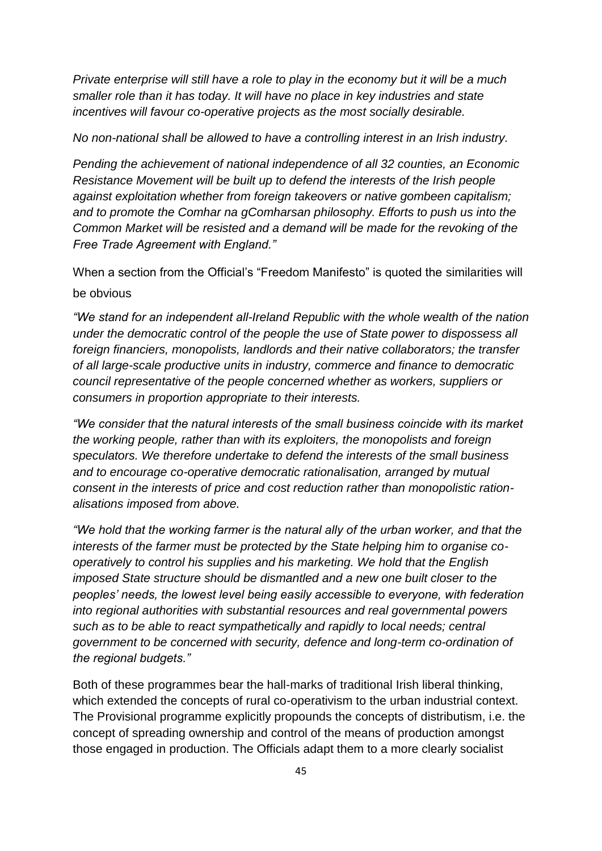*Private enterprise will still have a role to play in the economy but it will be a much smaller role than it has today. It will have no place in key industries and state incentives will favour co-operative projects as the most socially desirable.*

#### *No non-national shall be allowed to have a controlling interest in an Irish industry.*

*Pending the achievement of national independence of all 32 counties, an Economic Resistance Movement will be built up to defend the interests of the Irish people against exploitation whether from foreign takeovers or native gombeen capitalism; and to promote the Comhar na gComharsan philosophy. Efforts to push us into the Common Market will be resisted and a demand will be made for the revoking of the Free Trade Agreement with England."*

When a section from the Official's "Freedom Manifesto" is quoted the similarities will be obvious

*"We stand for an independent all-Ireland Republic with the whole wealth of the nation under the democratic control of the people the use of State power to dispossess all foreign financiers, monopolists, landlords and their native collaborators; the transfer of all large-scale productive units in industry, commerce and finance to democratic council representative of the people concerned whether as workers, suppliers or consumers in proportion appropriate to their interests.*

*"We consider that the natural interests of the small business coincide with its market the working people, rather than with its exploiters, the monopolists and foreign speculators. We therefore undertake to defend the interests of the small business and to encourage co-operative democratic rationalisation, arranged by mutual consent in the interests of price and cost reduction rather than monopolistic rationalisations imposed from above.*

*"We hold that the working farmer is the natural ally of the urban worker, and that the interests of the farmer must be protected by the State helping him to organise cooperatively to control his supplies and his marketing. We hold that the English imposed State structure should be dismantled and a new one built closer to the peoples' needs, the lowest level being easily accessible to everyone, with federation into regional authorities with substantial resources and real governmental powers such as to be able to react sympathetically and rapidly to local needs; central government to be concerned with security, defence and long-term co-ordination of the regional budgets."*

Both of these programmes bear the hall-marks of traditional Irish liberal thinking, which extended the concepts of rural co-operativism to the urban industrial context. The Provisional programme explicitly propounds the concepts of distributism, i.e. the concept of spreading ownership and control of the means of production amongst those engaged in production. The Officials adapt them to a more clearly socialist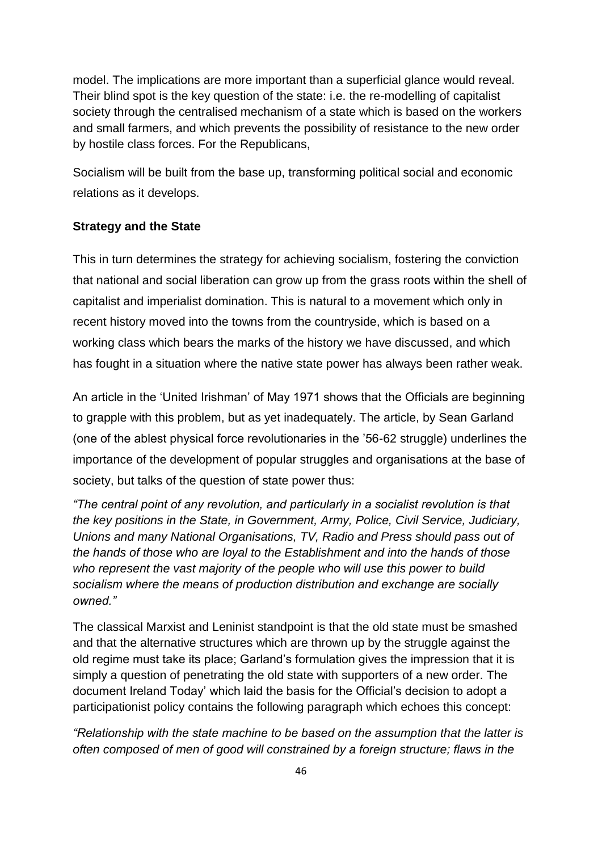model. The implications are more important than a superficial glance would reveal. Their blind spot is the key question of the state: i.e. the re-modelling of capitalist society through the centralised mechanism of a state which is based on the workers and small farmers, and which prevents the possibility of resistance to the new order by hostile class forces. For the Republicans,

Socialism will be built from the base up, transforming political social and economic relations as it develops.

## **Strategy and the State**

This in turn determines the strategy for achieving socialism, fostering the conviction that national and social liberation can grow up from the grass roots within the shell of capitalist and imperialist domination. This is natural to a movement which only in recent history moved into the towns from the countryside, which is based on a working class which bears the marks of the history we have discussed, and which has fought in a situation where the native state power has always been rather weak.

An article in the "United Irishman" of May 1971 shows that the Officials are beginning to grapple with this problem, but as yet inadequately. The article, by Sean Garland (one of the ablest physical force revolutionaries in the "56-62 struggle) underlines the importance of the development of popular struggles and organisations at the base of society, but talks of the question of state power thus:

*"The central point of any revolution, and particularly in a socialist revolution is that the key positions in the State, in Government, Army, Police, Civil Service, Judiciary, Unions and many National Organisations, TV, Radio and Press should pass out of the hands of those who are loyal to the Establishment and into the hands of those who represent the vast majority of the people who will use this power to build socialism where the means of production distribution and exchange are socially owned."*

The classical Marxist and Leninist standpoint is that the old state must be smashed and that the alternative structures which are thrown up by the struggle against the old regime must take its place; Garland"s formulation gives the impression that it is simply a question of penetrating the old state with supporters of a new order. The document Ireland Today" which laid the basis for the Official"s decision to adopt a participationist policy contains the following paragraph which echoes this concept:

*"Relationship with the state machine to be based on the assumption that the latter is often composed of men of good will constrained by a foreign structure; flaws in the*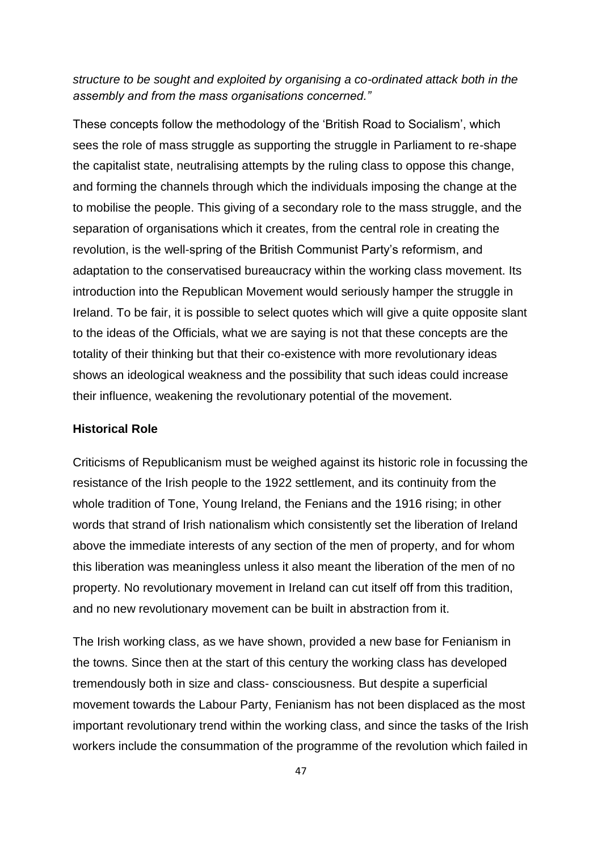## *structure to be sought and exploited by organising a co-ordinated attack both in the assembly and from the mass organisations concerned."*

These concepts follow the methodology of the "British Road to Socialism", which sees the role of mass struggle as supporting the struggle in Parliament to re-shape the capitalist state, neutralising attempts by the ruling class to oppose this change, and forming the channels through which the individuals imposing the change at the to mobilise the people. This giving of a secondary role to the mass struggle, and the separation of organisations which it creates, from the central role in creating the revolution, is the well-spring of the British Communist Party"s reformism, and adaptation to the conservatised bureaucracy within the working class movement. Its introduction into the Republican Movement would seriously hamper the struggle in Ireland. To be fair, it is possible to select quotes which will give a quite opposite slant to the ideas of the Officials, what we are saying is not that these concepts are the totality of their thinking but that their co-existence with more revolutionary ideas shows an ideological weakness and the possibility that such ideas could increase their influence, weakening the revolutionary potential of the movement.

### **Historical Role**

Criticisms of Republicanism must be weighed against its historic role in focussing the resistance of the Irish people to the 1922 settlement, and its continuity from the whole tradition of Tone, Young Ireland, the Fenians and the 1916 rising; in other words that strand of Irish nationalism which consistently set the liberation of Ireland above the immediate interests of any section of the men of property, and for whom this liberation was meaningless unless it also meant the liberation of the men of no property. No revolutionary movement in Ireland can cut itself off from this tradition, and no new revolutionary movement can be built in abstraction from it.

The Irish working class, as we have shown, provided a new base for Fenianism in the towns. Since then at the start of this century the working class has developed tremendously both in size and class- consciousness. But despite a superficial movement towards the Labour Party, Fenianism has not been displaced as the most important revolutionary trend within the working class, and since the tasks of the Irish workers include the consummation of the programme of the revolution which failed in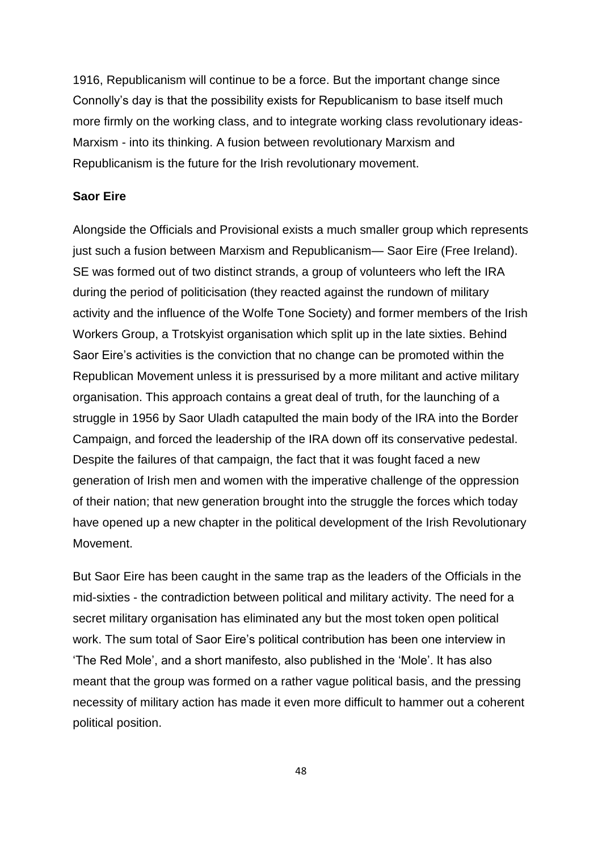1916, Republicanism will continue to be a force. But the important change since Connolly"s day is that the possibility exists for Republicanism to base itself much more firmly on the working class, and to integrate working class revolutionary ideas-Marxism - into its thinking. A fusion between revolutionary Marxism and Republicanism is the future for the Irish revolutionary movement.

## **Saor Eire**

Alongside the Officials and Provisional exists a much smaller group which represents just such a fusion between Marxism and Republicanism— Saor Eire (Free Ireland). SE was formed out of two distinct strands, a group of volunteers who left the IRA during the period of politicisation (they reacted against the rundown of military activity and the influence of the Wolfe Tone Society) and former members of the Irish Workers Group, a Trotskyist organisation which split up in the late sixties. Behind Saor Eire"s activities is the conviction that no change can be promoted within the Republican Movement unless it is pressurised by a more militant and active military organisation. This approach contains a great deal of truth, for the launching of a struggle in 1956 by Saor Uladh catapulted the main body of the IRA into the Border Campaign, and forced the leadership of the IRA down off its conservative pedestal. Despite the failures of that campaign, the fact that it was fought faced a new generation of Irish men and women with the imperative challenge of the oppression of their nation; that new generation brought into the struggle the forces which today have opened up a new chapter in the political development of the Irish Revolutionary Movement.

But Saor Eire has been caught in the same trap as the leaders of the Officials in the mid-sixties - the contradiction between political and military activity. The need for a secret military organisation has eliminated any but the most token open political work. The sum total of Saor Eire"s political contribution has been one interview in "The Red Mole", and a short manifesto, also published in the "Mole". It has also meant that the group was formed on a rather vague political basis, and the pressing necessity of military action has made it even more difficult to hammer out a coherent political position.

48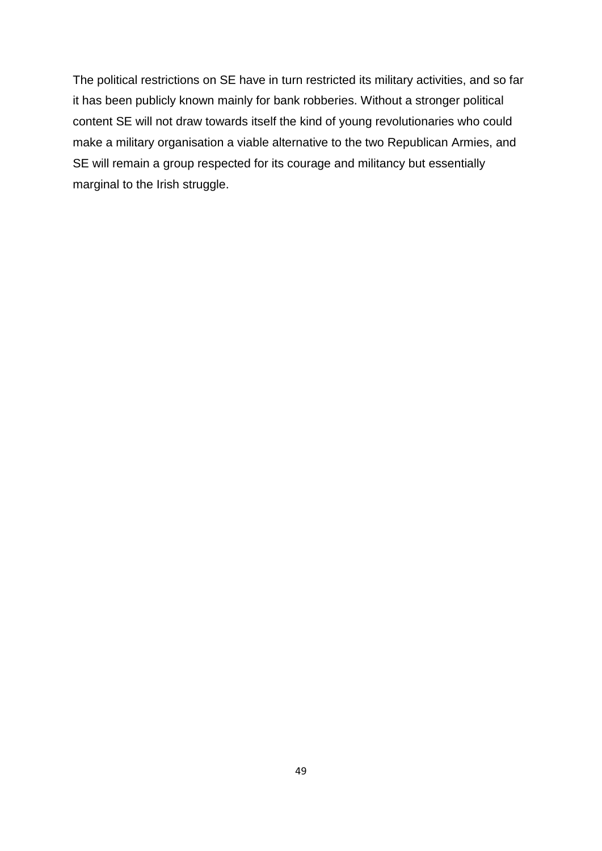The political restrictions on SE have in turn restricted its military activities, and so far it has been publicly known mainly for bank robberies. Without a stronger political content SE will not draw towards itself the kind of young revolutionaries who could make a military organisation a viable alternative to the two Republican Armies, and SE will remain a group respected for its courage and militancy but essentially marginal to the Irish struggle.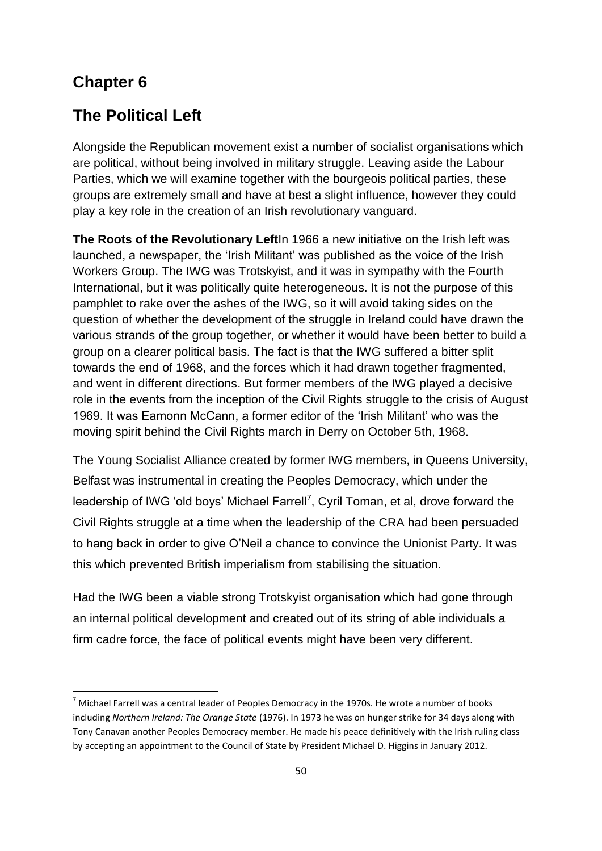# **Chapter 6**

**.** 

# **The Political Left**

Alongside the Republican movement exist a number of socialist organisations which are political, without being involved in military struggle. Leaving aside the Labour Parties, which we will examine together with the bourgeois political parties, these groups are extremely small and have at best a slight influence, however they could play a key role in the creation of an Irish revolutionary vanguard.

**The Roots of the Revolutionary Left**In 1966 a new initiative on the Irish left was launched, a newspaper, the "Irish Militant" was published as the voice of the Irish Workers Group. The IWG was Trotskyist, and it was in sympathy with the Fourth International, but it was politically quite heterogeneous. It is not the purpose of this pamphlet to rake over the ashes of the IWG, so it will avoid taking sides on the question of whether the development of the struggle in Ireland could have drawn the various strands of the group together, or whether it would have been better to build a group on a clearer political basis. The fact is that the IWG suffered a bitter split towards the end of 1968, and the forces which it had drawn together fragmented, and went in different directions. But former members of the IWG played a decisive role in the events from the inception of the Civil Rights struggle to the crisis of August 1969. It was Eamonn McCann, a former editor of the "Irish Militant" who was the moving spirit behind the Civil Rights march in Derry on October 5th, 1968.

The Young Socialist Alliance created by former IWG members, in Queens University, Belfast was instrumental in creating the Peoples Democracy, which under the leadership of IWG 'old boys' Michael Farrell<sup>7</sup>, Cyril Toman, et al, drove forward the Civil Rights struggle at a time when the leadership of the CRA had been persuaded to hang back in order to give O"Neil a chance to convince the Unionist Party. It was this which prevented British imperialism from stabilising the situation.

Had the IWG been a viable strong Trotskyist organisation which had gone through an internal political development and created out of its string of able individuals a firm cadre force, the face of political events might have been very different.

 $<sup>7</sup>$  Michael Farrell was a central leader of Peoples Democracy in the 1970s. He wrote a number of books</sup> including *Northern Ireland: The Orange State* (1976). In 1973 he was on hunger strike for 34 days along with Tony Canavan another Peoples Democracy member. He made his peace definitively with the Irish ruling class by accepting an appointment to the Council of State by President Michael D. Higgins in January 2012.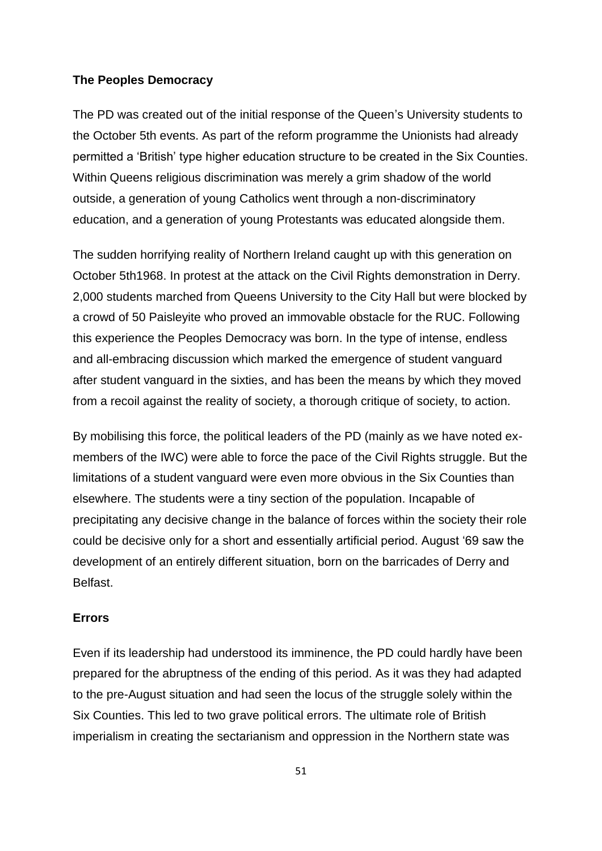#### **The Peoples Democracy**

The PD was created out of the initial response of the Queen"s University students to the October 5th events. As part of the reform programme the Unionists had already permitted a "British" type higher education structure to be created in the Six Counties. Within Queens religious discrimination was merely a grim shadow of the world outside, a generation of young Catholics went through a non-discriminatory education, and a generation of young Protestants was educated alongside them.

The sudden horrifying reality of Northern Ireland caught up with this generation on October 5th1968. In protest at the attack on the Civil Rights demonstration in Derry. 2,000 students marched from Queens University to the City Hall but were blocked by a crowd of 50 Paisleyite who proved an immovable obstacle for the RUC. Following this experience the Peoples Democracy was born. In the type of intense, endless and all-embracing discussion which marked the emergence of student vanguard after student vanguard in the sixties, and has been the means by which they moved from a recoil against the reality of society, a thorough critique of society, to action.

By mobilising this force, the political leaders of the PD (mainly as we have noted exmembers of the IWC) were able to force the pace of the Civil Rights struggle. But the limitations of a student vanguard were even more obvious in the Six Counties than elsewhere. The students were a tiny section of the population. Incapable of precipitating any decisive change in the balance of forces within the society their role could be decisive only for a short and essentially artificial period. August "69 saw the development of an entirely different situation, born on the barricades of Derry and Belfast.

## **Errors**

Even if its leadership had understood its imminence, the PD could hardly have been prepared for the abruptness of the ending of this period. As it was they had adapted to the pre-August situation and had seen the locus of the struggle solely within the Six Counties. This led to two grave political errors. The ultimate role of British imperialism in creating the sectarianism and oppression in the Northern state was

51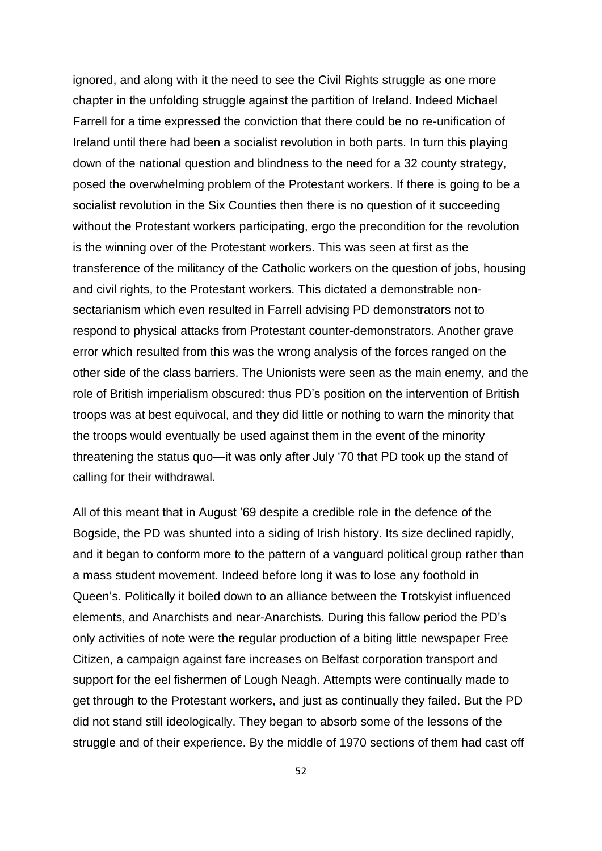ignored, and along with it the need to see the Civil Rights struggle as one more chapter in the unfolding struggle against the partition of Ireland. Indeed Michael Farrell for a time expressed the conviction that there could be no re-unification of Ireland until there had been a socialist revolution in both parts. In turn this playing down of the national question and blindness to the need for a 32 county strategy, posed the overwhelming problem of the Protestant workers. If there is going to be a socialist revolution in the Six Counties then there is no question of it succeeding without the Protestant workers participating, ergo the precondition for the revolution is the winning over of the Protestant workers. This was seen at first as the transference of the militancy of the Catholic workers on the question of jobs, housing and civil rights, to the Protestant workers. This dictated a demonstrable nonsectarianism which even resulted in Farrell advising PD demonstrators not to respond to physical attacks from Protestant counter-demonstrators. Another grave error which resulted from this was the wrong analysis of the forces ranged on the other side of the class barriers. The Unionists were seen as the main enemy, and the role of British imperialism obscured: thus PD"s position on the intervention of British troops was at best equivocal, and they did little or nothing to warn the minority that the troops would eventually be used against them in the event of the minority threatening the status quo—it was only after July "70 that PD took up the stand of calling for their withdrawal.

All of this meant that in August "69 despite a credible role in the defence of the Bogside, the PD was shunted into a siding of Irish history. Its size declined rapidly, and it began to conform more to the pattern of a vanguard political group rather than a mass student movement. Indeed before long it was to lose any foothold in Queen"s. Politically it boiled down to an alliance between the Trotskyist influenced elements, and Anarchists and near-Anarchists. During this fallow period the PD"s only activities of note were the regular production of a biting little newspaper Free Citizen, a campaign against fare increases on Belfast corporation transport and support for the eel fishermen of Lough Neagh. Attempts were continually made to get through to the Protestant workers, and just as continually they failed. But the PD did not stand still ideologically. They began to absorb some of the lessons of the struggle and of their experience. By the middle of 1970 sections of them had cast off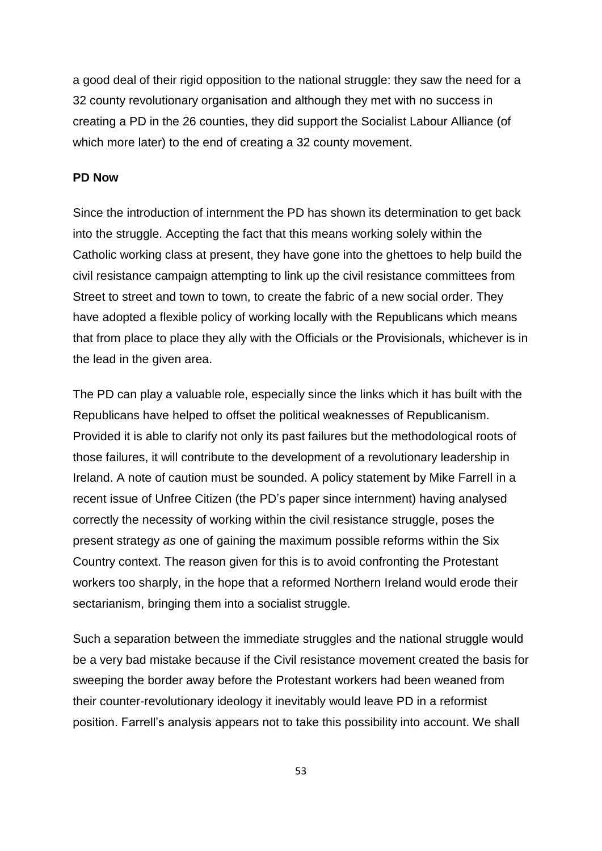a good deal of their rigid opposition to the national struggle: they saw the need for a 32 county revolutionary organisation and although they met with no success in creating a PD in the 26 counties, they did support the Socialist Labour Alliance (of which more later) to the end of creating a 32 county movement.

## **PD Now**

Since the introduction of internment the PD has shown its determination to get back into the struggle. Accepting the fact that this means working solely within the Catholic working class at present, they have gone into the ghettoes to help build the civil resistance campaign attempting to link up the civil resistance committees from Street to street and town to town, to create the fabric of a new social order. They have adopted a flexible policy of working locally with the Republicans which means that from place to place they ally with the Officials or the Provisionals, whichever is in the lead in the given area.

The PD can play a valuable role, especially since the links which it has built with the Republicans have helped to offset the political weaknesses of Republicanism. Provided it is able to clarify not only its past failures but the methodological roots of those failures, it will contribute to the development of a revolutionary leadership in Ireland. A note of caution must be sounded. A policy statement by Mike Farrell in a recent issue of Unfree Citizen (the PD"s paper since internment) having analysed correctly the necessity of working within the civil resistance struggle, poses the present strategy *as* one of gaining the maximum possible reforms within the Six Country context. The reason given for this is to avoid confronting the Protestant workers too sharply, in the hope that a reformed Northern Ireland would erode their sectarianism, bringing them into a socialist struggle.

Such a separation between the immediate struggles and the national struggle would be a very bad mistake because if the Civil resistance movement created the basis for sweeping the border away before the Protestant workers had been weaned from their counter-revolutionary ideology it inevitably would leave PD in a reformist position. Farrell"s analysis appears not to take this possibility into account. We shall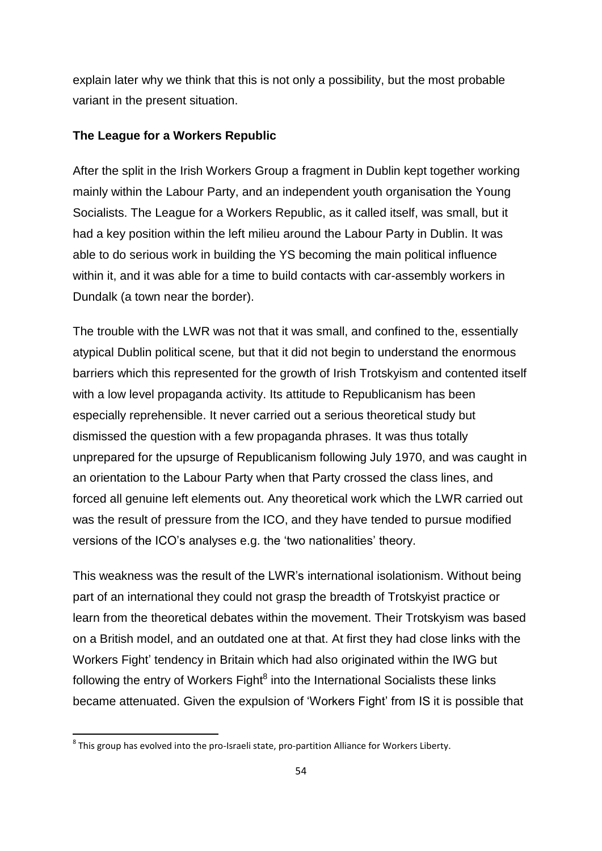explain later why we think that this is not only a possibility, but the most probable variant in the present situation.

#### **The League for a Workers Republic**

After the split in the Irish Workers Group a fragment in Dublin kept together working mainly within the Labour Party, and an independent youth organisation the Young Socialists. The League for a Workers Republic, as it called itself, was small, but it had a key position within the left milieu around the Labour Party in Dublin. It was able to do serious work in building the YS becoming the main political influence within it, and it was able for a time to build contacts with car-assembly workers in Dundalk (a town near the border).

The trouble with the LWR was not that it was small, and confined to the, essentially atypical Dublin political scene*,* but that it did not begin to understand the enormous barriers which this represented for the growth of Irish Trotskyism and contented itself with a low level propaganda activity. Its attitude to Republicanism has been especially reprehensible. It never carried out a serious theoretical study but dismissed the question with a few propaganda phrases. It was thus totally unprepared for the upsurge of Republicanism following July 1970, and was caught in an orientation to the Labour Party when that Party crossed the class lines, and forced all genuine left elements out. Any theoretical work which the LWR carried out was the result of pressure from the ICO, and they have tended to pursue modified versions of the ICO"s analyses e.g. the "two nationalities" theory.

This weakness was the result of the LWR"s international isolationism. Without being part of an international they could not grasp the breadth of Trotskyist practice or learn from the theoretical debates within the movement. Their Trotskyism was based on a British model, and an outdated one at that. At first they had close links with the Workers Fight" tendency in Britain which had also originated within the IWG but following the entry of Workers Fight<sup>8</sup> into the International Socialists these links became attenuated. Given the expulsion of "Workers Fight" from IS it is possible that

1

 ${}^{8}$  This group has evolved into the pro-Israeli state, pro-partition Alliance for Workers Liberty.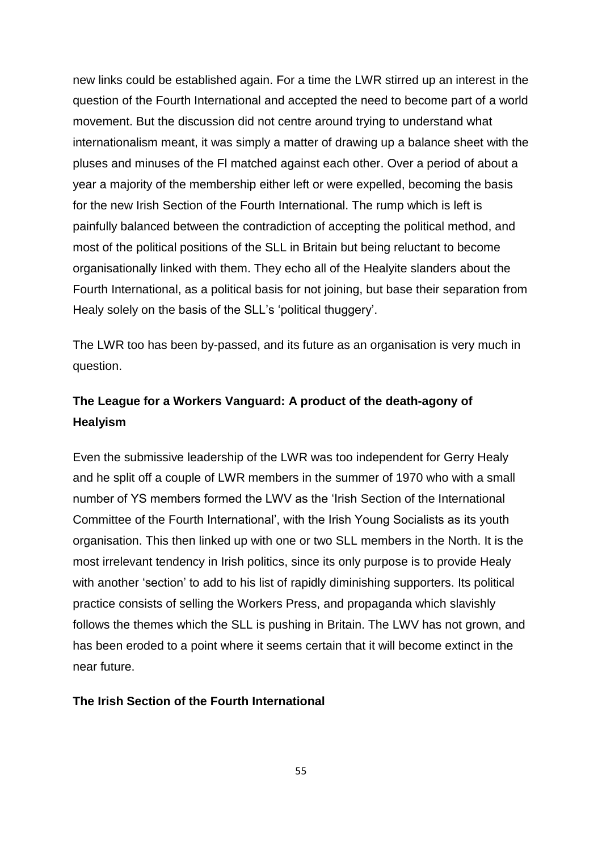new links could be established again. For a time the LWR stirred up an interest in the question of the Fourth International and accepted the need to become part of a world movement. But the discussion did not centre around trying to understand what internationalism meant, it was simply a matter of drawing up a balance sheet with the pluses and minuses of the Fl matched against each other. Over a period of about a year a majority of the membership either left or were expelled, becoming the basis for the new Irish Section of the Fourth International. The rump which is left is painfully balanced between the contradiction of accepting the political method, and most of the political positions of the SLL in Britain but being reluctant to become organisationally linked with them. They echo all of the Healyite slanders about the Fourth International, as a political basis for not joining, but base their separation from Healy solely on the basis of the SLL's 'political thuggery'.

The LWR too has been by-passed, and its future as an organisation is very much in question.

# **The League for a Workers Vanguard: A product of the death-agony of Healyism**

Even the submissive leadership of the LWR was too independent for Gerry Healy and he split off a couple of LWR members in the summer of 1970 who with a small number of YS members formed the LWV as the "Irish Section of the International Committee of the Fourth International", with the Irish Young Socialists as its youth organisation. This then linked up with one or two SLL members in the North. It is the most irrelevant tendency in Irish politics, since its only purpose is to provide Healy with another 'section' to add to his list of rapidly diminishing supporters. Its political practice consists of selling the Workers Press, and propaganda which slavishly follows the themes which the SLL is pushing in Britain. The LWV has not grown, and has been eroded to a point where it seems certain that it will become extinct in the near future.

## **The Irish Section of the Fourth International**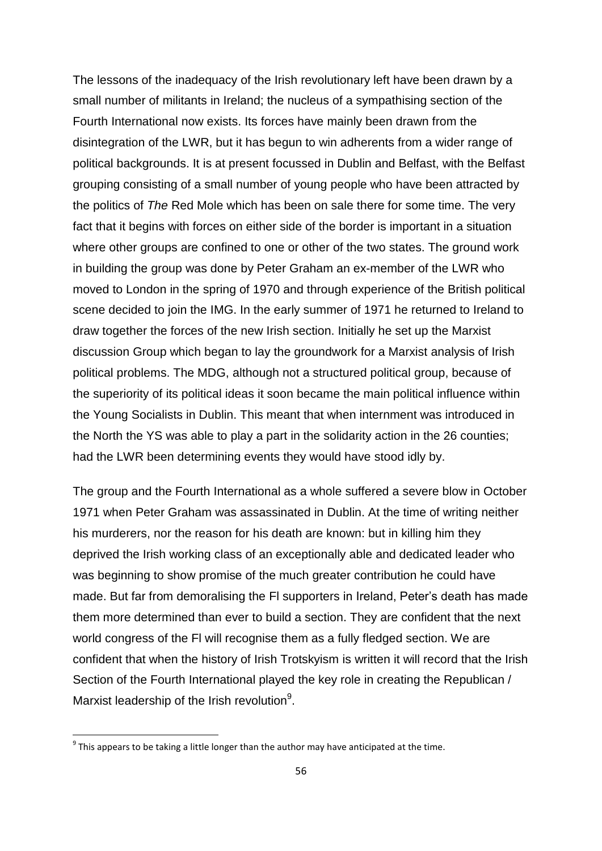The lessons of the inadequacy of the Irish revolutionary left have been drawn by a small number of militants in Ireland; the nucleus of a sympathising section of the Fourth International now exists. Its forces have mainly been drawn from the disintegration of the LWR, but it has begun to win adherents from a wider range of political backgrounds. It is at present focussed in Dublin and Belfast, with the Belfast grouping consisting of a small number of young people who have been attracted by the politics of *The* Red Mole which has been on sale there for some time. The very fact that it begins with forces on either side of the border is important in a situation where other groups are confined to one or other of the two states. The ground work in building the group was done by Peter Graham an ex-member of the LWR who moved to London in the spring of 1970 and through experience of the British political scene decided to join the IMG. In the early summer of 1971 he returned to Ireland to draw together the forces of the new Irish section. Initially he set up the Marxist discussion Group which began to lay the groundwork for a Marxist analysis of Irish political problems. The MDG, although not a structured political group, because of the superiority of its political ideas it soon became the main political influence within the Young Socialists in Dublin. This meant that when internment was introduced in the North the YS was able to play a part in the solidarity action in the 26 counties; had the LWR been determining events they would have stood idly by.

The group and the Fourth International as a whole suffered a severe blow in October 1971 when Peter Graham was assassinated in Dublin. At the time of writing neither his murderers, nor the reason for his death are known: but in killing him they deprived the Irish working class of an exceptionally able and dedicated leader who was beginning to show promise of the much greater contribution he could have made. But far from demoralising the Fl supporters in Ireland, Peter"s death has made them more determined than ever to build a section. They are confident that the next world congress of the Fl will recognise them as a fully fledged section. We are confident that when the history of Irish Trotskyism is written it will record that the Irish Section of the Fourth International played the key role in creating the Republican / Marxist leadership of the Irish revolution<sup>9</sup>.

1

 $^9$  This appears to be taking a little longer than the author may have anticipated at the time.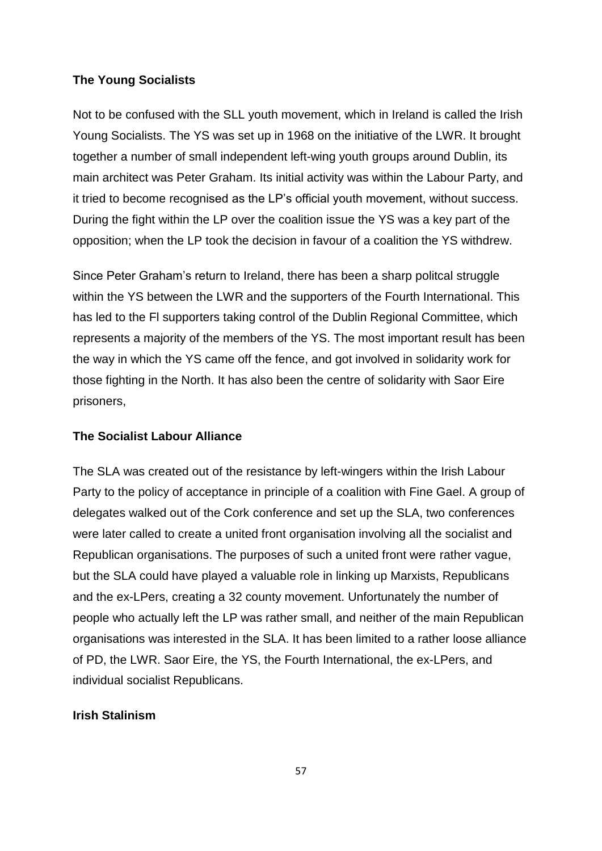## **The Young Socialists**

Not to be confused with the SLL youth movement, which in Ireland is called the Irish Young Socialists. The YS was set up in 1968 on the initiative of the LWR. It brought together a number of small independent left-wing youth groups around Dublin, its main architect was Peter Graham. Its initial activity was within the Labour Party, and it tried to become recognised as the LP"s official youth movement, without success. During the fight within the LP over the coalition issue the YS was a key part of the opposition; when the LP took the decision in favour of a coalition the YS withdrew.

Since Peter Graham"s return to Ireland, there has been a sharp politcal struggle within the YS between the LWR and the supporters of the Fourth International. This has led to the Fl supporters taking control of the Dublin Regional Committee, which represents a majority of the members of the YS. The most important result has been the way in which the YS came off the fence, and got involved in solidarity work for those fighting in the North. It has also been the centre of solidarity with Saor Eire prisoners,

## **The Socialist Labour Alliance**

The SLA was created out of the resistance by left-wingers within the Irish Labour Party to the policy of acceptance in principle of a coalition with Fine Gael. A group of delegates walked out of the Cork conference and set up the SLA, two conferences were later called to create a united front organisation involving all the socialist and Republican organisations. The purposes of such a united front were rather vague, but the SLA could have played a valuable role in linking up Marxists, Republicans and the ex-LPers, creating a 32 county movement. Unfortunately the number of people who actually left the LP was rather small, and neither of the main Republican organisations was interested in the SLA. It has been limited to a rather loose alliance of PD, the LWR. Saor Eire, the YS, the Fourth International, the ex-LPers, and individual socialist Republicans.

## **Irish Stalinism**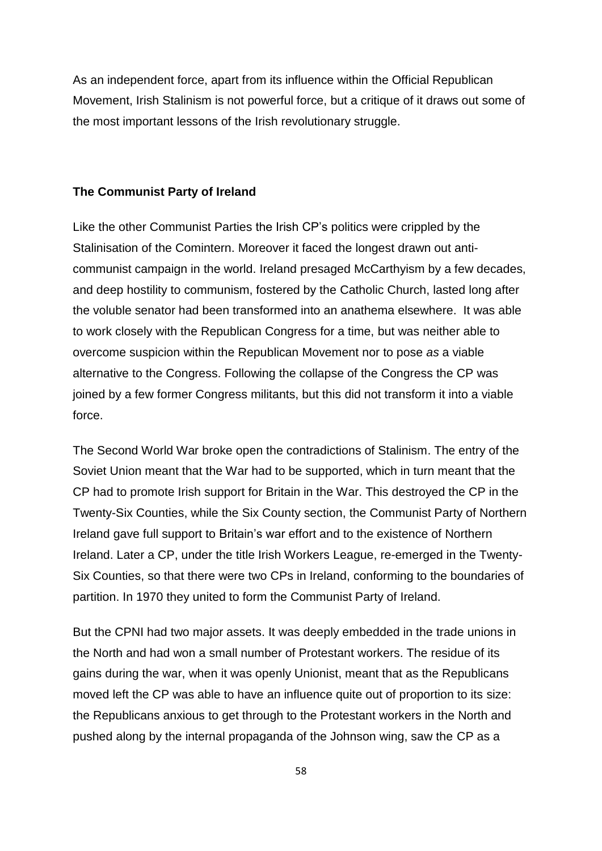As an independent force, apart from its influence within the Official Republican Movement, Irish Stalinism is not powerful force, but a critique of it draws out some of the most important lessons of the Irish revolutionary struggle.

#### **The Communist Party of Ireland**

Like the other Communist Parties the Irish CP"s politics were crippled by the Stalinisation of the Comintern. Moreover it faced the longest drawn out anticommunist campaign in the world. Ireland presaged McCarthyism by a few decades, and deep hostility to communism, fostered by the Catholic Church, lasted long after the voluble senator had been transformed into an anathema elsewhere. It was able to work closely with the Republican Congress for a time, but was neither able to overcome suspicion within the Republican Movement nor to pose *as* a viable alternative to the Congress. Following the collapse of the Congress the CP was joined by a few former Congress militants, but this did not transform it into a viable force.

The Second World War broke open the contradictions of Stalinism. The entry of the Soviet Union meant that the War had to be supported, which in turn meant that the CP had to promote Irish support for Britain in the War. This destroyed the CP in the Twenty-Six Counties, while the Six County section, the Communist Party of Northern Ireland gave full support to Britain"s war effort and to the existence of Northern Ireland. Later a CP, under the title Irish Workers League, re-emerged in the Twenty-Six Counties, so that there were two CPs in Ireland, conforming to the boundaries of partition. In 1970 they united to form the Communist Party of Ireland.

But the CPNI had two major assets. It was deeply embedded in the trade unions in the North and had won a small number of Protestant workers. The residue of its gains during the war, when it was openly Unionist, meant that as the Republicans moved left the CP was able to have an influence quite out of proportion to its size: the Republicans anxious to get through to the Protestant workers in the North and pushed along by the internal propaganda of the Johnson wing, saw the CP as a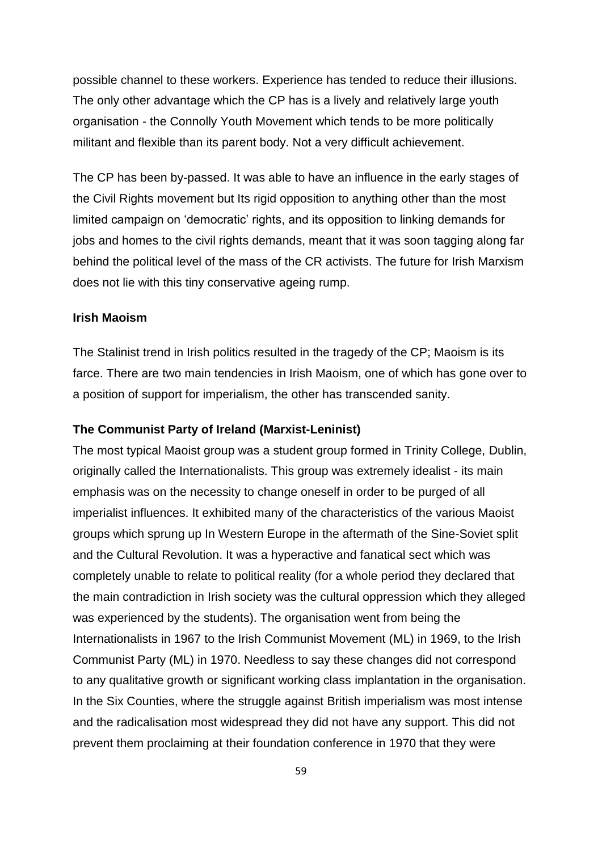possible channel to these workers. Experience has tended to reduce their illusions. The only other advantage which the CP has is a lively and relatively large youth organisation - the Connolly Youth Movement which tends to be more politically militant and flexible than its parent body. Not a very difficult achievement.

The CP has been by-passed. It was able to have an influence in the early stages of the Civil Rights movement but Its rigid opposition to anything other than the most limited campaign on 'democratic' rights, and its opposition to linking demands for jobs and homes to the civil rights demands, meant that it was soon tagging along far behind the political level of the mass of the CR activists. The future for Irish Marxism does not lie with this tiny conservative ageing rump.

## **Irish Maoism**

The Stalinist trend in Irish politics resulted in the tragedy of the CP; Maoism is its farce. There are two main tendencies in Irish Maoism, one of which has gone over to a position of support for imperialism, the other has transcended sanity.

### **The Communist Party of Ireland (Marxist-Leninist)**

The most typical Maoist group was a student group formed in Trinity College, Dublin, originally called the Internationalists. This group was extremely idealist - its main emphasis was on the necessity to change oneself in order to be purged of all imperialist influences. It exhibited many of the characteristics of the various Maoist groups which sprung up In Western Europe in the aftermath of the Sine-Soviet split and the Cultural Revolution. It was a hyperactive and fanatical sect which was completely unable to relate to political reality (for a whole period they declared that the main contradiction in Irish society was the cultural oppression which they alleged was experienced by the students). The organisation went from being the Internationalists in 1967 to the Irish Communist Movement (ML) in 1969, to the Irish Communist Party (ML) in 1970. Needless to say these changes did not correspond to any qualitative growth or significant working class implantation in the organisation. In the Six Counties, where the struggle against British imperialism was most intense and the radicalisation most widespread they did not have any support. This did not prevent them proclaiming at their foundation conference in 1970 that they were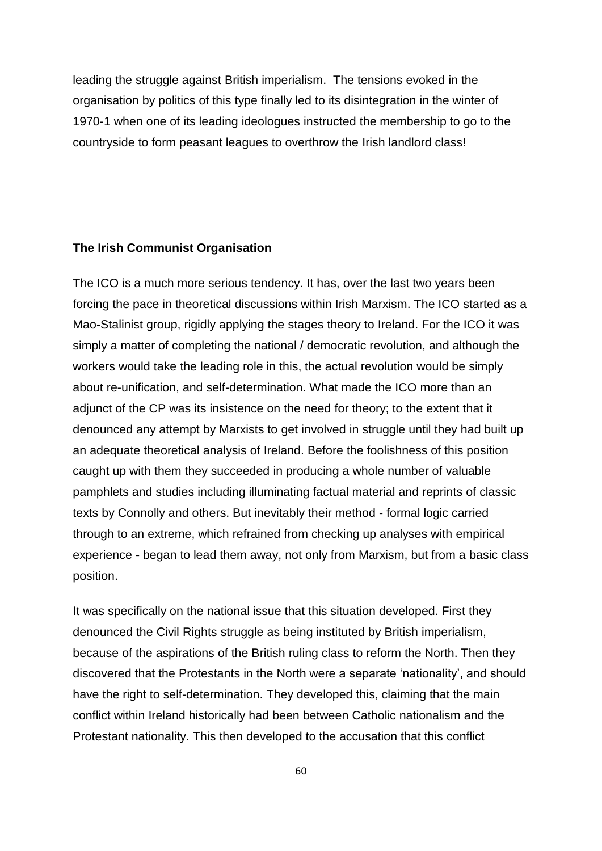leading the struggle against British imperialism. The tensions evoked in the organisation by politics of this type finally led to its disintegration in the winter of 1970-1 when one of its leading ideologues instructed the membership to go to the countryside to form peasant leagues to overthrow the Irish landlord class!

## **The Irish Communist Organisation**

The ICO is a much more serious tendency. It has, over the last two years been forcing the pace in theoretical discussions within Irish Marxism. The ICO started as a Mao-Stalinist group, rigidly applying the stages theory to Ireland. For the ICO it was simply a matter of completing the national / democratic revolution, and although the workers would take the leading role in this, the actual revolution would be simply about re-unification, and self-determination. What made the ICO more than an adjunct of the CP was its insistence on the need for theory; to the extent that it denounced any attempt by Marxists to get involved in struggle until they had built up an adequate theoretical analysis of Ireland. Before the foolishness of this position caught up with them they succeeded in producing a whole number of valuable pamphlets and studies including illuminating factual material and reprints of classic texts by Connolly and others. But inevitably their method - formal logic carried through to an extreme, which refrained from checking up analyses with empirical experience - began to lead them away, not only from Marxism, but from a basic class position.

It was specifically on the national issue that this situation developed. First they denounced the Civil Rights struggle as being instituted by British imperialism, because of the aspirations of the British ruling class to reform the North. Then they discovered that the Protestants in the North were a separate "nationality", and should have the right to self-determination. They developed this, claiming that the main conflict within Ireland historically had been between Catholic nationalism and the Protestant nationality. This then developed to the accusation that this conflict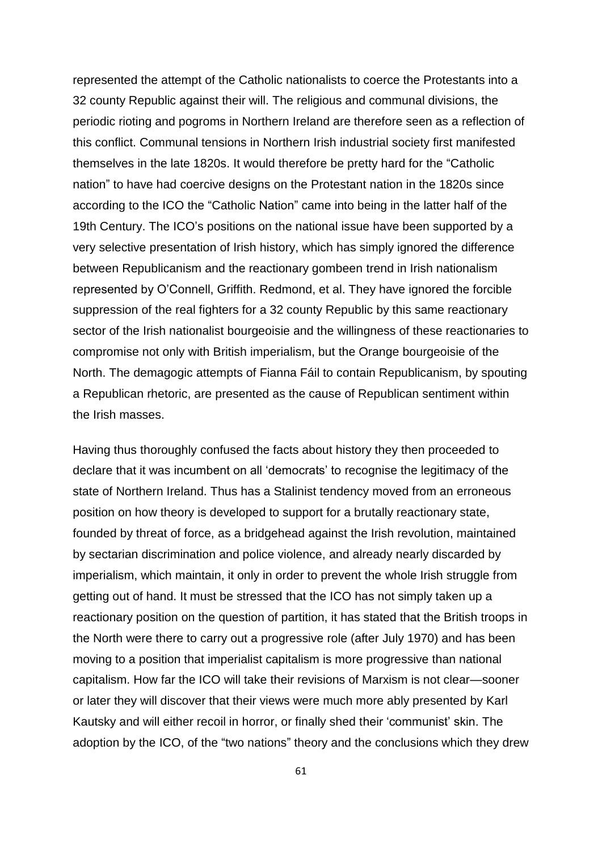represented the attempt of the Catholic nationalists to coerce the Protestants into a 32 county Republic against their will. The religious and communal divisions, the periodic rioting and pogroms in Northern Ireland are therefore seen as a reflection of this conflict. Communal tensions in Northern Irish industrial society first manifested themselves in the late 1820s. It would therefore be pretty hard for the "Catholic nation" to have had coercive designs on the Protestant nation in the 1820s since according to the ICO the "Catholic Nation" came into being in the latter half of the 19th Century. The ICO"s positions on the national issue have been supported by a very selective presentation of Irish history, which has simply ignored the difference between Republicanism and the reactionary gombeen trend in Irish nationalism represented by O"Connell, Griffith. Redmond, et al. They have ignored the forcible suppression of the real fighters for a 32 county Republic by this same reactionary sector of the Irish nationalist bourgeoisie and the willingness of these reactionaries to compromise not only with British imperialism, but the Orange bourgeoisie of the North. The demagogic attempts of Fianna Fáil to contain Republicanism, by spouting a Republican rhetoric, are presented as the cause of Republican sentiment within the Irish masses.

Having thus thoroughly confused the facts about history they then proceeded to declare that it was incumbent on all "democrats" to recognise the legitimacy of the state of Northern Ireland. Thus has a Stalinist tendency moved from an erroneous position on how theory is developed to support for a brutally reactionary state, founded by threat of force, as a bridgehead against the Irish revolution, maintained by sectarian discrimination and police violence, and already nearly discarded by imperialism, which maintain, it only in order to prevent the whole Irish struggle from getting out of hand. It must be stressed that the ICO has not simply taken up a reactionary position on the question of partition, it has stated that the British troops in the North were there to carry out a progressive role (after July 1970) and has been moving to a position that imperialist capitalism is more progressive than national capitalism. How far the ICO will take their revisions of Marxism is not clear—sooner or later they will discover that their views were much more ably presented by Karl Kautsky and will either recoil in horror, or finally shed their "communist" skin. The adoption by the ICO, of the "two nations" theory and the conclusions which they drew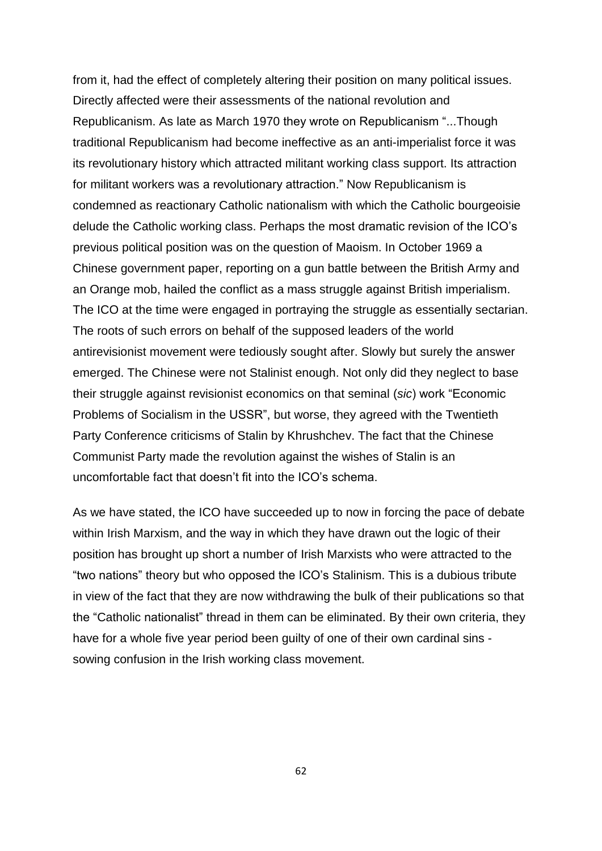from it, had the effect of completely altering their position on many political issues. Directly affected were their assessments of the national revolution and Republicanism. As late as March 1970 they wrote on Republicanism "...Though traditional Republicanism had become ineffective as an anti-imperialist force it was its revolutionary history which attracted militant working class support. Its attraction for militant workers was a revolutionary attraction." Now Republicanism is condemned as reactionary Catholic nationalism with which the Catholic bourgeoisie delude the Catholic working class. Perhaps the most dramatic revision of the ICO"s previous political position was on the question of Maoism. In October 1969 a Chinese government paper, reporting on a gun battle between the British Army and an Orange mob, hailed the conflict as a mass struggle against British imperialism. The ICO at the time were engaged in portraying the struggle as essentially sectarian. The roots of such errors on behalf of the supposed leaders of the world antirevisionist movement were tediously sought after. Slowly but surely the answer emerged. The Chinese were not Stalinist enough. Not only did they neglect to base their struggle against revisionist economics on that seminal (*sic*) work "Economic Problems of Socialism in the USSR", but worse, they agreed with the Twentieth Party Conference criticisms of Stalin by Khrushchev. The fact that the Chinese Communist Party made the revolution against the wishes of Stalin is an uncomfortable fact that doesn"t fit into the ICO"s schema.

As we have stated, the ICO have succeeded up to now in forcing the pace of debate within Irish Marxism, and the way in which they have drawn out the logic of their position has brought up short a number of Irish Marxists who were attracted to the "two nations" theory but who opposed the ICO"s Stalinism. This is a dubious tribute in view of the fact that they are now withdrawing the bulk of their publications so that the "Catholic nationalist" thread in them can be eliminated. By their own criteria, they have for a whole five year period been guilty of one of their own cardinal sins sowing confusion in the Irish working class movement.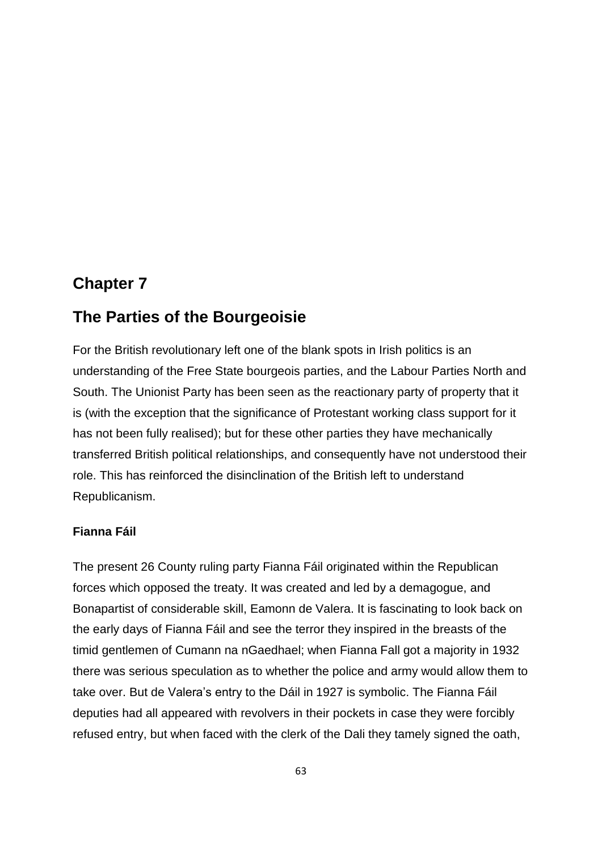# **Chapter 7**

# **The Parties of the Bourgeoisie**

For the British revolutionary left one of the blank spots in Irish politics is an understanding of the Free State bourgeois parties, and the Labour Parties North and South. The Unionist Party has been seen as the reactionary party of property that it is (with the exception that the significance of Protestant working class support for it has not been fully realised); but for these other parties they have mechanically transferred British political relationships, and consequently have not understood their role. This has reinforced the disinclination of the British left to understand Republicanism.

# **Fianna Fáil**

The present 26 County ruling party Fianna Fáil originated within the Republican forces which opposed the treaty. It was created and led by a demagogue, and Bonapartist of considerable skill, Eamonn de Valera. It is fascinating to look back on the early days of Fianna Fáil and see the terror they inspired in the breasts of the timid gentlemen of Cumann na nGaedhael; when Fianna Fall got a majority in 1932 there was serious speculation as to whether the police and army would allow them to take over. But de Valera"s entry to the Dáil in 1927 is symbolic. The Fianna Fáil deputies had all appeared with revolvers in their pockets in case they were forcibly refused entry, but when faced with the clerk of the Dali they tamely signed the oath,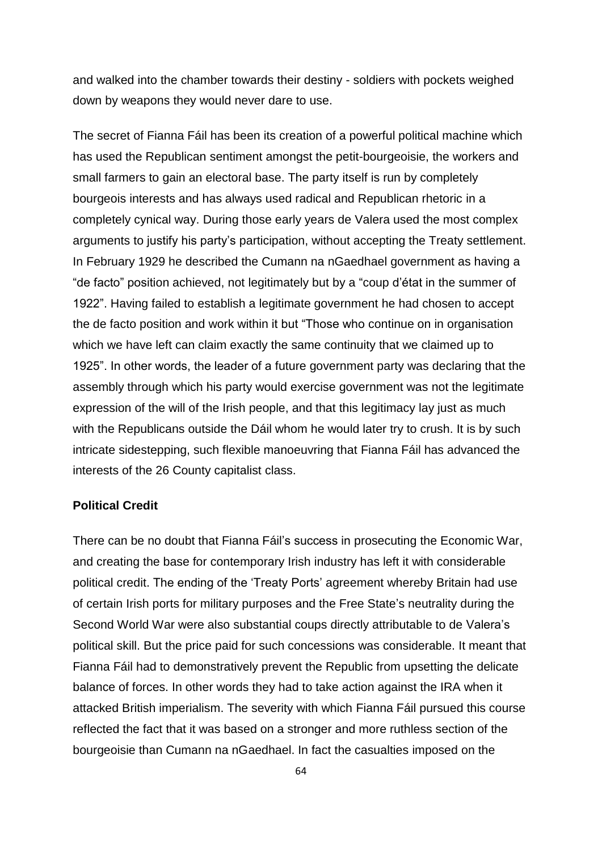and walked into the chamber towards their destiny - soldiers with pockets weighed down by weapons they would never dare to use.

The secret of Fianna Fáil has been its creation of a powerful political machine which has used the Republican sentiment amongst the petit-bourgeoisie, the workers and small farmers to gain an electoral base. The party itself is run by completely bourgeois interests and has always used radical and Republican rhetoric in a completely cynical way. During those early years de Valera used the most complex arguments to justify his party"s participation, without accepting the Treaty settlement. In February 1929 he described the Cumann na nGaedhael government as having a "de facto" position achieved, not legitimately but by a "coup d"état in the summer of 1922". Having failed to establish a legitimate government he had chosen to accept the de facto position and work within it but "Those who continue on in organisation which we have left can claim exactly the same continuity that we claimed up to 1925". In other words, the leader of a future government party was declaring that the assembly through which his party would exercise government was not the legitimate expression of the will of the Irish people, and that this legitimacy lay just as much with the Republicans outside the Dáil whom he would later try to crush. It is by such intricate sidestepping, such flexible manoeuvring that Fianna Fáil has advanced the interests of the 26 County capitalist class.

## **Political Credit**

There can be no doubt that Fianna Fáil"s success in prosecuting the Economic War, and creating the base for contemporary Irish industry has left it with considerable political credit. The ending of the "Treaty Ports" agreement whereby Britain had use of certain Irish ports for military purposes and the Free State"s neutrality during the Second World War were also substantial coups directly attributable to de Valera"s political skill. But the price paid for such concessions was considerable. It meant that Fianna Fáil had to demonstratively prevent the Republic from upsetting the delicate balance of forces. In other words they had to take action against the IRA when it attacked British imperialism. The severity with which Fianna Fáil pursued this course reflected the fact that it was based on a stronger and more ruthless section of the bourgeoisie than Cumann na nGaedhael. In fact the casualties imposed on the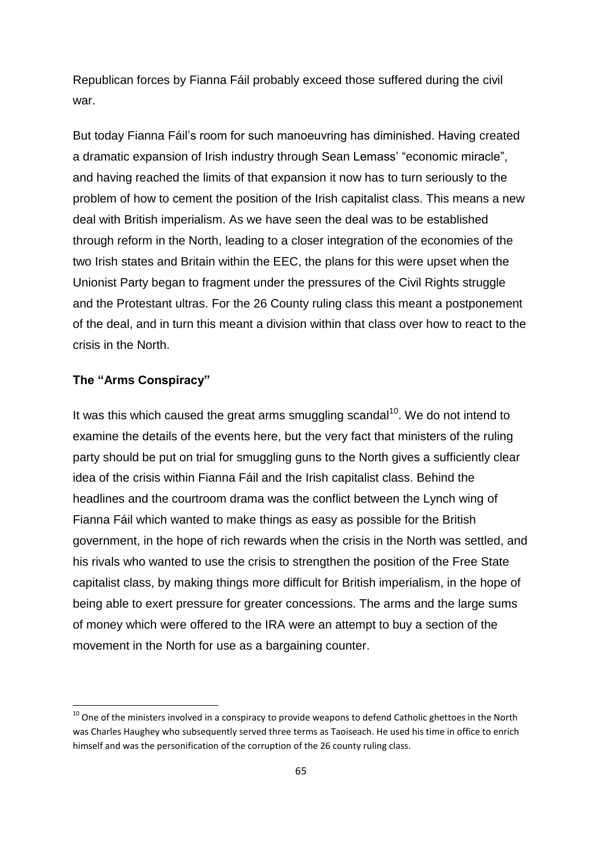Republican forces by Fianna Fáil probably exceed those suffered during the civil war.

But today Fianna Fáil"s room for such manoeuvring has diminished. Having created a dramatic expansion of Irish industry through Sean Lemass" "economic miracle", and having reached the limits of that expansion it now has to turn seriously to the problem of how to cement the position of the Irish capitalist class. This means a new deal with British imperialism. As we have seen the deal was to be established through reform in the North, leading to a closer integration of the economies of the two Irish states and Britain within the EEC, the plans for this were upset when the Unionist Party began to fragment under the pressures of the Civil Rights struggle and the Protestant ultras. For the 26 County ruling class this meant a postponement of the deal, and in turn this meant a division within that class over how to react to the crisis in the North.

## **The "Arms Conspiracy"**

1

It was this which caused the great arms smuggling scandal<sup>10</sup>. We do not intend to examine the details of the events here, but the very fact that ministers of the ruling party should be put on trial for smuggling guns to the North gives a sufficiently clear idea of the crisis within Fianna Fáil and the Irish capitalist class. Behind the headlines and the courtroom drama was the conflict between the Lynch wing of Fianna Fáil which wanted to make things as easy as possible for the British government, in the hope of rich rewards when the crisis in the North was settled, and his rivals who wanted to use the crisis to strengthen the position of the Free State capitalist class, by making things more difficult for British imperialism, in the hope of being able to exert pressure for greater concessions. The arms and the large sums of money which were offered to the IRA were an attempt to buy a section of the movement in the North for use as a bargaining counter.

 $10$  One of the ministers involved in a conspiracy to provide weapons to defend Catholic ghettoes in the North was Charles Haughey who subsequently served three terms as Taoiseach. He used his time in office to enrich himself and was the personification of the corruption of the 26 county ruling class.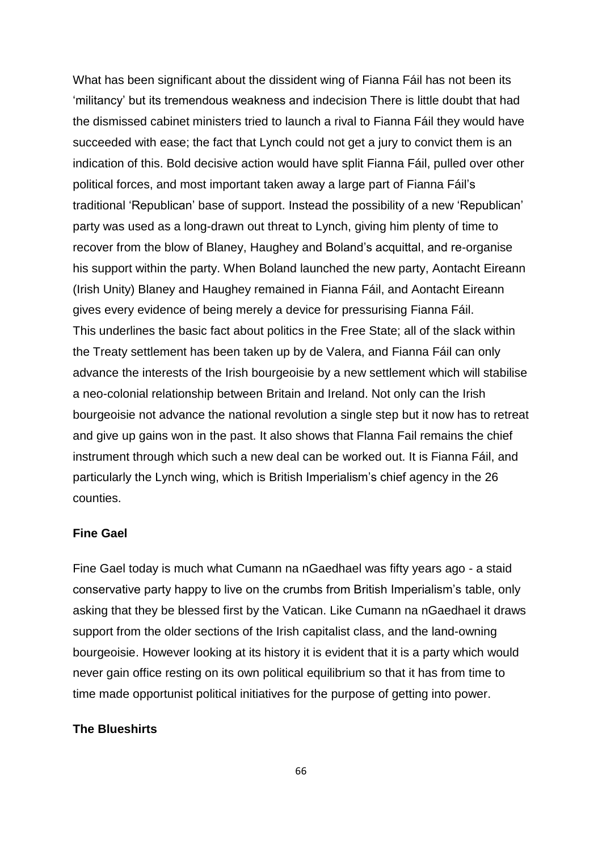What has been significant about the dissident wing of Fianna Fáil has not been its "militancy" but its tremendous weakness and indecision There is little doubt that had the dismissed cabinet ministers tried to launch a rival to Fianna Fáil they would have succeeded with ease; the fact that Lynch could not get a jury to convict them is an indication of this. Bold decisive action would have split Fianna Fáil, pulled over other political forces, and most important taken away a large part of Fianna Fáil"s traditional "Republican" base of support. Instead the possibility of a new "Republican" party was used as a long-drawn out threat to Lynch, giving him plenty of time to recover from the blow of Blaney, Haughey and Boland"s acquittal, and re-organise his support within the party. When Boland launched the new party, Aontacht Eireann (Irish Unity) Blaney and Haughey remained in Fianna Fáil, and Aontacht Eireann gives every evidence of being merely a device for pressurising Fianna Fáil. This underlines the basic fact about politics in the Free State; all of the slack within the Treaty settlement has been taken up by de Valera, and Fianna Fáil can only advance the interests of the Irish bourgeoisie by a new settlement which will stabilise a neo-colonial relationship between Britain and Ireland. Not only can the Irish bourgeoisie not advance the national revolution a single step but it now has to retreat and give up gains won in the past. It also shows that Flanna Fail remains the chief instrument through which such a new deal can be worked out. It is Fianna Fáil, and particularly the Lynch wing, which is British Imperialism"s chief agency in the 26 counties.

#### **Fine Gael**

Fine Gael today is much what Cumann na nGaedhael was fifty years ago - a staid conservative party happy to live on the crumbs from British Imperialism"s table, only asking that they be blessed first by the Vatican. Like Cumann na nGaedhael it draws support from the older sections of the Irish capitalist class, and the land-owning bourgeoisie. However looking at its history it is evident that it is a party which would never gain office resting on its own political equilibrium so that it has from time to time made opportunist political initiatives for the purpose of getting into power.

## **The Blueshirts**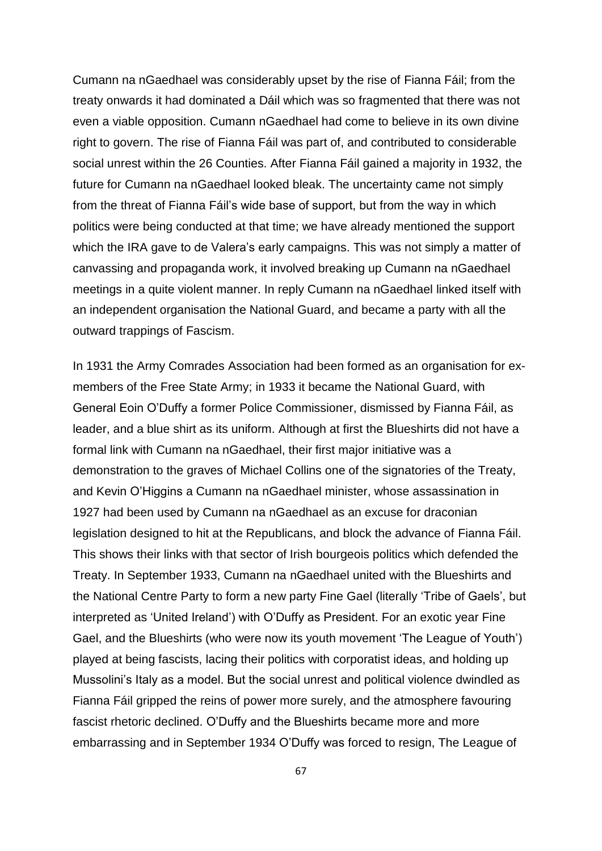Cumann na nGaedhael was considerably upset by the rise of Fianna Fáil; from the treaty onwards it had dominated a Dáil which was so fragmented that there was not even a viable opposition. Cumann nGaedhael had come to believe in its own divine right to govern. The rise of Fianna Fáil was part of, and contributed to considerable social unrest within the 26 Counties. After Fianna Fáil gained a majority in 1932, the future for Cumann na nGaedhael looked bleak. The uncertainty came not simply from the threat of Fianna Fáil"s wide base of support, but from the way in which politics were being conducted at that time; we have already mentioned the support which the IRA gave to de Valera's early campaigns. This was not simply a matter of canvassing and propaganda work, it involved breaking up Cumann na nGaedhael meetings in a quite violent manner. In reply Cumann na nGaedhael linked itself with an independent organisation the National Guard, and became a party with all the outward trappings of Fascism.

In 1931 the Army Comrades Association had been formed as an organisation for exmembers of the Free State Army; in 1933 it became the National Guard, with General Eoin O"Duffy a former Police Commissioner, dismissed by Fianna Fáil, as leader, and a blue shirt as its uniform. Although at first the Blueshirts did not have a formal link with Cumann na nGaedhael, their first major initiative was a demonstration to the graves of Michael Collins one of the signatories of the Treaty, and Kevin O"Higgins a Cumann na nGaedhael minister, whose assassination in 1927 had been used by Cumann na nGaedhael as an excuse for draconian legislation designed to hit at the Republicans, and block the advance of Fianna Fáil. This shows their links with that sector of Irish bourgeois politics which defended the Treaty. In September 1933, Cumann na nGaedhael united with the Blueshirts and the National Centre Party to form a new party Fine Gael (literally "Tribe of Gaels", but interpreted as "United Ireland") with O"Duffy as President. For an exotic year Fine Gael, and the Blueshirts (who were now its youth movement "The League of Youth") played at being fascists, lacing their politics with corporatist ideas, and holding up Mussolini"s Italy as a model. But the social unrest and political violence dwindled as Fianna Fáil gripped the reins of power more surely, and th*e* atmosphere favouring fascist rhetoric declined. O"Duffy and the Blueshirts became more and more embarrassing and in September 1934 O"Duffy was forced to resign, The League of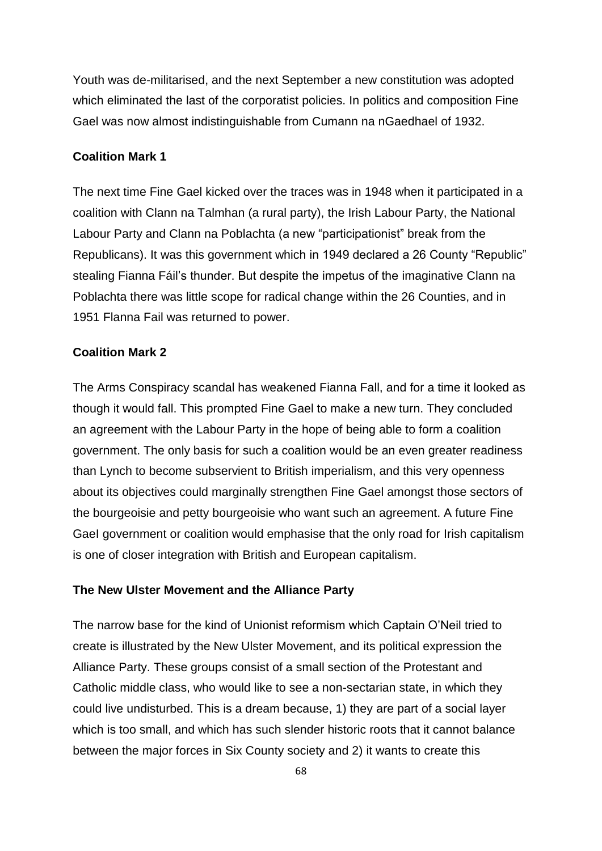Youth was de-militarised, and the next September a new constitution was adopted which eliminated the last of the corporatist policies. In politics and composition Fine Gael was now almost indistinguishable from Cumann na nGaedhael of 1932.

#### **Coalition Mark 1**

The next time Fine Gael kicked over the traces was in 1948 when it participated in a coalition with Clann na Talmhan (a rural party), the Irish Labour Party, the National Labour Party and Clann na Poblachta (a new "participationist" break from the Republicans). It was this government which in 1949 declared a 26 County "Republic" stealing Fianna Fáil"s thunder. But despite the impetus of the imaginative Clann na Poblachta there was little scope for radical change within the 26 Counties, and in 1951 Flanna Fail was returned to power.

## **Coalition Mark 2**

The Arms Conspiracy scandal has weakened Fianna Fall, and for a time it looked as though it would fall. This prompted Fine Gael to make a new turn. They concluded an agreement with the Labour Party in the hope of being able to form a coalition government. The only basis for such a coalition would be an even greater readiness than Lynch to become subservient to British imperialism, and this very openness about its objectives could marginally strengthen Fine Gael amongst those sectors of the bourgeoisie and petty bourgeoisie who want such an agreement. A future Fine GaeI government or coalition would emphasise that the only road for Irish capitalism is one of closer integration with British and European capitalism.

#### **The New Ulster Movement and the Alliance Party**

The narrow base for the kind of Unionist reformism which Captain O"Neil tried to create is illustrated by the New Ulster Movement, and its political expression the Alliance Party. These groups consist of a small section of the Protestant and Catholic middle class, who would like to see a non-sectarian state, in which they could live undisturbed. This is a dream because, 1) they are part of a social layer which is too small, and which has such slender historic roots that it cannot balance between the major forces in Six County society and 2) it wants to create this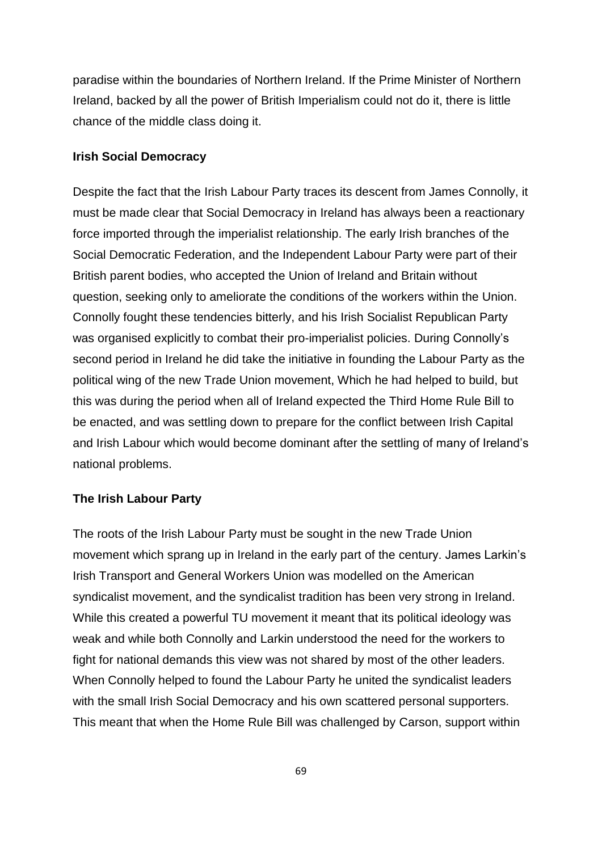paradise within the boundaries of Northern Ireland. If the Prime Minister of Northern Ireland, backed by all the power of British Imperialism could not do it, there is little chance of the middle class doing it.

#### **Irish Social Democracy**

Despite the fact that the Irish Labour Party traces its descent from James Connolly, it must be made clear that Social Democracy in Ireland has always been a reactionary force imported through the imperialist relationship. The early Irish branches of the Social Democratic Federation, and the Independent Labour Party were part of their British parent bodies, who accepted the Union of Ireland and Britain without question, seeking only to ameliorate the conditions of the workers within the Union. Connolly fought these tendencies bitterly, and his Irish Socialist Republican Party was organised explicitly to combat their pro-imperialist policies. During Connolly"s second period in Ireland he did take the initiative in founding the Labour Party as the political wing of the new Trade Union movement, Which he had helped to build, but this was during the period when all of Ireland expected the Third Home Rule Bill to be enacted, and was settling down to prepare for the conflict between Irish Capital and Irish Labour which would become dominant after the settling of many of Ireland"s national problems.

## **The Irish Labour Party**

The roots of the Irish Labour Party must be sought in the new Trade Union movement which sprang up in Ireland in the early part of the century. James Larkin"s Irish Transport and General Workers Union was modelled on the American syndicalist movement, and the syndicalist tradition has been very strong in Ireland. While this created a powerful TU movement it meant that its political ideology was weak and while both Connolly and Larkin understood the need for the workers to fight for national demands this view was not shared by most of the other leaders. When Connolly helped to found the Labour Party he united the syndicalist leaders with the small Irish Social Democracy and his own scattered personal supporters. This meant that when the Home Rule Bill was challenged by Carson, support within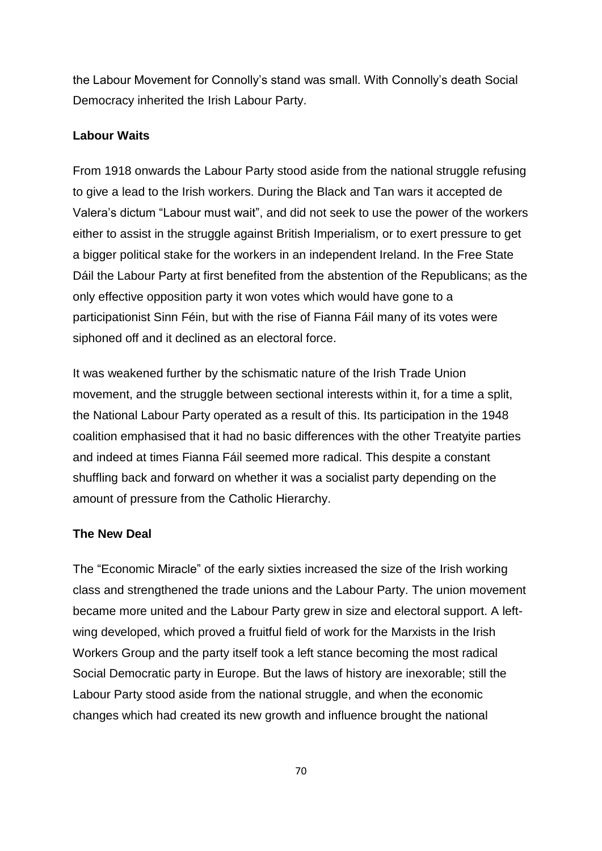the Labour Movement for Connolly"s stand was small. With Connolly"s death Social Democracy inherited the Irish Labour Party.

## **Labour Waits**

From 1918 onwards the Labour Party stood aside from the national struggle refusing to give a lead to the Irish workers. During the Black and Tan wars it accepted de Valera"s dictum "Labour must wait", and did not seek to use the power of the workers either to assist in the struggle against British Imperialism, or to exert pressure to get a bigger political stake for the workers in an independent Ireland. In the Free State Dáil the Labour Party at first benefited from the abstention of the Republicans; as the only effective opposition party it won votes which would have gone to a participationist Sinn Féin, but with the rise of Fianna Fáil many of its votes were siphoned off and it declined as an electoral force.

It was weakened further by the schismatic nature of the Irish Trade Union movement, and the struggle between sectional interests within it, for a time a split, the National Labour Party operated as a result of this. Its participation in the 1948 coalition emphasised that it had no basic differences with the other Treatyite parties and indeed at times Fianna Fáil seemed more radical. This despite a constant shuffling back and forward on whether it was a socialist party depending on the amount of pressure from the Catholic Hierarchy.

# **The New Deal**

The "Economic Miracle" of the early sixties increased the size of the Irish working class and strengthened the trade unions and the Labour Party. The union movement became more united and the Labour Party grew in size and electoral support. A leftwing developed, which proved a fruitful field of work for the Marxists in the Irish Workers Group and the party itself took a left stance becoming the most radical Social Democratic party in Europe. But the laws of history are inexorable; still the Labour Party stood aside from the national struggle, and when the economic changes which had created its new growth and influence brought the national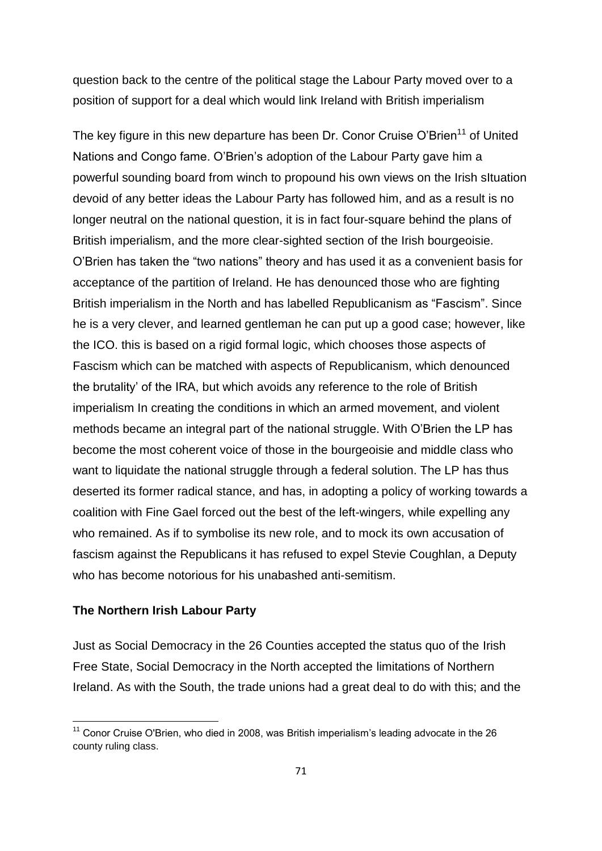question back to the centre of the political stage the Labour Party moved over to a position of support for a deal which would link Ireland with British imperialism

The key figure in this new departure has been Dr. Conor Cruise O'Brien<sup>11</sup> of United Nations and Congo fame. O"Brien"s adoption of the Labour Party gave him a powerful sounding board from winch to propound his own views on the Irish sItuation devoid of any better ideas the Labour Party has followed him, and as a result is no longer neutral on the national question, it is in fact four-square behind the plans of British imperialism, and the more clear-sighted section of the Irish bourgeoisie. O"Brien has taken the "two nations" theory and has used it as a convenient basis for acceptance of the partition of Ireland. He has denounced those who are fighting British imperialism in the North and has labelled Republicanism as "Fascism". Since he is a very clever, and learned gentleman he can put up a good case; however, like the ICO. this is based on a rigid formal logic, which chooses those aspects of Fascism which can be matched with aspects of Republicanism, which denounced the brutality" of the IRA, but which avoids any reference to the role of British imperialism In creating the conditions in which an armed movement, and violent methods became an integral part of the national struggle. With O"Brien the LP has become the most coherent voice of those in the bourgeoisie and middle class who want to liquidate the national struggle through a federal solution. The LP has thus deserted its former radical stance, and has, in adopting a policy of working towards a coalition with Fine Gael forced out the best of the left-wingers, while expelling any who remained. As if to symbolise its new role, and to mock its own accusation of fascism against the Republicans it has refused to expel Stevie Coughlan, a Deputy who has become notorious for his unabashed anti-semitism.

#### **The Northern Irish Labour Party**

**.** 

Just as Social Democracy in the 26 Counties accepted the status quo of the Irish Free State, Social Democracy in the North accepted the limitations of Northern Ireland. As with the South, the trade unions had a great deal to do with this; and the

 $11$  Conor Cruise O'Brien, who died in 2008, was British imperialism's leading advocate in the 26 county ruling class.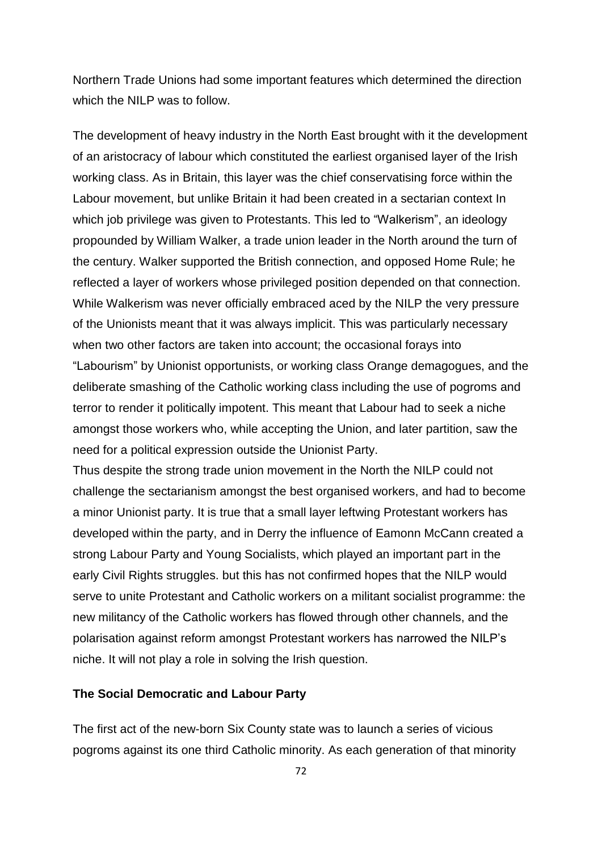Northern Trade Unions had some important features which determined the direction which the NILP was to follow.

The development of heavy industry in the North East brought with it the development of an aristocracy of labour which constituted the earliest organised layer of the Irish working class. As in Britain, this layer was the chief conservatising force within the Labour movement, but unlike Britain it had been created in a sectarian context In which job privilege was given to Protestants. This led to "Walkerism", an ideology propounded by William Walker, a trade union leader in the North around the turn of the century. Walker supported the British connection, and opposed Home Rule; he reflected a layer of workers whose privileged position depended on that connection. While Walkerism was never officially embraced aced by the NILP the very pressure of the Unionists meant that it was always implicit. This was particularly necessary when two other factors are taken into account; the occasional forays into "Labourism" by Unionist opportunists, or working class Orange demagogues, and the deliberate smashing of the Catholic working class including the use of pogroms and terror to render it politically impotent. This meant that Labour had to seek a niche amongst those workers who, while accepting the Union, and later partition, saw the need for a political expression outside the Unionist Party.

Thus despite the strong trade union movement in the North the NILP could not challenge the sectarianism amongst the best organised workers, and had to become a minor Unionist party. It is true that a small layer leftwing Protestant workers has developed within the party, and in Derry the influence of Eamonn McCann created a strong Labour Party and Young Socialists, which played an important part in the early Civil Rights struggles. but this has not confirmed hopes that the NILP would serve to unite Protestant and Catholic workers on a militant socialist programme: the new militancy of the Catholic workers has flowed through other channels, and the polarisation against reform amongst Protestant workers has narrowed the NILP"s niche. It will not play a role in solving the Irish question.

## **The Social Democratic and Labour Party**

The first act of the new-born Six County state was to launch a series of vicious pogroms against its one third Catholic minority. As each generation of that minority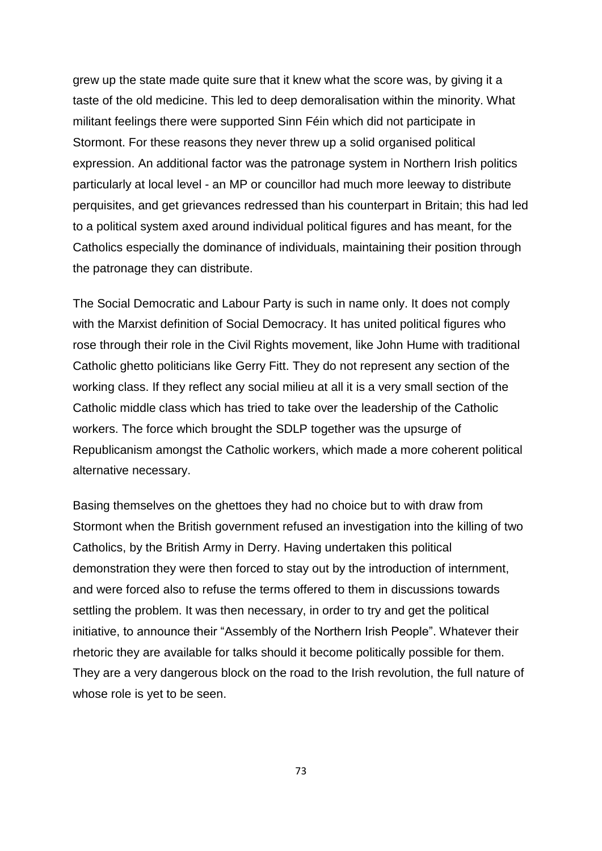grew up the state made quite sure that it knew what the score was, by giving it a taste of the old medicine. This led to deep demoralisation within the minority. What militant feelings there were supported Sinn Féin which did not participate in Stormont. For these reasons they never threw up a solid organised political expression. An additional factor was the patronage system in Northern Irish politics particularly at local level - an MP or councillor had much more leeway to distribute perquisites, and get grievances redressed than his counterpart in Britain; this had led to a political system axed around individual political figures and has meant, for the Catholics especially the dominance of individuals, maintaining their position through the patronage they can distribute.

The Social Democratic and Labour Party is such in name only. It does not comply with the Marxist definition of Social Democracy. It has united political figures who rose through their role in the Civil Rights movement, like John Hume with traditional Catholic ghetto politicians like Gerry Fitt. They do not represent any section of the working class. If they reflect any social milieu at all it is a very small section of the Catholic middle class which has tried to take over the leadership of the Catholic workers. The force which brought the SDLP together was the upsurge of Republicanism amongst the Catholic workers, which made a more coherent political alternative necessary.

Basing themselves on the ghettoes they had no choice but to with draw from Stormont when the British government refused an investigation into the killing of two Catholics, by the British Army in Derry. Having undertaken this political demonstration they were then forced to stay out by the introduction of internment, and were forced also to refuse the terms offered to them in discussions towards settling the problem. It was then necessary, in order to try and get the political initiative, to announce their "Assembly of the Northern Irish People". Whatever their rhetoric they are available for talks should it become politically possible for them. They are a very dangerous block on the road to the Irish revolution, the full nature of whose role is yet to be seen.

73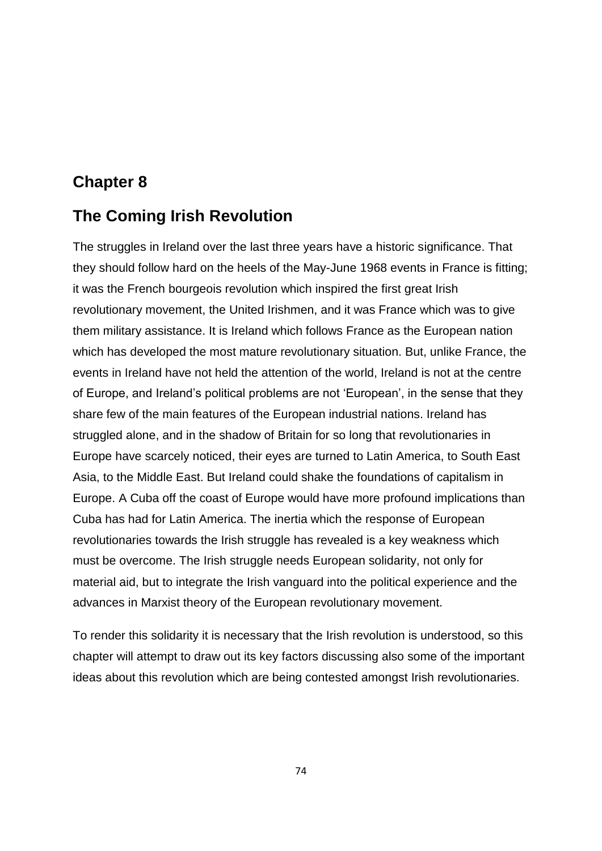# **Chapter 8**

# **The Coming Irish Revolution**

The struggles in Ireland over the last three years have a historic significance. That they should follow hard on the heels of the May-June 1968 events in France is fitting; it was the French bourgeois revolution which inspired the first great Irish revolutionary movement, the United Irishmen, and it was France which was to give them military assistance. It is Ireland which follows France as the European nation which has developed the most mature revolutionary situation. But, unlike France, the events in Ireland have not held the attention of the world, Ireland is not at the centre of Europe, and Ireland"s political problems are not "European", in the sense that they share few of the main features of the European industrial nations. Ireland has struggled alone, and in the shadow of Britain for so long that revolutionaries in Europe have scarcely noticed, their eyes are turned to Latin America, to South East Asia, to the Middle East. But Ireland could shake the foundations of capitalism in Europe. A Cuba off the coast of Europe would have more profound implications than Cuba has had for Latin America. The inertia which the response of European revolutionaries towards the Irish struggle has revealed is a key weakness which must be overcome. The Irish struggle needs European solidarity, not only for material aid, but to integrate the Irish vanguard into the political experience and the advances in Marxist theory of the European revolutionary movement.

To render this solidarity it is necessary that the Irish revolution is understood, so this chapter will attempt to draw out its key factors discussing also some of the important ideas about this revolution which are being contested amongst Irish revolutionaries.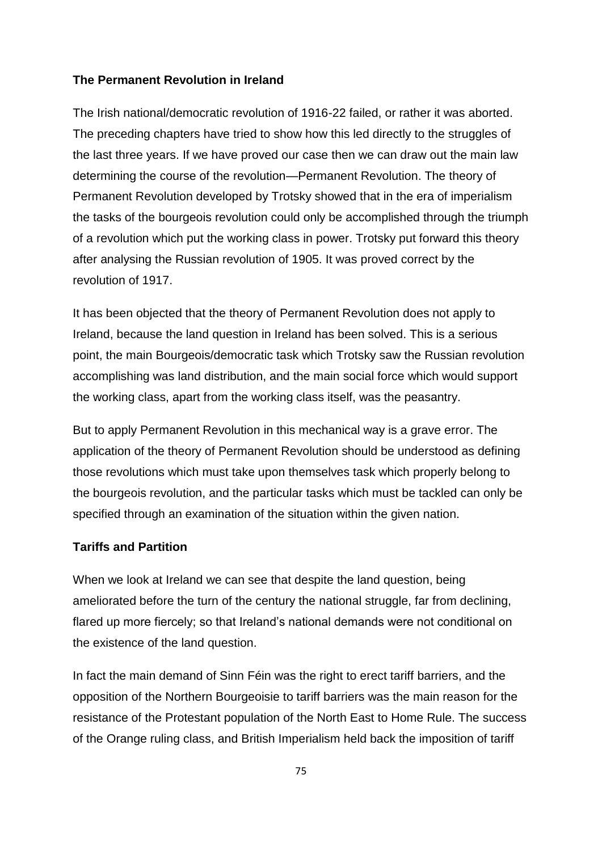# **The Permanent Revolution in Ireland**

The Irish national/democratic revolution of 1916-22 failed, or rather it was aborted. The preceding chapters have tried to show how this led directly to the struggles of the last three years. If we have proved our case then we can draw out the main law determining the course of the revolution—Permanent Revolution. The theory of Permanent Revolution developed by Trotsky showed that in the era of imperialism the tasks of the bourgeois revolution could only be accomplished through the triumph of a revolution which put the working class in power. Trotsky put forward this theory after analysing the Russian revolution of 1905. It was proved correct by the revolution of 1917.

It has been objected that the theory of Permanent Revolution does not apply to Ireland, because the land question in Ireland has been solved. This is a serious point, the main Bourgeois/democratic task which Trotsky saw the Russian revolution accomplishing was land distribution, and the main social force which would support the working class, apart from the working class itself, was the peasantry.

But to apply Permanent Revolution in this mechanical way is a grave error. The application of the theory of Permanent Revolution should be understood as defining those revolutions which must take upon themselves task which properly belong to the bourgeois revolution, and the particular tasks which must be tackled can only be specified through an examination of the situation within the given nation.

# **Tariffs and Partition**

When we look at Ireland we can see that despite the land question, being ameliorated before the turn of the century the national struggle, far from declining, flared up more fiercely; so that Ireland's national demands were not conditional on the existence of the land question.

In fact the main demand of Sinn Féin was the right to erect tariff barriers, and the opposition of the Northern Bourgeoisie to tariff barriers was the main reason for the resistance of the Protestant population of the North East to Home Rule. The success of the Orange ruling class, and British Imperialism held back the imposition of tariff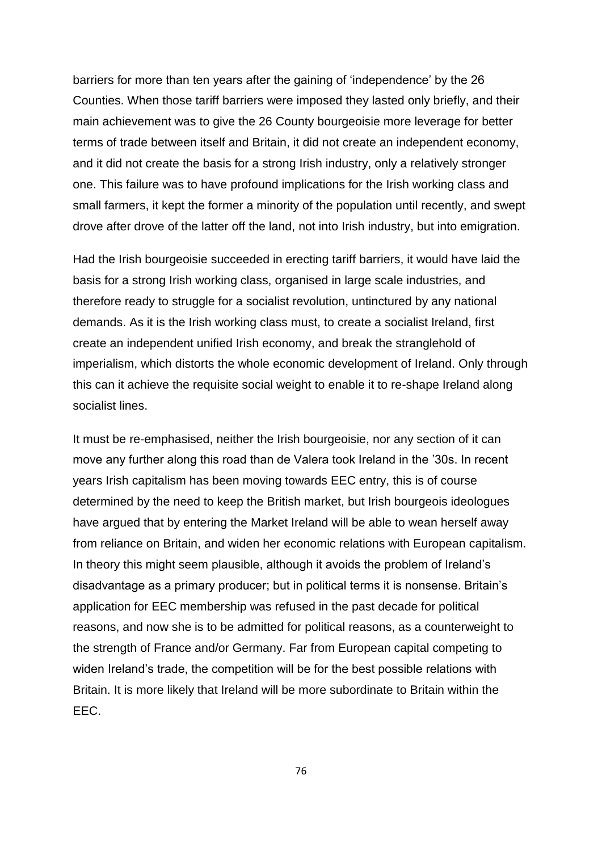barriers for more than ten years after the gaining of "independence" by the 26 Counties. When those tariff barriers were imposed they lasted only briefly, and their main achievement was to give the 26 County bourgeoisie more leverage for better terms of trade between itself and Britain, it did not create an independent economy, and it did not create the basis for a strong Irish industry, only a relatively stronger one. This failure was to have profound implications for the Irish working class and small farmers, it kept the former a minority of the population until recently, and swept drove after drove of the latter off the land, not into Irish industry, but into emigration.

Had the Irish bourgeoisie succeeded in erecting tariff barriers, it would have laid the basis for a strong Irish working class, organised in large scale industries, and therefore ready to struggle for a socialist revolution, untinctured by any national demands. As it is the Irish working class must, to create a socialist Ireland, first create an independent unified Irish economy, and break the stranglehold of imperialism, which distorts the whole economic development of Ireland. Only through this can it achieve the requisite social weight to enable it to re-shape Ireland along socialist lines.

It must be re-emphasised, neither the Irish bourgeoisie, nor any section of it can move any further along this road than de Valera took Ireland in the "30s. In recent years Irish capitalism has been moving towards EEC entry, this is of course determined by the need to keep the British market, but Irish bourgeois ideologues have argued that by entering the Market Ireland will be able to wean herself away from reliance on Britain, and widen her economic relations with European capitalism. In theory this might seem plausible, although it avoids the problem of Ireland's disadvantage as a primary producer; but in political terms it is nonsense. Britain"s application for EEC membership was refused in the past decade for political reasons, and now she is to be admitted for political reasons, as a counterweight to the strength of France and/or Germany. Far from European capital competing to widen Ireland"s trade, the competition will be for the best possible relations with Britain. It is more likely that Ireland will be more subordinate to Britain within the EEC.

76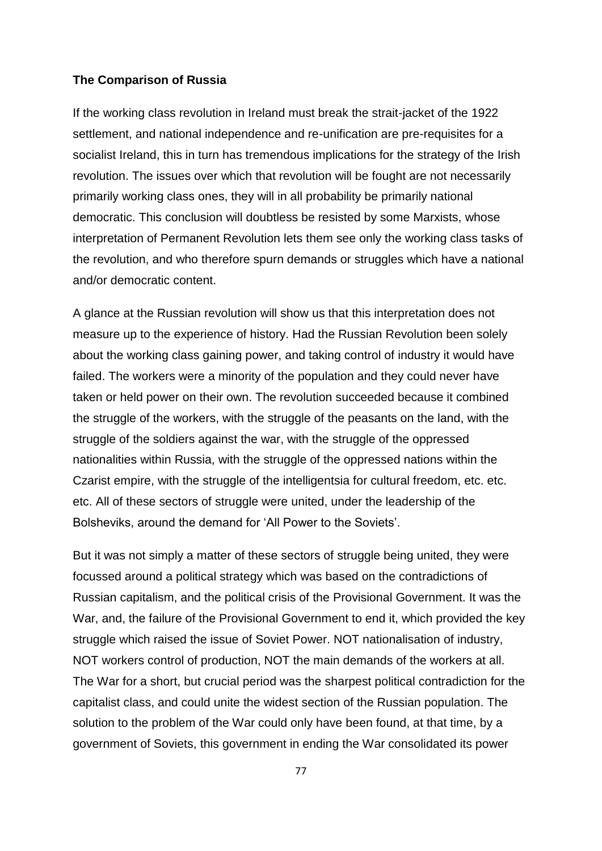### **The Comparison of Russia**

If the working class revolution in Ireland must break the strait-jacket of the 1922 settlement, and national independence and re-unification are pre-requisites for a socialist Ireland, this in turn has tremendous implications for the strategy of the Irish revolution. The issues over which that revolution will be fought are not necessarily primarily working class ones, they will in all probability be primarily national democratic. This conclusion will doubtless be resisted by some Marxists, whose interpretation of Permanent Revolution lets them see only the working class tasks of the revolution, and who therefore spurn demands or struggles which have a national and/or democratic content.

A glance at the Russian revolution will show us that this interpretation does not measure up to the experience of history. Had the Russian Revolution been solely about the working class gaining power, and taking control of industry it would have failed. The workers were a minority of the population and they could never have taken or held power on their own. The revolution succeeded because it combined the struggle of the workers, with the struggle of the peasants on the land, with the struggle of the soldiers against the war, with the struggle of the oppressed nationalities within Russia, with the struggle of the oppressed nations within the Czarist empire, with the struggle of the intelligentsia for cultural freedom, etc. etc. etc. All of these sectors of struggle were united, under the leadership of the Bolsheviks, around the demand for "All Power to the Soviets".

But it was not simply a matter of these sectors of struggle being united, they were focussed around a political strategy which was based on the contradictions of Russian capitalism, and the political crisis of the Provisional Government. It was the War, and, the failure of the Provisional Government to end it, which provided the key struggle which raised the issue of Soviet Power. NOT nationalisation of industry, NOT workers control of production, NOT the main demands of the workers at all. The War for a short, but crucial period was the sharpest political contradiction for the capitalist class, and could unite the widest section of the Russian population. The solution to the problem of the War could only have been found, at that time, by a government of Soviets, this government in ending the War consolidated its power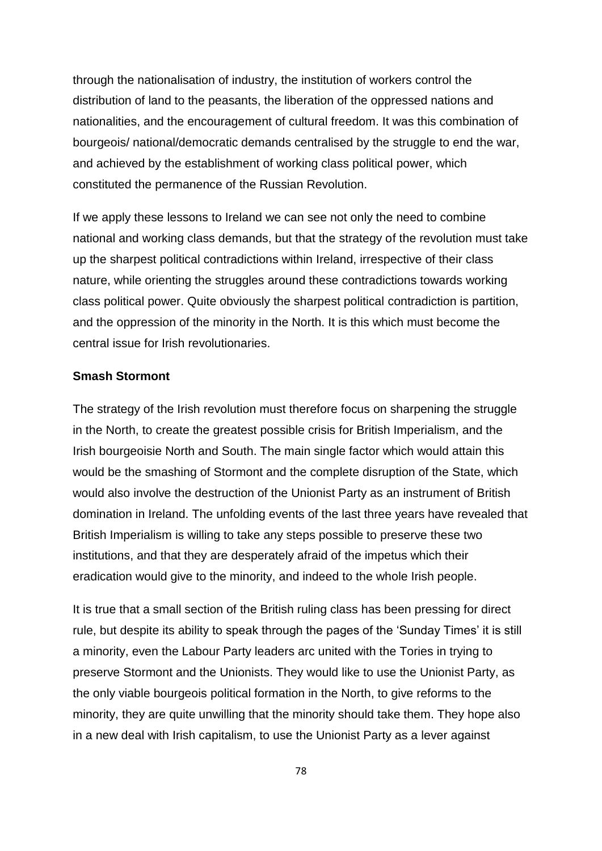through the nationalisation of industry, the institution of workers control the distribution of land to the peasants, the liberation of the oppressed nations and nationalities, and the encouragement of cultural freedom. It was this combination of bourgeois/ national/democratic demands centralised by the struggle to end the war, and achieved by the establishment of working class political power, which constituted the permanence of the Russian Revolution.

If we apply these lessons to Ireland we can see not only the need to combine national and working class demands, but that the strategy of the revolution must take up the sharpest political contradictions within Ireland, irrespective of their class nature, while orienting the struggles around these contradictions towards working class political power. Quite obviously the sharpest political contradiction is partition, and the oppression of the minority in the North. It is this which must become the central issue for Irish revolutionaries.

## **Smash Stormont**

The strategy of the Irish revolution must therefore focus on sharpening the struggle in the North, to create the greatest possible crisis for British Imperialism, and the Irish bourgeoisie North and South. The main single factor which would attain this would be the smashing of Stormont and the complete disruption of the State, which would also involve the destruction of the Unionist Party as an instrument of British domination in Ireland. The unfolding events of the last three years have revealed that British Imperialism is willing to take any steps possible to preserve these two institutions, and that they are desperately afraid of the impetus which their eradication would give to the minority, and indeed to the whole Irish people.

It is true that a small section of the British ruling class has been pressing for direct rule, but despite its ability to speak through the pages of the 'Sunday Times' it is still a minority, even the Labour Party leaders arc united with the Tories in trying to preserve Stormont and the Unionists. They would like to use the Unionist Party, as the only viable bourgeois political formation in the North, to give reforms to the minority, they are quite unwilling that the minority should take them. They hope also in a new deal with Irish capitalism, to use the Unionist Party as a lever against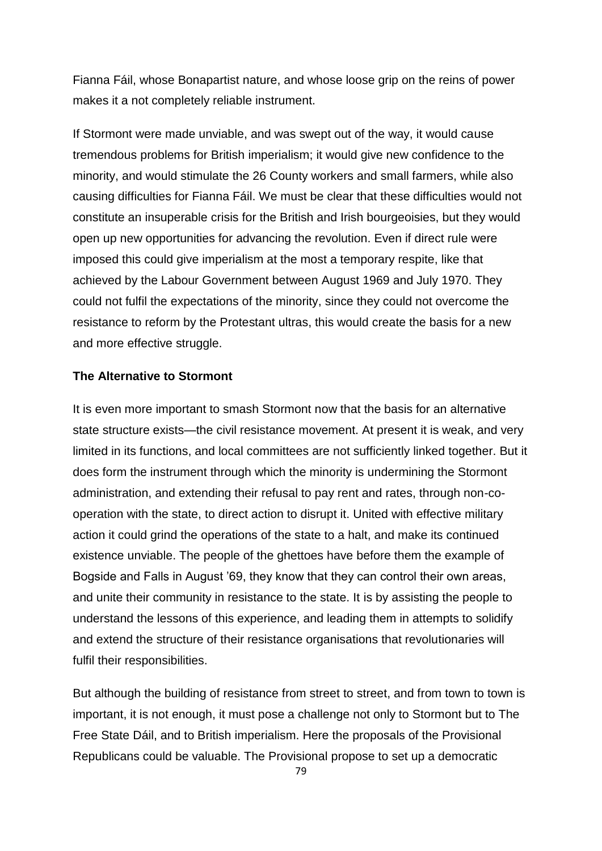Fianna Fáil, whose Bonapartist nature, and whose loose grip on the reins of power makes it a not completely reliable instrument.

If Stormont were made unviable, and was swept out of the way, it would cause tremendous problems for British imperialism; it would give new confidence to the minority, and would stimulate the 26 County workers and small farmers, while also causing difficulties for Fianna Fáil. We must be clear that these difficulties would not constitute an insuperable crisis for the British and Irish bourgeoisies, but they would open up new opportunities for advancing the revolution. Even if direct rule were imposed this could give imperialism at the most a temporary respite, like that achieved by the Labour Government between August 1969 and July 1970. They could not fulfil the expectations of the minority, since they could not overcome the resistance to reform by the Protestant ultras, this would create the basis for a new and more effective struggle.

# **The Alternative to Stormont**

It is even more important to smash Stormont now that the basis for an alternative state structure exists—the civil resistance movement. At present it is weak, and very limited in its functions, and local committees are not sufficiently linked together. But it does form the instrument through which the minority is undermining the Stormont administration, and extending their refusal to pay rent and rates, through non-cooperation with the state, to direct action to disrupt it. United with effective military action it could grind the operations of the state to a halt, and make its continued existence unviable. The people of the ghettoes have before them the example of Bogside and Falls in August "69, they know that they can control their own areas, and unite their community in resistance to the state. It is by assisting the people to understand the lessons of this experience, and leading them in attempts to solidify and extend the structure of their resistance organisations that revolutionaries will fulfil their responsibilities.

But although the building of resistance from street to street, and from town to town is important, it is not enough, it must pose a challenge not only to Stormont but to The Free State Dáil, and to British imperialism. Here the proposals of the Provisional Republicans could be valuable. The Provisional propose to set up a democratic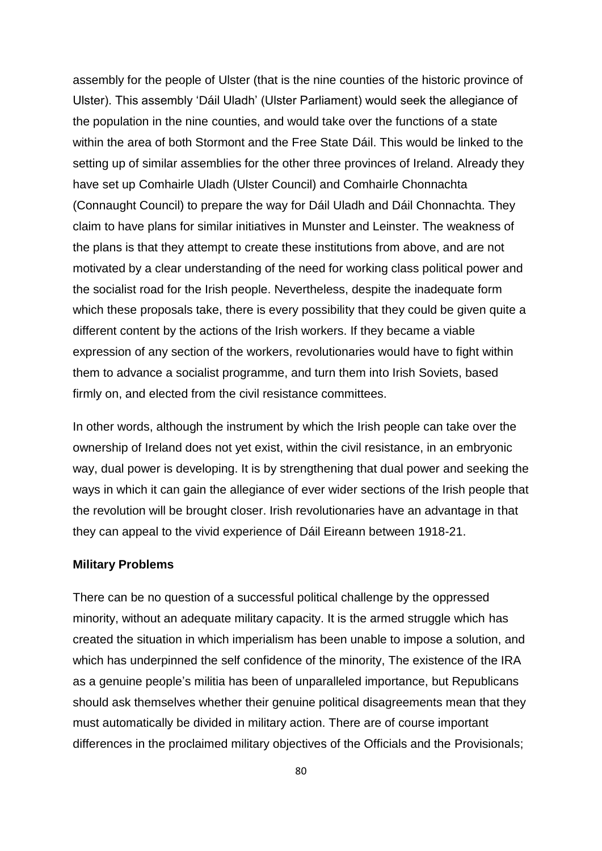assembly for the people of Ulster (that is the nine counties of the historic province of Ulster). This assembly "Dáil Uladh" (Ulster Parliament) would seek the allegiance of the population in the nine counties, and would take over the functions of a state within the area of both Stormont and the Free State Dáil. This would be linked to the setting up of similar assemblies for the other three provinces of Ireland. Already they have set up Comhairle Uladh (Ulster Council) and Comhairle Chonnachta (Connaught Council) to prepare the way for Dáil Uladh and Dáil Chonnachta. They claim to have plans for similar initiatives in Munster and Leinster. The weakness of the plans is that they attempt to create these institutions from above, and are not motivated by a clear understanding of the need for working class political power and the socialist road for the Irish people. Nevertheless, despite the inadequate form which these proposals take, there is every possibility that they could be given quite a different content by the actions of the Irish workers. If they became a viable expression of any section of the workers, revolutionaries would have to fight within them to advance a socialist programme, and turn them into Irish Soviets, based firmly on, and elected from the civil resistance committees.

In other words, although the instrument by which the Irish people can take over the ownership of Ireland does not yet exist, within the civil resistance, in an embryonic way, dual power is developing. It is by strengthening that dual power and seeking the ways in which it can gain the allegiance of ever wider sections of the Irish people that the revolution will be brought closer. Irish revolutionaries have an advantage in that they can appeal to the vivid experience of Dáil Eireann between 1918-21.

#### **Military Problems**

There can be no question of a successful political challenge by the oppressed minority, without an adequate military capacity. It is the armed struggle which has created the situation in which imperialism has been unable to impose a solution, and which has underpinned the self confidence of the minority, The existence of the IRA as a genuine people"s militia has been of unparalleled importance, but Republicans should ask themselves whether their genuine political disagreements mean that they must automatically be divided in military action. There are of course important differences in the proclaimed military objectives of the Officials and the Provisionals;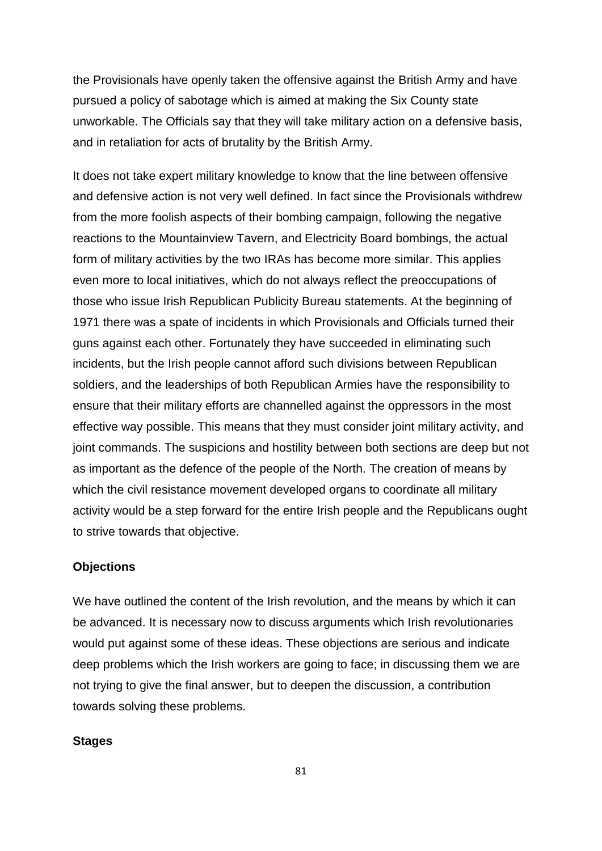the Provisionals have openly taken the offensive against the British Army and have pursued a policy of sabotage which is aimed at making the Six County state unworkable. The Officials say that they will take military action on a defensive basis, and in retaliation for acts of brutality by the British Army.

It does not take expert military knowledge to know that the line between offensive and defensive action is not very well defined. In fact since the Provisionals withdrew from the more foolish aspects of their bombing campaign, following the negative reactions to the Mountainview Tavern, and Electricity Board bombings, the actual form of military activities by the two IRAs has become more similar. This applies even more to local initiatives, which do not always reflect the preoccupations of those who issue Irish Republican Publicity Bureau statements. At the beginning of 1971 there was a spate of incidents in which Provisionals and Officials turned their guns against each other. Fortunately they have succeeded in eliminating such incidents, but the Irish people cannot afford such divisions between Republican soldiers, and the leaderships of both Republican Armies have the responsibility to ensure that their military efforts are channelled against the oppressors in the most effective way possible. This means that they must consider joint military activity, and joint commands. The suspicions and hostility between both sections are deep but not as important as the defence of the people of the North. The creation of means by which the civil resistance movement developed organs to coordinate all military activity would be a step forward for the entire Irish people and the Republicans ought to strive towards that objective.

### **Objections**

We have outlined the content of the Irish revolution, and the means by which it can be advanced. It is necessary now to discuss arguments which Irish revolutionaries would put against some of these ideas. These objections are serious and indicate deep problems which the Irish workers are going to face; in discussing them we are not trying to give the final answer, but to deepen the discussion, a contribution towards solving these problems.

## **Stages**

81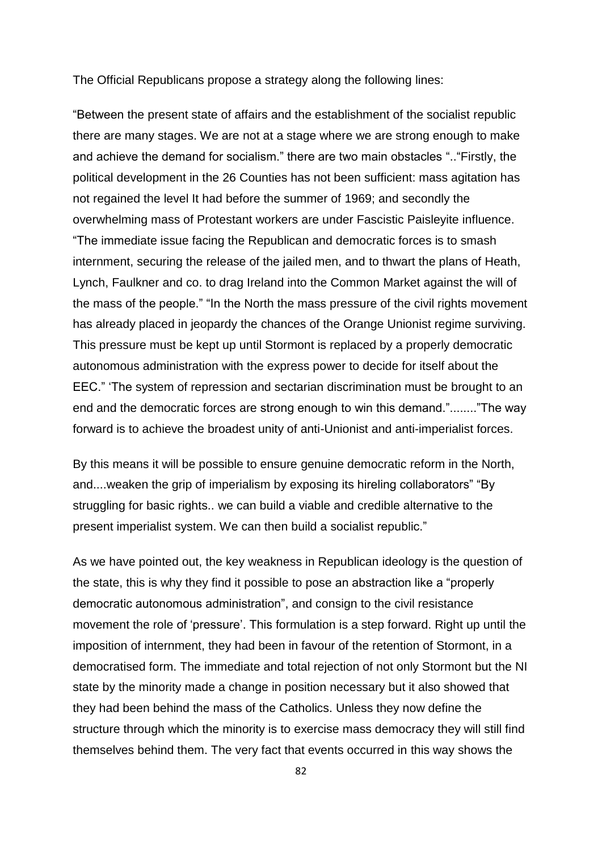The Official Republicans propose a strategy along the following lines:

"Between the present state of affairs and the establishment of the socialist republic there are many stages. We are not at a stage where we are strong enough to make and achieve the demand for socialism." there are two main obstacles ".."Firstly, the political development in the 26 Counties has not been sufficient: mass agitation has not regained the level It had before the summer of 1969; and secondly the overwhelming mass of Protestant workers are under Fascistic Paisleyite influence. "The immediate issue facing the Republican and democratic forces is to smash internment, securing the release of the jailed men, and to thwart the plans of Heath, Lynch, Faulkner and co. to drag Ireland into the Common Market against the will of the mass of the people." "In the North the mass pressure of the civil rights movement has already placed in jeopardy the chances of the Orange Unionist regime surviving. This pressure must be kept up until Stormont is replaced by a properly democratic autonomous administration with the express power to decide for itself about the EEC." "The system of repression and sectarian discrimination must be brought to an end and the democratic forces are strong enough to win this demand."........"The way forward is to achieve the broadest unity of anti-Unionist and anti-imperialist forces.

By this means it will be possible to ensure genuine democratic reform in the North, and....weaken the grip of imperialism by exposing its hireling collaborators" "By struggling for basic rights.. we can build a viable and credible alternative to the present imperialist system. We can then build a socialist republic."

As we have pointed out, the key weakness in Republican ideology is the question of the state, this is why they find it possible to pose an abstraction like a "properly democratic autonomous administration", and consign to the civil resistance movement the role of 'pressure'. This formulation is a step forward. Right up until the imposition of internment, they had been in favour of the retention of Stormont, in a democratised form. The immediate and total rejection of not only Stormont but the NI state by the minority made a change in position necessary but it also showed that they had been behind the mass of the Catholics. Unless they now define the structure through which the minority is to exercise mass democracy they will still find themselves behind them. The very fact that events occurred in this way shows the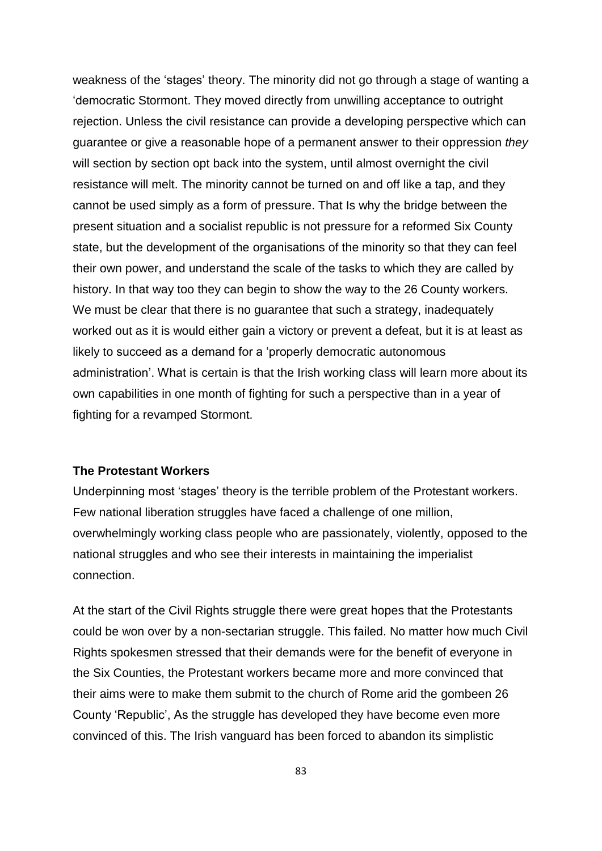weakness of the "stages" theory. The minority did not go through a stage of wanting a "democratic Stormont. They moved directly from unwilling acceptance to outright rejection. Unless the civil resistance can provide a developing perspective which can guarantee or give a reasonable hope of a permanent answer to their oppression *they*  will section by section opt back into the system, until almost overnight the civil resistance will melt. The minority cannot be turned on and off like a tap, and they cannot be used simply as a form of pressure. That Is why the bridge between the present situation and a socialist republic is not pressure for a reformed Six County state, but the development of the organisations of the minority so that they can feel their own power, and understand the scale of the tasks to which they are called by history. In that way too they can begin to show the way to the 26 County workers. We must be clear that there is no guarantee that such a strategy, inadequately worked out as it is would either gain a victory or prevent a defeat, but it is at least as likely to succeed as a demand for a "properly democratic autonomous administration". What is certain is that the Irish working class will learn more about its own capabilities in one month of fighting for such a perspective than in a year of fighting for a revamped Stormont.

# **The Protestant Workers**

Underpinning most "stages" theory is the terrible problem of the Protestant workers. Few national liberation struggles have faced a challenge of one million, overwhelmingly working class people who are passionately, violently, opposed to the national struggles and who see their interests in maintaining the imperialist connection.

At the start of the Civil Rights struggle there were great hopes that the Protestants could be won over by a non-sectarian struggle. This failed. No matter how much Civil Rights spokesmen stressed that their demands were for the benefit of everyone in the Six Counties, the Protestant workers became more and more convinced that their aims were to make them submit to the church of Rome arid the gombeen 26 County "Republic", As the struggle has developed they have become even more convinced of this. The Irish vanguard has been forced to abandon its simplistic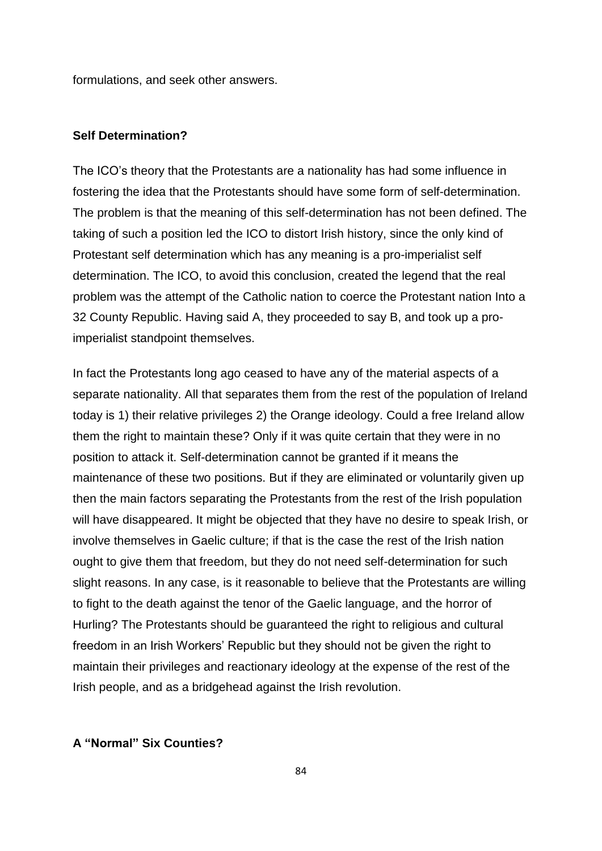formulations, and seek other answers.

#### **Self Determination?**

The ICO"s theory that the Protestants are a nationality has had some influence in fostering the idea that the Protestants should have some form of self-determination. The problem is that the meaning of this self-determination has not been defined. The taking of such a position led the ICO to distort Irish history, since the only kind of Protestant self determination which has any meaning is a pro-imperialist self determination. The ICO, to avoid this conclusion, created the legend that the real problem was the attempt of the Catholic nation to coerce the Protestant nation Into a 32 County Republic. Having said A, they proceeded to say B, and took up a proimperialist standpoint themselves.

In fact the Protestants long ago ceased to have any of the material aspects of a separate nationality. All that separates them from the rest of the population of Ireland today is 1) their relative privileges 2) the Orange ideology. Could a free Ireland allow them the right to maintain these? Only if it was quite certain that they were in no position to attack it. Self-determination cannot be granted if it means the maintenance of these two positions. But if they are eliminated or voluntarily given up then the main factors separating the Protestants from the rest of the Irish population will have disappeared. It might be objected that they have no desire to speak Irish, or involve themselves in Gaelic culture; if that is the case the rest of the Irish nation ought to give them that freedom, but they do not need self-determination for such slight reasons. In any case, is it reasonable to believe that the Protestants are willing to fight to the death against the tenor of the Gaelic language, and the horror of Hurling? The Protestants should be guaranteed the right to religious and cultural freedom in an Irish Workers" Republic but they should not be given the right to maintain their privileges and reactionary ideology at the expense of the rest of the Irish people, and as a bridgehead against the Irish revolution.

# **A "Normal" Six Counties?**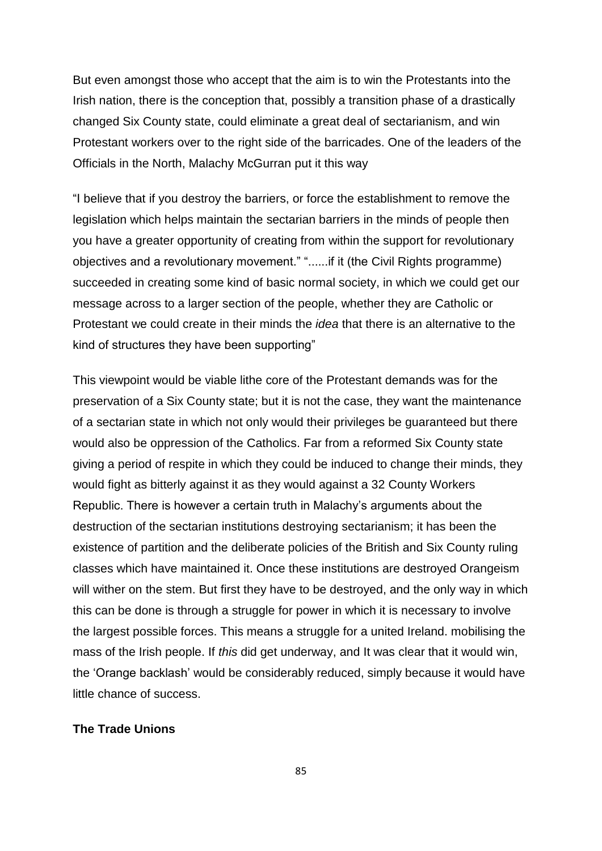But even amongst those who accept that the aim is to win the Protestants into the Irish nation, there is the conception that, possibly a transition phase of a drastically changed Six County state, could eliminate a great deal of sectarianism, and win Protestant workers over to the right side of the barricades. One of the leaders of the Officials in the North, Malachy McGurran put it this way

"I believe that if you destroy the barriers, or force the establishment to remove the legislation which helps maintain the sectarian barriers in the minds of people then you have a greater opportunity of creating from within the support for revolutionary objectives and a revolutionary movement." "......if it (the Civil Rights programme) succeeded in creating some kind of basic normal society, in which we could get our message across to a larger section of the people, whether they are Catholic or Protestant we could create in their minds the *idea* that there is an alternative to the kind of structures they have been supporting"

This viewpoint would be viable lithe core of the Protestant demands was for the preservation of a Six County state; but it is not the case, they want the maintenance of a sectarian state in which not only would their privileges be guaranteed but there would also be oppression of the Catholics. Far from a reformed Six County state giving a period of respite in which they could be induced to change their minds, they would fight as bitterly against it as they would against a 32 County Workers Republic. There is however a certain truth in Malachy"s arguments about the destruction of the sectarian institutions destroying sectarianism; it has been the existence of partition and the deliberate policies of the British and Six County ruling classes which have maintained it. Once these institutions are destroyed Orangeism will wither on the stem. But first they have to be destroyed, and the only way in which this can be done is through a struggle for power in which it is necessary to involve the largest possible forces. This means a struggle for a united Ireland. mobilising the mass of the Irish people. If *this* did get underway, and It was clear that it would win, the "Orange backlash" would be considerably reduced, simply because it would have little chance of success.

# **The Trade Unions**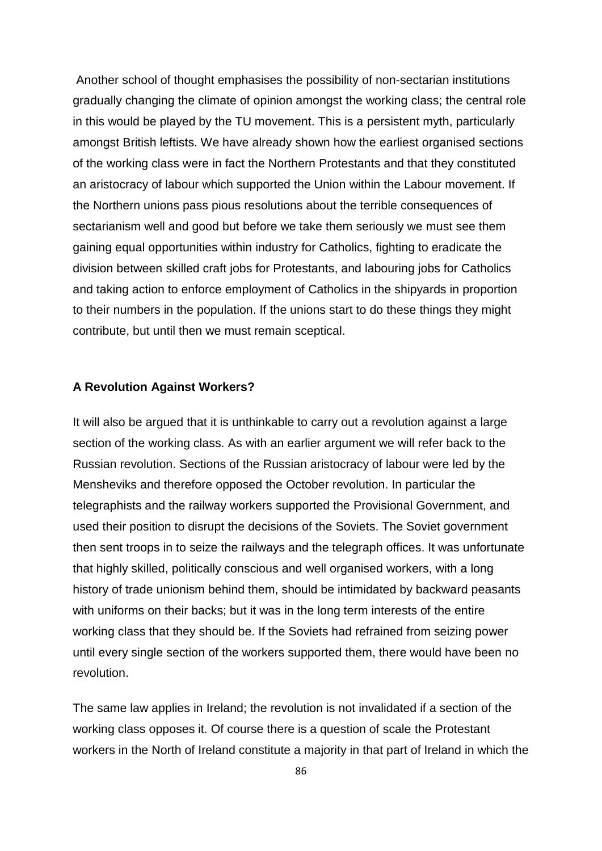Another school of thought emphasises the possibility of non-sectarian institutions gradually changing the climate of opinion amongst the working class; the central role in this would be played by the TU movement. This is a persistent myth, particularly amongst British leftists. We have already shown how the earliest organised sections of the working class were in fact the Northern Protestants and that they constituted an aristocracy of labour which supported the Union within the Labour movement. If the Northern unions pass pious resolutions about the terrible consequences of sectarianism well and good but before we take them seriously we must see them gaining equal opportunities within industry for Catholics, fighting to eradicate the division between skilled craft jobs for Protestants, and labouring jobs for Catholics and taking action to enforce employment of Catholics in the shipyards in proportion to their numbers in the population. If the unions start to do these things they might contribute, but until then we must remain sceptical.

## **A Revolution Against Workers?**

It will also be argued that it is unthinkable to carry out a revolution against a large section of the working class. As with an earlier argument we will refer back to the Russian revolution. Sections of the Russian aristocracy of labour were led by the Mensheviks and therefore opposed the October revolution. In particular the telegraphists and the railway workers supported the Provisional Government, and used their position to disrupt the decisions of the Soviets. The Soviet government then sent troops in to seize the railways and the telegraph offices. It was unfortunate that highly skilled, politically conscious and well organised workers, with a long history of trade unionism behind them, should be intimidated by backward peasants with uniforms on their backs; but it was in the long term interests of the entire working class that they should be. If the Soviets had refrained from seizing power until every single section of the workers supported them, there would have been no revolution.

The same law applies in Ireland; the revolution is not invalidated if a section of the working class opposes it. Of course there is a question of scale the Protestant workers in the North of Ireland constitute a majority in that part of Ireland in which the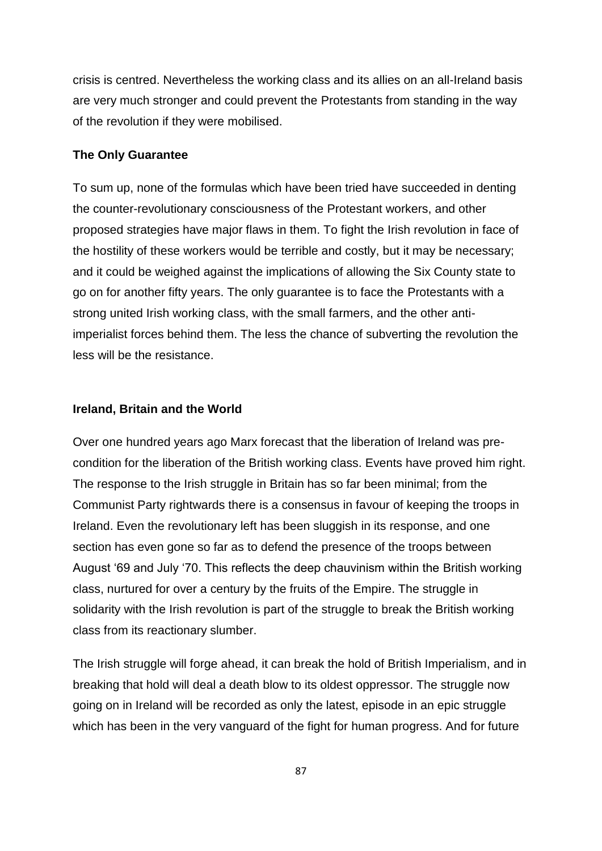crisis is centred. Nevertheless the working class and its allies on an all-Ireland basis are very much stronger and could prevent the Protestants from standing in the way of the revolution if they were mobilised.

## **The Only Guarantee**

To sum up, none of the formulas which have been tried have succeeded in denting the counter-revolutionary consciousness of the Protestant workers, and other proposed strategies have major flaws in them. To fight the Irish revolution in face of the hostility of these workers would be terrible and costly, but it may be necessary; and it could be weighed against the implications of allowing the Six County state to go on for another fifty years. The only guarantee is to face the Protestants with a strong united Irish working class, with the small farmers, and the other antiimperialist forces behind them. The less the chance of subverting the revolution the less will be the resistance.

#### **Ireland, Britain and the World**

Over one hundred years ago Marx forecast that the liberation of Ireland was precondition for the liberation of the British working class. Events have proved him right. The response to the Irish struggle in Britain has so far been minimal; from the Communist Party rightwards there is a consensus in favour of keeping the troops in Ireland. Even the revolutionary left has been sluggish in its response, and one section has even gone so far as to defend the presence of the troops between August "69 and July "70. This reflects the deep chauvinism within the British working class, nurtured for over a century by the fruits of the Empire. The struggle in solidarity with the Irish revolution is part of the struggle to break the British working class from its reactionary slumber.

The Irish struggle will forge ahead, it can break the hold of British Imperialism, and in breaking that hold will deal a death blow to its oldest oppressor. The struggle now going on in Ireland will be recorded as only the latest, episode in an epic struggle which has been in the very vanguard of the fight for human progress. And for future